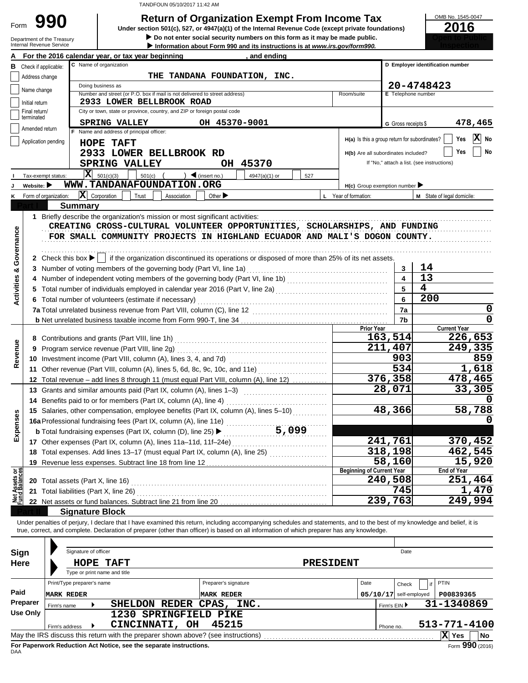Form

 $\blacktriangleright$  Do not enter social security numbers on this form as it may be made public. **990 2016 2016 2016 2016 Dependence Code (except property From Income Tax** Under section 501(c), 527, or 4947(a)(1) of the Internal Revenue Code (except private foundations)

OMB No. 1545-0047

|                                        |                                                | Department of the Treasury<br><b>Internal Revenue Service</b> | Do not enter social security numbers on this form as it may be made public.<br>Information about Form 990 and its instructions is at www.irs.gov/form990.                  |                   |                     |                                                              |  |  |  |  |  |  |
|----------------------------------------|------------------------------------------------|---------------------------------------------------------------|----------------------------------------------------------------------------------------------------------------------------------------------------------------------------|-------------------|---------------------|--------------------------------------------------------------|--|--|--|--|--|--|
|                                        |                                                |                                                               | For the 2016 calendar year, or tax year beginning<br>, and ending                                                                                                          |                   |                     |                                                              |  |  |  |  |  |  |
|                                        |                                                | <b>B</b> Check if applicable:                                 | C Name of organization                                                                                                                                                     |                   |                     | D Employer identification number                             |  |  |  |  |  |  |
|                                        | THE TANDANA FOUNDATION, INC.<br>Address change |                                                               |                                                                                                                                                                            |                   |                     |                                                              |  |  |  |  |  |  |
|                                        | Name change                                    |                                                               | Doing business as                                                                                                                                                          |                   |                     | 20-4748423                                                   |  |  |  |  |  |  |
|                                        |                                                |                                                               | Number and street (or P.O. box if mail is not delivered to street address)<br>Room/suite                                                                                   |                   | E Telephone number  |                                                              |  |  |  |  |  |  |
|                                        | Initial return                                 |                                                               | 2933 LOWER BELLBROOK ROAD                                                                                                                                                  |                   |                     |                                                              |  |  |  |  |  |  |
|                                        | Final return/<br>terminated                    |                                                               | City or town, state or province, country, and ZIP or foreign postal code                                                                                                   |                   |                     |                                                              |  |  |  |  |  |  |
|                                        | Amended return                                 |                                                               | OH 45370-9001<br>SPRING VALLEY                                                                                                                                             |                   | G Gross receipts \$ | 478,465                                                      |  |  |  |  |  |  |
|                                        |                                                |                                                               | F Name and address of principal officer:                                                                                                                                   |                   |                     | X No<br>Yes<br>H(a) Is this a group return for subordinates? |  |  |  |  |  |  |
|                                        |                                                | Application pending                                           | HOPE TAFT                                                                                                                                                                  |                   |                     |                                                              |  |  |  |  |  |  |
|                                        |                                                |                                                               | 2933 LOWER BELLBROOK RD<br>H(b) Are all subordinates included?                                                                                                             |                   |                     | Yes<br>No                                                    |  |  |  |  |  |  |
|                                        |                                                |                                                               | <b>SPRING VALLEY</b><br>OH 45370                                                                                                                                           |                   |                     | If "No," attach a list. (see instructions)                   |  |  |  |  |  |  |
|                                        |                                                | Tax-exempt status:                                            | $ \mathbf{X} $ 501(c)(3)<br>$501(c)$ (<br>$\big)$ (insert no.)<br>4947(a)(1) or<br>527                                                                                     |                   |                     |                                                              |  |  |  |  |  |  |
|                                        | Website: $\blacktriangleright$                 |                                                               | WWW.TANDANAFOUNDATION.ORG<br>$H(c)$ Group exemption number                                                                                                                 |                   |                     |                                                              |  |  |  |  |  |  |
| κ                                      |                                                | Form of organization:                                         | $\mathbf{X}$ Corporation<br>Other $\blacktriangleright$<br>Trust<br>Association<br>Year of formation:<br>L                                                                 |                   |                     | M State of legal domicile:                                   |  |  |  |  |  |  |
|                                        |                                                |                                                               | <b>Summary</b>                                                                                                                                                             |                   |                     |                                                              |  |  |  |  |  |  |
|                                        |                                                |                                                               | 1 Briefly describe the organization's mission or most significant activities:                                                                                              |                   |                     |                                                              |  |  |  |  |  |  |
|                                        |                                                |                                                               | CREATING CROSS-CULTURAL VOLUNTEER OPPORTUNITIES, SCHOLARSHIPS, AND FUNDING                                                                                                 |                   |                     |                                                              |  |  |  |  |  |  |
| <b>Activities &amp; Governance</b>     |                                                |                                                               | FOR SMALL COMMUNITY PROJECTS IN HIGHLAND ECUADOR AND MALI'S DOGON COUNTY.                                                                                                  |                   |                     |                                                              |  |  |  |  |  |  |
|                                        |                                                |                                                               |                                                                                                                                                                            |                   |                     |                                                              |  |  |  |  |  |  |
|                                        |                                                |                                                               | 2 Check this box $\blacktriangleright$   if the organization discontinued its operations or disposed of more than 25% of its net assets.                                   |                   |                     |                                                              |  |  |  |  |  |  |
|                                        | 3                                              |                                                               |                                                                                                                                                                            |                   | 3                   | 14                                                           |  |  |  |  |  |  |
|                                        | 4                                              |                                                               | Number of independent voting members of the governing body (Part VI, line 1b) [11] [11] Number of independent voting members of the governing body (Part VI, line 1b)      |                   | 4                   | 13                                                           |  |  |  |  |  |  |
|                                        | 5                                              |                                                               | Total number of individuals employed in calendar year 2016 (Part V, line 2a) [[[[[[[[[[[[[[[[[[[[[[[[[[[[[[[[                                                              |                   | 5                   | $\overline{\mathbf{4}}$                                      |  |  |  |  |  |  |
|                                        |                                                |                                                               | Total number of volunteers (estimate if necessary)                                                                                                                         |                   | 6                   | 200                                                          |  |  |  |  |  |  |
|                                        |                                                |                                                               |                                                                                                                                                                            |                   | 7a                  | 0                                                            |  |  |  |  |  |  |
|                                        |                                                |                                                               |                                                                                                                                                                            |                   |                     | $\Omega$                                                     |  |  |  |  |  |  |
|                                        |                                                |                                                               |                                                                                                                                                                            | <b>Prior Year</b> | 7b                  | <b>Current Year</b>                                          |  |  |  |  |  |  |
|                                        |                                                |                                                               |                                                                                                                                                                            |                   | 163,514             | 226,653                                                      |  |  |  |  |  |  |
|                                        | 9                                              |                                                               |                                                                                                                                                                            |                   | 211,407             | 249,335                                                      |  |  |  |  |  |  |
| Revenue                                |                                                |                                                               |                                                                                                                                                                            |                   | 903                 | 859                                                          |  |  |  |  |  |  |
|                                        |                                                |                                                               |                                                                                                                                                                            |                   | 534                 | 1,618                                                        |  |  |  |  |  |  |
|                                        |                                                |                                                               | 11 Other revenue (Part VIII, column (A), lines 5, 6d, 8c, 9c, 10c, and 11e)                                                                                                |                   | 376,358             | 478,465                                                      |  |  |  |  |  |  |
|                                        |                                                |                                                               | 12 Total revenue - add lines 8 through 11 (must equal Part VIII, column (A), line 12)                                                                                      |                   |                     |                                                              |  |  |  |  |  |  |
|                                        |                                                |                                                               | 13 Grants and similar amounts paid (Part IX, column (A), lines 1-3)                                                                                                        |                   | 28,071              | 33,305                                                       |  |  |  |  |  |  |
|                                        |                                                |                                                               | 14 Benefits paid to or for members (Part IX, column (A), line 4)                                                                                                           |                   |                     |                                                              |  |  |  |  |  |  |
| <b>Ses</b>                             |                                                |                                                               | 15 Salaries, other compensation, employee benefits (Part IX, column (A), lines 5-10)                                                                                       |                   | 48,366              | 58,788                                                       |  |  |  |  |  |  |
|                                        |                                                |                                                               | 16a Professional fundraising fees (Part IX, column (A), line 11e)                                                                                                          |                   |                     |                                                              |  |  |  |  |  |  |
| Exper                                  |                                                |                                                               | 5,099<br><b>b</b> Total fundraising expenses (Part IX, column (D), line 25) ▶                                                                                              |                   |                     |                                                              |  |  |  |  |  |  |
|                                        |                                                |                                                               | 17 Other expenses (Part IX, column (A), lines 11a-11d, 11f-24e)                                                                                                            |                   | 241,761             | 370,452                                                      |  |  |  |  |  |  |
|                                        | 18                                             |                                                               | Total expenses. Add lines 13-17 (must equal Part IX, column (A), line 25) [[[[[[[[[[[[[[[[[[[[[[[[[[[]]]]]]]]                                                              |                   | 318,198             | 462,545                                                      |  |  |  |  |  |  |
|                                        | 19                                             |                                                               |                                                                                                                                                                            |                   | 58,160              | 15,920                                                       |  |  |  |  |  |  |
|                                        |                                                |                                                               | <b>Beginning of Current Year</b>                                                                                                                                           |                   |                     | End of Year                                                  |  |  |  |  |  |  |
|                                        |                                                |                                                               | 20 Total assets (Part X, line 16)                                                                                                                                          |                   | 240,508             | 251,464                                                      |  |  |  |  |  |  |
| <b>Net Assets or<br/>Fund Balances</b> | 21                                             |                                                               | Total liabilities (Part X, line 26)                                                                                                                                        |                   | 745                 | 1,470                                                        |  |  |  |  |  |  |
|                                        |                                                |                                                               |                                                                                                                                                                            |                   | 239,763             | 249,994                                                      |  |  |  |  |  |  |
|                                        |                                                |                                                               | <b>Signature Block</b>                                                                                                                                                     |                   |                     |                                                              |  |  |  |  |  |  |
|                                        |                                                |                                                               | Under penalties of perjury, I declare that I have examined this return, including accompanying schedules and statements, and to the best of my knowledge and belief, it is |                   |                     |                                                              |  |  |  |  |  |  |
|                                        |                                                |                                                               | true, correct, and complete. Declaration of preparer (other than officer) is based on all information of which preparer has any knowledge.                                 |                   |                     |                                                              |  |  |  |  |  |  |
|                                        |                                                |                                                               |                                                                                                                                                                            |                   |                     |                                                              |  |  |  |  |  |  |
|                                        | Sian                                           |                                                               | Signature of officer                                                                                                                                                       |                   | Date                |                                                              |  |  |  |  |  |  |

| Sign       |                            | Signature of officer |                                                                                   |                      |  |      |              | Date                     |                 |
|------------|----------------------------|----------------------|-----------------------------------------------------------------------------------|----------------------|--|------|--------------|--------------------------|-----------------|
| Here       |                            |                      | HOPE TAFT                                                                         | <b>PRESIDENT</b>     |  |      |              |                          |                 |
|            |                            |                      | Type or print name and title                                                      |                      |  |      |              |                          |                 |
|            | Print/Type preparer's name |                      |                                                                                   | Preparer's signature |  | Date |              | Check                    | PTIN            |
| Paid       | <b>MARK REDER</b>          |                      |                                                                                   | <b>MARK REDER</b>    |  |      |              | $05/10/17$ self-employed | P00839365       |
| Preparer   | Firm's name                |                      | SHELDON REDER CPAS, INC.                                                          |                      |  |      | Firm's EIN ▶ |                          | 31-1340869      |
| Use Only   |                            |                      | 1230 SPRINGFIELD PIKE                                                             |                      |  |      |              |                          |                 |
|            | Firm's address             |                      | CINCINNATI, OH                                                                    | 45215                |  |      | Phone no.    |                          | 513-771-4100    |
|            |                            |                      | May the IRS discuss this return with the preparer shown above? (see instructions) |                      |  |      |              |                          | X Yes<br>No     |
| <b>DAA</b> |                            |                      | For Paperwork Reduction Act Notice, see the separate instructions.                |                      |  |      |              |                          | Form 990 (2016) |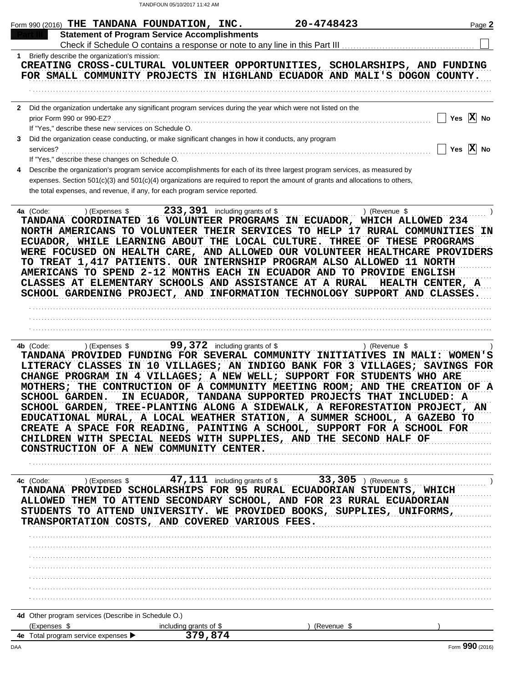|              |                             |                                              | Form 990 (2016) THE TANDANA FOUNDATION, INC.                                | 20-4748423                                                                                                                                                                                                                                                                                                                                                                                                                                                                                                                                                                                                                                                                                                | Page 2                |
|--------------|-----------------------------|----------------------------------------------|-----------------------------------------------------------------------------|-----------------------------------------------------------------------------------------------------------------------------------------------------------------------------------------------------------------------------------------------------------------------------------------------------------------------------------------------------------------------------------------------------------------------------------------------------------------------------------------------------------------------------------------------------------------------------------------------------------------------------------------------------------------------------------------------------------|-----------------------|
|              |                             |                                              | <b>Statement of Program Service Accomplishments</b>                         |                                                                                                                                                                                                                                                                                                                                                                                                                                                                                                                                                                                                                                                                                                           |                       |
|              |                             |                                              |                                                                             |                                                                                                                                                                                                                                                                                                                                                                                                                                                                                                                                                                                                                                                                                                           |                       |
|              | 1.                          | Briefly describe the organization's mission: |                                                                             | CREATING CROSS-CULTURAL VOLUNTEER OPPORTUNITIES, SCHOLARSHIPS, AND FUNDING<br>FOR SMALL COMMUNITY PROJECTS IN HIGHLAND ECUADOR AND MALI'S DOGON COUNTY.                                                                                                                                                                                                                                                                                                                                                                                                                                                                                                                                                   |                       |
|              |                             |                                              |                                                                             |                                                                                                                                                                                                                                                                                                                                                                                                                                                                                                                                                                                                                                                                                                           |                       |
| $\mathbf{2}$ |                             |                                              |                                                                             | Did the organization undertake any significant program services during the year which were not listed on the                                                                                                                                                                                                                                                                                                                                                                                                                                                                                                                                                                                              |                       |
|              | prior Form 990 or 990-EZ?   |                                              | If "Yes," describe these new services on Schedule O.                        |                                                                                                                                                                                                                                                                                                                                                                                                                                                                                                                                                                                                                                                                                                           | Yes $ X $ No          |
| 3            | services?                   |                                              |                                                                             | Did the organization cease conducting, or make significant changes in how it conducts, any program                                                                                                                                                                                                                                                                                                                                                                                                                                                                                                                                                                                                        | Yes $\overline{X}$ No |
|              |                             |                                              | If "Yes," describe these changes on Schedule O.                             |                                                                                                                                                                                                                                                                                                                                                                                                                                                                                                                                                                                                                                                                                                           |                       |
| 4            |                             |                                              | the total expenses, and revenue, if any, for each program service reported. | Describe the organization's program service accomplishments for each of its three largest program services, as measured by<br>expenses. Section 501(c)(3) and 501(c)(4) organizations are required to report the amount of grants and allocations to others,                                                                                                                                                                                                                                                                                                                                                                                                                                              |                       |
|              | 4a (Code:                   | ) (Expenses \$                               | 233, 391 including grants of \$                                             | ) (Revenue \$<br>TANDANA COORDINATED 16 VOLUNTEER PROGRAMS IN ECUADOR, WHICH ALLOWED 234<br>NORTH AMERICANS TO VOLUNTEER THEIR SERVICES TO HELP 17 RURAL COMMUNITIES IN<br>ECUADOR, WHILE LEARNING ABOUT THE LOCAL CULTURE. THREE OF THESE PROGRAMS<br>WERE FOCUSED ON HEALTH CARE, AND ALLOWED OUR VOLUNTEER HEALTHCARE PROVIDERS<br>TO TREAT 1,417 PATIENTS. OUR INTERNSHIP PROGRAM ALSO ALLOWED 11 NORTH<br>AMERICANS TO SPEND 2-12 MONTHS EACH IN ECUADOR AND TO PROVIDE ENGLISH<br>CLASSES AT ELEMENTARY SCHOOLS AND ASSISTANCE AT A RURAL<br>SCHOOL GARDENING PROJECT, AND INFORMATION TECHNOLOGY SUPPORT AND CLASSES.                                                                              | HEALTH CENTER, A      |
|              |                             |                                              |                                                                             |                                                                                                                                                                                                                                                                                                                                                                                                                                                                                                                                                                                                                                                                                                           |                       |
|              |                             |                                              |                                                                             |                                                                                                                                                                                                                                                                                                                                                                                                                                                                                                                                                                                                                                                                                                           |                       |
|              |                             |                                              |                                                                             |                                                                                                                                                                                                                                                                                                                                                                                                                                                                                                                                                                                                                                                                                                           |                       |
|              | 4b (Code:<br>SCHOOL GARDEN. | ) (Expenses \$                               | 99, 372 including grants of \$<br>CONSTRUCTION OF A NEW COMMUNITY CENTER.   | ) (Revenue \$<br>TANDANA PROVIDED FUNDING FOR SEVERAL COMMUNITY INITIATIVES IN MALI: WOMEN'S<br>LITERACY CLASSES IN 10 VILLAGES; AN INDIGO BANK FOR 3 VILLAGES; SAVINGS FOR<br>CHANGE PROGRAM IN 4 VILLAGES; A NEW WELL; SUPPORT FOR STUDENTS WHO ARE<br>MOTHERS; THE CONTRUCTION OF A COMMUNITY MEETING ROOM; AND THE CREATION OF A<br>IN ECUADOR, TANDANA SUPPORTED PROJECTS THAT INCLUDED: A<br>SCHOOL GARDEN, TREE-PLANTING ALONG A SIDEWALK, A REFORESTATION PROJECT, AN<br>EDUCATIONAL MURAL, A LOCAL WEATHER STATION, A SUMMER SCHOOL, A GAZEBO TO<br>CREATE A SPACE FOR READING, PAINTING A SCHOOL, SUPPORT FOR A SCHOOL FOR<br>CHILDREN WITH SPECIAL NEEDS WITH SUPPLIES, AND THE SECOND HALF OF |                       |
|              |                             |                                              | TRANSPORTATION COSTS, AND COVERED VARIOUS FEES.                             | 4c (Code: $($ $)$ (Expenses \$ $($ $)$ 47, 111 including grants of \$ $($ $)$ 33, 305 $)$ (Revenue \$<br>TANDANA PROVIDED SCHOLARSHIPS FOR 95 RURAL ECUADORIAN STUDENTS, WHICH<br>ALLOWED THEM TO ATTEND SECONDARY SCHOOL, AND FOR 23 RURAL ECUADORIAN<br>STUDENTS TO ATTEND UNIVERSITY. WE PROVIDED BOOKS, SUPPLIES, UNIFORMS,                                                                                                                                                                                                                                                                                                                                                                           |                       |
|              |                             |                                              |                                                                             |                                                                                                                                                                                                                                                                                                                                                                                                                                                                                                                                                                                                                                                                                                           |                       |
|              |                             |                                              |                                                                             |                                                                                                                                                                                                                                                                                                                                                                                                                                                                                                                                                                                                                                                                                                           |                       |
|              |                             |                                              |                                                                             |                                                                                                                                                                                                                                                                                                                                                                                                                                                                                                                                                                                                                                                                                                           |                       |
|              |                             |                                              |                                                                             |                                                                                                                                                                                                                                                                                                                                                                                                                                                                                                                                                                                                                                                                                                           |                       |
|              |                             |                                              |                                                                             |                                                                                                                                                                                                                                                                                                                                                                                                                                                                                                                                                                                                                                                                                                           |                       |
|              |                             |                                              |                                                                             |                                                                                                                                                                                                                                                                                                                                                                                                                                                                                                                                                                                                                                                                                                           |                       |
|              |                             |                                              | 4d Other program services (Describe in Schedule O.)                         |                                                                                                                                                                                                                                                                                                                                                                                                                                                                                                                                                                                                                                                                                                           |                       |
|              | (Expenses \$                |                                              | including grants of \$                                                      | ) (Revenue \$                                                                                                                                                                                                                                                                                                                                                                                                                                                                                                                                                                                                                                                                                             |                       |
|              |                             | 4e Total program service expenses >          | 379,874                                                                     |                                                                                                                                                                                                                                                                                                                                                                                                                                                                                                                                                                                                                                                                                                           | nne                   |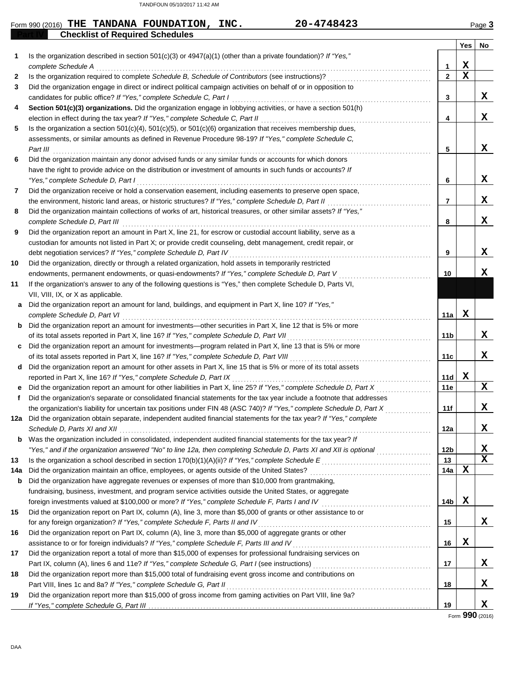|  |  | Form 990 (2016) THE TANDANA FOUNDATION, | INC. | 20-4748423 | Page |
|--|--|-----------------------------------------|------|------------|------|
|  |  |                                         |      |            |      |

|     | <b>Checklist of Required Schedules</b>                                                                                                                                                                                       |                 |             |              |
|-----|------------------------------------------------------------------------------------------------------------------------------------------------------------------------------------------------------------------------------|-----------------|-------------|--------------|
|     |                                                                                                                                                                                                                              |                 | Yes         | No           |
| 1   | Is the organization described in section 501(c)(3) or $4947(a)(1)$ (other than a private foundation)? If "Yes,"                                                                                                              |                 |             |              |
|     | complete Schedule A                                                                                                                                                                                                          | 1               | X           |              |
| 2   | Is the organization required to complete Schedule B, Schedule of Contributors (see instructions)?                                                                                                                            | $\overline{2}$  | $\mathbf x$ |              |
| 3   | Did the organization engage in direct or indirect political campaign activities on behalf of or in opposition to                                                                                                             |                 |             |              |
|     | candidates for public office? If "Yes," complete Schedule C, Part I                                                                                                                                                          | 3               |             | x            |
| 4   | Section 501(c)(3) organizations. Did the organization engage in lobbying activities, or have a section 501(h)                                                                                                                |                 |             |              |
|     | election in effect during the tax year? If "Yes," complete Schedule C, Part II                                                                                                                                               | 4               |             | x            |
| 5   | Is the organization a section $501(c)(4)$ , $501(c)(5)$ , or $501(c)(6)$ organization that receives membership dues,                                                                                                         |                 |             |              |
|     | assessments, or similar amounts as defined in Revenue Procedure 98-19? If "Yes," complete Schedule C,                                                                                                                        |                 |             |              |
|     | Part III                                                                                                                                                                                                                     | 5               |             | X            |
| 6   | Did the organization maintain any donor advised funds or any similar funds or accounts for which donors                                                                                                                      |                 |             |              |
|     | have the right to provide advice on the distribution or investment of amounts in such funds or accounts? If                                                                                                                  |                 |             |              |
|     | "Yes," complete Schedule D, Part I                                                                                                                                                                                           | 6               |             | X            |
| 7   | Did the organization receive or hold a conservation easement, including easements to preserve open space,                                                                                                                    |                 |             |              |
|     | the environment, historic land areas, or historic structures? If "Yes," complete Schedule D, Part II                                                                                                                         | 7               |             | x            |
| 8   | Did the organization maintain collections of works of art, historical treasures, or other similar assets? If "Yes,"                                                                                                          |                 |             |              |
|     | complete Schedule D, Part III                                                                                                                                                                                                | 8               |             | x            |
| 9   | Did the organization report an amount in Part X, line 21, for escrow or custodial account liability, serve as a                                                                                                              |                 |             |              |
|     | custodian for amounts not listed in Part X; or provide credit counseling, debt management, credit repair, or                                                                                                                 |                 |             |              |
|     | debt negotiation services? If "Yes," complete Schedule D, Part IV                                                                                                                                                            | 9               |             | X            |
| 10  | Did the organization, directly or through a related organization, hold assets in temporarily restricted                                                                                                                      |                 |             |              |
|     | endowments, permanent endowments, or quasi-endowments? If "Yes," complete Schedule D, Part V                                                                                                                                 | 10              |             | x            |
| 11  | If the organization's answer to any of the following questions is "Yes," then complete Schedule D, Parts VI,                                                                                                                 |                 |             |              |
|     | VII, VIII, IX, or X as applicable.                                                                                                                                                                                           |                 |             |              |
| а   | Did the organization report an amount for land, buildings, and equipment in Part X, line 10? If "Yes,"                                                                                                                       |                 |             |              |
|     | complete Schedule D, Part VI                                                                                                                                                                                                 | 11a             | х           |              |
| b   | Did the organization report an amount for investments—other securities in Part X, line 12 that is 5% or more                                                                                                                 |                 |             |              |
|     | of its total assets reported in Part X, line 16? If "Yes," complete Schedule D, Part VII                                                                                                                                     | 11 <sub>b</sub> |             | x            |
| c   | Did the organization report an amount for investments—program related in Part X, line 13 that is 5% or more                                                                                                                  |                 |             |              |
|     | of its total assets reported in Part X, line 16? If "Yes," complete Schedule D, Part VIII                                                                                                                                    | 11c             |             | x            |
| d   | Did the organization report an amount for other assets in Part X, line 15 that is 5% or more of its total assets                                                                                                             |                 |             |              |
|     | reported in Part X, line 16? If "Yes," complete Schedule D, Part IX                                                                                                                                                          | 11d             | X           |              |
|     | Did the organization report an amount for other liabilities in Part X, line 25? If "Yes," complete Schedule D, Part X                                                                                                        | 11e             |             | $\mathbf{x}$ |
| f   | Did the organization's separate or consolidated financial statements for the tax year include a footnote that addresses                                                                                                      |                 |             |              |
|     | the organization's liability for uncertain tax positions under FIN 48 (ASC 740)? If "Yes," complete Schedule D, Part X                                                                                                       | 11f             |             | x            |
|     | 12a Did the organization obtain separate, independent audited financial statements for the tax year? If "Yes," complete                                                                                                      |                 |             |              |
|     |                                                                                                                                                                                                                              | 12a             |             | X            |
| b   | Was the organization included in consolidated, independent audited financial statements for the tax year? If                                                                                                                 |                 |             |              |
|     | "Yes," and if the organization answered "No" to line 12a, then completing Schedule D, Parts XI and XII is optional                                                                                                           | 12 <sub>b</sub> |             | X            |
| 13  |                                                                                                                                                                                                                              | 13              |             | $\mathbf x$  |
| 14a | Did the organization maintain an office, employees, or agents outside of the United States?                                                                                                                                  | 14a             | X           |              |
| b   | Did the organization have aggregate revenues or expenses of more than \$10,000 from grantmaking,                                                                                                                             |                 |             |              |
|     |                                                                                                                                                                                                                              |                 |             |              |
|     | fundraising, business, investment, and program service activities outside the United States, or aggregate<br>foreign investments valued at \$100,000 or more? If "Yes," complete Schedule F, Parts I and IV [[[[[[[[[[[[[[[[ | 14b             | х           |              |
|     | Did the organization report on Part IX, column (A), line 3, more than \$5,000 of grants or other assistance to or                                                                                                            |                 |             |              |
| 15  |                                                                                                                                                                                                                              |                 |             | x            |
|     | for any foreign organization? If "Yes," complete Schedule F, Parts II and IV                                                                                                                                                 | 15              |             |              |
| 16  | Did the organization report on Part IX, column (A), line 3, more than \$5,000 of aggregate grants or other                                                                                                                   |                 | X           |              |
|     | assistance to or for foreign individuals? If "Yes," complete Schedule F, Parts III and IV                                                                                                                                    | 16              |             |              |
| 17  | Did the organization report a total of more than \$15,000 of expenses for professional fundraising services on                                                                                                               |                 |             |              |
|     |                                                                                                                                                                                                                              | 17              |             | x            |
| 18  | Did the organization report more than \$15,000 total of fundraising event gross income and contributions on                                                                                                                  |                 |             |              |
|     | Part VIII, lines 1c and 8a? If "Yes," complete Schedule G, Part II                                                                                                                                                           | 18              |             | X.           |
| 19  | Did the organization report more than \$15,000 of gross income from gaming activities on Part VIII, line 9a?                                                                                                                 |                 |             |              |
|     | If "Yes," complete Schedule G, Part III                                                                                                                                                                                      | 19              |             | x            |

Form **990** (2016)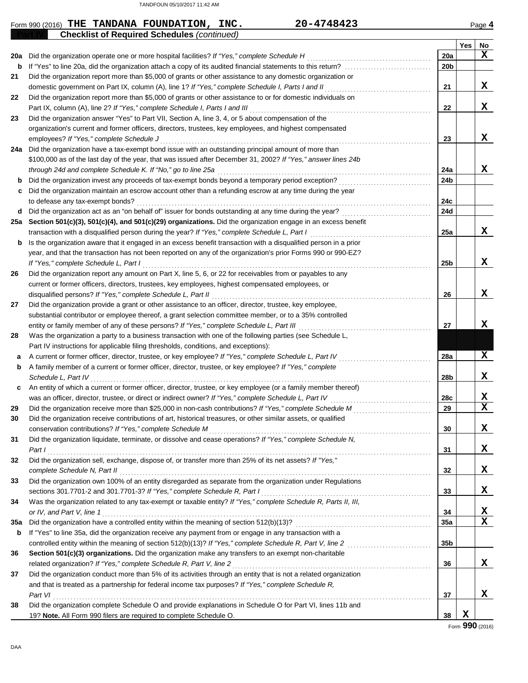### **Yes No Form 990 (2016) THE TANDANA FOUNDATION, INC.** 20-4748423 Page 4 **Checklist of Required Schedules** *(continued)* **28 a** A current or former officer, director, trustee, or key employee? *If "Yes," complete Schedule L, Part IV* . . . . . . . . . . . . . . . . . . . . . . . . . . . . . . . . **b c 29 30 31 32 33 34 35a** Did the organization have a controlled entity within the meaning of section 512(b)(13)? . . . . . . . . . . . . . . . . . . . . . . . . . . . . . . . . . . . . . . . . . . . . . . . **36 37** Was the organization a party to a business transaction with one of the following parties (see Schedule L, A family member of a current or former officer, director, trustee, or key employee? *If "Yes," complete* Schedule L, Part IV An entity of which a current or former officer, director, trustee, or key employee (or a family member thereof) was an officer, director, trustee, or direct or indirect owner? *If "Yes," complete Schedule L, Part IV* . . . . . . . . . . . . . . . . . . . . . . . . . . . . . . . . . . . Did the organization receive more than \$25,000 in non-cash contributions? *If "Yes," complete Schedule M* . . . . . . . . . . . . . . . . . . . . . . . . . . . Did the organization receive contributions of art, historical treasures, or other similar assets, or qualified conservation contributions? *If "Yes," complete Schedule M* . . . . . . . . . . . . . . . . . . . . . . . . . . . . . . . . . . . . . . . . . . . . . . . . . . . . . . . . . . . . . . . . . . . . . . . . . . . . . Did the organization liquidate, terminate, or dissolve and cease operations? *If "Yes," complete Schedule N, Part I* . . . . . . . . . . . . . . . . . . . . . . . . . . . . . . . . . . . . . . . . . . . . . . . . . . . . . . . . . . . . . . . . . . . . . . . . . . . . . . . . . . . . . . . . . . . . . . . . . . . . . . . . . . . . . . . . . . . . . . . . . . . . . . . . . . . . . Did the organization sell, exchange, dispose of, or transfer more than 25% of its net assets? *If "Yes," complete Schedule N, Part II* . . . . . . . . . . . . . . . . . . . . . . . . . . . . . . . . . . . . . . . . . . . . . . . . . . . . . . . . . . . . . . . . . . . . . . . . . . . . . . . . . . . . . . . . . . . . . . . . . . . . . . . . . . . . Did the organization own 100% of an entity disregarded as separate from the organization under Regulations sections 301.7701-2 and 301.7701-3? *If "Yes," complete Schedule R, Part I* . . . . . . . . . . . . . . . . . . . . . . . . . . . . . . . . . . . . . . . . . . . . . . . . . . . . . . . . . . . Was the organization related to any tax-exempt or taxable entity? *If "Yes," complete Schedule R, Parts II, III, or IV, and Part V, line 1* . . . . . . . . . . . . . . . . . . . . . . . . . . . . . . . . . . . . . . . . . . . . . . . . . . . . . . . . . . . . . . . . . . . . . . . . . . . . . . . . . . . . . . . . . . . . . . . . . . . . . . . . . . . . . . . . . . **b** If "Yes" to line 35a, did the organization receive any payment from or engage in any transaction with a **Section 501(c)(3) organizations.** Did the organization make any transfers to an exempt non-charitable related organization? *If "Yes," complete Schedule R, Part V, line 2* . . . . . . . . . . . . . . . . . . . . . . . . . . . . . . . . . . . . . . . . . . . . . . . . . . . . . . . . . . . . . . . . . . . . . Did the organization conduct more than 5% of its activities through an entity that is not a related organization and that is treated as a partnership for federal income tax purposes? *If "Yes," complete Schedule R,* **37 36 35a 34 33 32 31 30 29 28a 28b 28c** *Part VI* . . . . . . . . . . . . . . . . . . . . . . . . . . . . . . . . . . . . . . . . . . . . . . . . . . . . . . . . . . . . . . . . . . . . . . . . . . . . . . . . . . . . . . . . . . . . . . . . . . . . . . . . . . . . . . . . . . . . . . . . . . . . . . . . . . . **21 22 23 24a 24b 24c 24d 25a 25b 26 27** substantial contributor or employee thereof, a grant selection committee member, or to a 35% controlled Did the organization provide a grant or other assistance to an officer, director, trustee, key employee, current or former officers, directors, trustees, key employees, highest compensated employees, or Did the organization report any amount on Part X, line 5, 6, or 22 for receivables from or payables to any year, and that the transaction has not been reported on any of the organization's prior Forms 990 or 990-EZ? **b** Is the organization aware that it engaged in an excess benefit transaction with a disqualified person in a prior transaction with a disqualified person during the year? *If "Yes," complete Schedule L, Part I* . . . . . . . . . . . . . . . . . . . . . . . . . . . . . . . . . . . . . . . . . . **Section 501(c)(3), 501(c)(4), and 501(c)(29) organizations.** Did the organization engage in an excess benefit **25a** d Did the organization act as an "on behalf of" issuer for bonds outstanding at any time during the year? <sub>……………………………………</sub> to defease any tax-exempt bonds? . . . . . . . . . . . . . . . . . . . . . . . . . . . . . . . . . . . . . . . . . . . . . . . . . . . . . . . . . . . . . . . . . . . . . . . . . . . . . . . . . . . . . . . . . . . . . . . . . . . . . . Did the organization maintain an escrow account other than a refunding escrow at any time during the year **c** Did the organization invest any proceeds of tax-exempt bonds beyond a temporary period exception? . . . . . . . . . . . . . . . . . . . . . . . . . . . . . . . . **b** *through 24d and complete Schedule K. If "No," go to line 25a* . . . . . . . . . . . . . . . . . . . . . . . . . . . . . . . . . . . . . . . . . . . . . . . . . . . . . . . . . . . . . . . . . . . . . . . . . . \$100,000 as of the last day of the year, that was issued after December 31, 2002? *If "Yes," answer lines 24b* Did the organization have a tax-exempt bond issue with an outstanding principal amount of more than **24a** organization's current and former officers, directors, trustees, key employees, and highest compensated Did the organization answer "Yes" to Part VII, Section A, line 3, 4, or 5 about compensation of the Did the organization report more than \$5,000 of grants or other assistance to or for domestic individuals on Did the organization report more than \$5,000 of grants or other assistance to any domestic organization or **27 26 23 22 21** domestic government on Part IX, column (A), line 1? *If "Yes," complete Schedule I, Parts I and II* . . . . . . . . . . . . . . . . . . . . . . . . . . . . . . . . . . . . . Part IX, column (A), line 2? *If "Yes," complete Schedule I, Parts I and III* . . . . . . . . . . . . . . . . . . . . . . . . . . . . . . . . . . . . . . . . . . . . . . . . . . . . . . . . . . . . . . . employees? *If "Yes," complete Schedule J* . . . . . . . . . . . . . . . . . . . . . . . . . . . . . . . . . . . . . . . . . . . . . . . . . . . . . . . . . . . . . . . . . . . . . . . . . . . . . . . . . . . . . . . . . . . . . . *If "Yes," complete Schedule L, Part I* . . . . . . . . . . . . . . . . . . . . . . . . . . . . . . . . . . . . . . . . . . . . . . . . . . . . . . . . . . . . . . . . . . . . . . . . . . . . . . . . . . . . . . . . . . . . . . . . . . . . entity or family member of any of these persons? If "Yes,*" complete Schedule L, Part III* ……………………………………………………… Part IV instructions for applicable filing thresholds, conditions, and exceptions): **38** Did the organization complete Schedule O and provide explanations in Schedule O for Part VI, lines 11b and controlled entity within the meaning of section 512(b)(13)? *If "Yes," complete Schedule R, Part V, line 2* . . . . . . . . . . . . . . . . . . . . . . . . . . . . . **35b** disqualified persons? *If "Yes," complete Schedule L, Part II* . . . . . . . . . . . . . . . . . . . . . . . . . . . . . . . . . . . . . . . . . . . . . . . . . . . . . . . . . . . . . . . . . . . . . . . . . . . . **20b 20a b** If "Yes" to line 20a, did the organization attach a copy of its audited financial statements to this return? . . . . . . . . . . . . . . . . . . . . . . . . . . . . . . Did the organization operate one or more hospital facilities? *If "Yes," complete Schedule H* . . . . . . . . . . . . . . . . . . . . . . . . . . . . . . . . . . . . . . . . . . . **20a X X X X X X X X X X X X X X X X X X X X X X**

19? **Note.** All Form 990 filers are required to complete Schedule O. **38**

Form **990** (2016)

|--|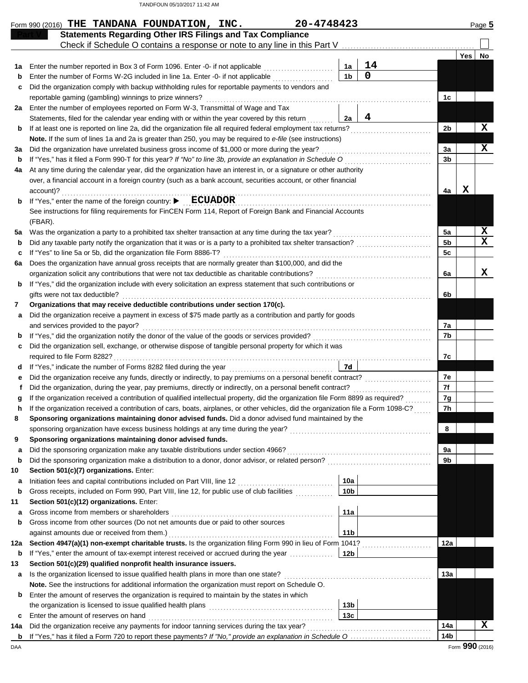|         | <b>Statements Regarding Other IRS Filings and Tax Compliance</b><br>Check if Schedule O contains a response or note to any line in this Part V                                                             |                 |             |                |   |             |
|---------|------------------------------------------------------------------------------------------------------------------------------------------------------------------------------------------------------------|-----------------|-------------|----------------|---|-------------|
|         |                                                                                                                                                                                                            |                 |             |                |   | Yes No      |
| 1а      | Enter the number reported in Box 3 of Form 1096. Enter -0- if not applicable                                                                                                                               | 1a              | 14          |                |   |             |
| b       | Enter the number of Forms W-2G included in line 1a. Enter -0- if not applicable                                                                                                                            | 1 <sub>b</sub>  | $\mathbf 0$ |                |   |             |
| c       | Did the organization comply with backup withholding rules for reportable payments to vendors and                                                                                                           |                 |             |                |   |             |
|         | reportable gaming (gambling) winnings to prize winners?                                                                                                                                                    |                 |             | 1c             |   |             |
| 2a      | Enter the number of employees reported on Form W-3, Transmittal of Wage and Tax                                                                                                                            |                 |             |                |   |             |
|         | Statements, filed for the calendar year ending with or within the year covered by this return                                                                                                              | 2a              | 4           |                |   | X           |
| b       | If at least one is reported on line 2a, did the organization file all required federal employment tax returns?                                                                                             |                 |             | 2 <sub>b</sub> |   |             |
|         | Note. If the sum of lines 1a and 2a is greater than 250, you may be required to e-file (see instructions)<br>Did the organization have unrelated business gross income of \$1,000 or more during the year? |                 |             | 3a             |   | X           |
| За<br>b | If "Yes," has it filed a Form 990-T for this year? If "No" to line 3b, provide an explanation in Schedule O                                                                                                |                 |             | 3b             |   |             |
| 4a      | At any time during the calendar year, did the organization have an interest in, or a signature or other authority                                                                                          |                 |             |                |   |             |
|         | over, a financial account in a foreign country (such as a bank account, securities account, or other financial                                                                                             |                 |             |                |   |             |
|         | account)?                                                                                                                                                                                                  |                 |             | 4a             | X |             |
| b       | If "Yes," enter the name of the foreign country: ▶ ECUADOR                                                                                                                                                 |                 |             |                |   |             |
|         | See instructions for filing requirements for FinCEN Form 114, Report of Foreign Bank and Financial Accounts                                                                                                |                 |             |                |   |             |
|         | (FBAR).                                                                                                                                                                                                    |                 |             |                |   |             |
| 5a      | Was the organization a party to a prohibited tax shelter transaction at any time during the tax year?                                                                                                      |                 |             | 5a             |   | X           |
| b       | Did any taxable party notify the organization that it was or is a party to a prohibited tax shelter transaction?                                                                                           |                 |             | 5 <sub>b</sub> |   | $\mathbf x$ |
| c       | If "Yes" to line 5a or 5b, did the organization file Form 8886-T?                                                                                                                                          |                 |             | 5c             |   |             |
| 6а      | Does the organization have annual gross receipts that are normally greater than \$100,000, and did the                                                                                                     |                 |             |                |   |             |
|         | organization solicit any contributions that were not tax deductible as charitable contributions?                                                                                                           |                 |             | 6а             |   | X           |
| b       | If "Yes," did the organization include with every solicitation an express statement that such contributions or                                                                                             |                 |             |                |   |             |
|         | gifts were not tax deductible?                                                                                                                                                                             |                 |             | 6b             |   |             |
| 7       | Organizations that may receive deductible contributions under section 170(c).                                                                                                                              |                 |             |                |   |             |
| а       | Did the organization receive a payment in excess of \$75 made partly as a contribution and partly for goods                                                                                                |                 |             |                |   |             |
|         | and services provided to the payor?                                                                                                                                                                        |                 |             | 7a             |   |             |
| b       | If "Yes," did the organization notify the donor of the value of the goods or services provided?                                                                                                            |                 |             | 7b             |   |             |
| c       | Did the organization sell, exchange, or otherwise dispose of tangible personal property for which it was                                                                                                   |                 |             |                |   |             |
|         | required to file Form 8282?                                                                                                                                                                                |                 |             | 7c             |   |             |
| d       | If "Yes," indicate the number of Forms 8282 filed during the year                                                                                                                                          | 7d              |             |                |   |             |
| е       | Did the organization receive any funds, directly or indirectly, to pay premiums on a personal benefit contract?                                                                                            |                 |             | 7e             |   |             |
|         | Did the organization, during the year, pay premiums, directly or indirectly, on a personal benefit contract?                                                                                               |                 |             | 7f             |   |             |
| g       | If the organization received a contribution of qualified intellectual property, did the organization file Form 8899 as required?                                                                           |                 |             | 7g             |   |             |
| h       | If the organization received a contribution of cars, boats, airplanes, or other vehicles, did the organization file a Form 1098-C?                                                                         |                 |             | 7h             |   |             |
|         | Sponsoring organizations maintaining donor advised funds. Did a donor advised fund maintained by the                                                                                                       |                 |             |                |   |             |
|         | sponsoring organization have excess business holdings at any time during the year?                                                                                                                         |                 |             | 8              |   |             |
| 9       | Sponsoring organizations maintaining donor advised funds.                                                                                                                                                  |                 |             |                |   |             |
| a       | Did the sponsoring organization make any taxable distributions under section 4966?                                                                                                                         |                 |             | 9а             |   |             |
| b       | Did the sponsoring organization make a distribution to a donor, donor advisor, or related person?                                                                                                          |                 |             | 9b             |   |             |
| 10      | Section 501(c)(7) organizations. Enter:                                                                                                                                                                    |                 |             |                |   |             |
| а       |                                                                                                                                                                                                            | 10a             |             |                |   |             |
| b       | Gross receipts, included on Form 990, Part VIII, line 12, for public use of club facilities                                                                                                                | 10 <sub>b</sub> |             |                |   |             |
| 11      | Section 501(c)(12) organizations. Enter:                                                                                                                                                                   |                 |             |                |   |             |
| а       | Gross income from members or shareholders                                                                                                                                                                  | 11a             |             |                |   |             |
| b       | Gross income from other sources (Do not net amounts due or paid to other sources                                                                                                                           | 11 <sub>b</sub> |             |                |   |             |
| 12a     | against amounts due or received from them.)<br>Section 4947(a)(1) non-exempt charitable trusts. Is the organization filing Form 990 in lieu of Form 1041?                                                  |                 |             | 12a            |   |             |
| b       | If "Yes," enter the amount of tax-exempt interest received or accrued during the year                                                                                                                      | 12 <sub>b</sub> |             |                |   |             |
| 13      | Section 501(c)(29) qualified nonprofit health insurance issuers.                                                                                                                                           |                 |             |                |   |             |
| а       | Is the organization licensed to issue qualified health plans in more than one state?                                                                                                                       |                 |             | 13а            |   |             |
|         | Note. See the instructions for additional information the organization must report on Schedule O.                                                                                                          |                 |             |                |   |             |
| b       | Enter the amount of reserves the organization is required to maintain by the states in which                                                                                                               |                 |             |                |   |             |
|         | the organization is licensed to issue qualified health plans                                                                                                                                               | 13 <sub>b</sub> |             |                |   |             |
| с       | Enter the amount of reserves on hand                                                                                                                                                                       | 13c             |             |                |   |             |
| 14a     | Did the organization receive any payments for indoor tanning services during the tax year?                                                                                                                 |                 |             | 14a            |   | X           |
|         |                                                                                                                                                                                                            |                 |             | 14b            |   |             |

**Form 990 (2016) THE TANDANA FOUNDATION, INC.** 20-4748423 Page 5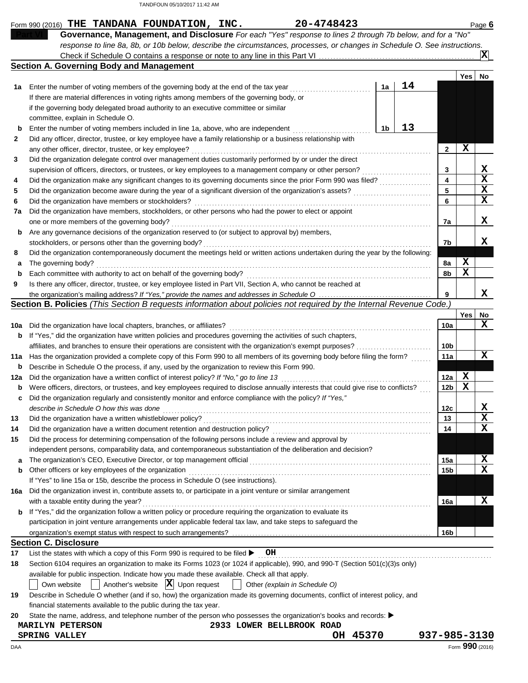|     | 20-4748423<br>Form 990 (2016) THE TANDANA FOUNDATION, INC.<br>Governance, Management, and Disclosure For each "Yes" response to lines 2 through 7b below, and for a "No"                |                 |             | Page 6                  |
|-----|-----------------------------------------------------------------------------------------------------------------------------------------------------------------------------------------|-----------------|-------------|-------------------------|
|     | response to line 8a, 8b, or 10b below, describe the circumstances, processes, or changes in Schedule O. See instructions.                                                               |                 |             |                         |
|     |                                                                                                                                                                                         |                 |             | $ \mathbf{x} $          |
|     | <b>Section A. Governing Body and Management</b>                                                                                                                                         |                 |             |                         |
|     | 14                                                                                                                                                                                      |                 | Yes         | No                      |
| 1а  | Enter the number of voting members of the governing body at the end of the tax year<br>1a<br>If there are material differences in voting rights among members of the governing body, or |                 |             |                         |
|     | if the governing body delegated broad authority to an executive committee or similar                                                                                                    |                 |             |                         |
|     | committee, explain in Schedule O.                                                                                                                                                       |                 |             |                         |
| b   | 13<br>Enter the number of voting members included in line 1a, above, who are independent<br>1b                                                                                          |                 |             |                         |
| 2   | Did any officer, director, trustee, or key employee have a family relationship or a business relationship with                                                                          |                 |             |                         |
|     | any other officer, director, trustee, or key employee?                                                                                                                                  | $\mathbf{2}$    | X           |                         |
| 3   | Did the organization delegate control over management duties customarily performed by or under the direct                                                                               |                 |             |                         |
|     | supervision of officers, directors, or trustees, or key employees to a management company or other person?                                                                              | 3               |             | X                       |
| 4   | Did the organization make any significant changes to its governing documents since the prior Form 990 was filed?                                                                        | 4               |             | $\overline{\mathbf{x}}$ |
| 5   | Did the organization become aware during the year of a significant diversion of the organization's assets?                                                                              | 5               |             | X                       |
| 6   | Did the organization have members or stockholders?                                                                                                                                      | 6               |             | X                       |
| 7a  | Did the organization have members, stockholders, or other persons who had the power to elect or appoint                                                                                 |                 |             |                         |
|     | one or more members of the governing body?                                                                                                                                              | 7a              |             | x                       |
| b   | Are any governance decisions of the organization reserved to (or subject to approval by) members,                                                                                       |                 |             |                         |
|     | stockholders, or persons other than the governing body?                                                                                                                                 | 7b              |             | x                       |
| 8   | Did the organization contemporaneously document the meetings held or written actions undertaken during the year by the following:                                                       |                 |             |                         |
| a   | The governing body?                                                                                                                                                                     | 8а              | х           |                         |
| b   | Each committee with authority to act on behalf of the governing body?                                                                                                                   | 8b              | $\mathbf x$ |                         |
| 9   | Is there any officer, director, trustee, or key employee listed in Part VII, Section A, who cannot be reached at                                                                        |                 |             |                         |
|     |                                                                                                                                                                                         | 9               |             | x                       |
|     | Section B. Policies (This Section B requests information about policies not required by the Internal Revenue Code.)                                                                     |                 | Yes         | No                      |
| 10a | Did the organization have local chapters, branches, or affiliates?                                                                                                                      | 10a             |             | X                       |
| b   | If "Yes," did the organization have written policies and procedures governing the activities of such chapters,                                                                          |                 |             |                         |
|     | affiliates, and branches to ensure their operations are consistent with the organization's exempt purposes?                                                                             | 10 <sub>b</sub> |             |                         |
| 11a | Has the organization provided a complete copy of this Form 990 to all members of its governing body before filing the form?                                                             | 11a             |             | x                       |
| b   | Describe in Schedule O the process, if any, used by the organization to review this Form 990.                                                                                           |                 |             |                         |
| 12a | Did the organization have a written conflict of interest policy? If "No," go to line 13                                                                                                 | 12a             | X           |                         |
| b   | Were officers, directors, or trustees, and key employees required to disclose annually interests that could give rise to conflicts?                                                     | 12 <sub>b</sub> | $\mathbf x$ |                         |
| c   | Did the organization regularly and consistently monitor and enforce compliance with the policy? If "Yes,"                                                                               |                 |             |                         |
|     | describe in Schedule O how this was done                                                                                                                                                | 12c             |             | х                       |
| 13  | Did the organization have a written whistleblower policy?                                                                                                                               | 13              |             | X                       |
| 14  | Did the organization have a written document retention and destruction policy?                                                                                                          | 14              |             | $\mathbf x$             |
| 15  | Did the process for determining compensation of the following persons include a review and approval by                                                                                  |                 |             |                         |
|     | independent persons, comparability data, and contemporaneous substantiation of the deliberation and decision?                                                                           |                 |             |                         |
| а   | Other officers or key employees of the organization                                                                                                                                     | 15a             |             | x<br>$\mathbf x$        |
| b   | If "Yes" to line 15a or 15b, describe the process in Schedule O (see instructions).                                                                                                     | 15 <sub>b</sub> |             |                         |
| 16a | Did the organization invest in, contribute assets to, or participate in a joint venture or similar arrangement                                                                          |                 |             |                         |
|     | with a taxable entity during the year?                                                                                                                                                  | 16a             |             | $\mathbf x$             |
| b   | If "Yes," did the organization follow a written policy or procedure requiring the organization to evaluate its                                                                          |                 |             |                         |
|     | participation in joint venture arrangements under applicable federal tax law, and take steps to safeguard the                                                                           |                 |             |                         |
|     |                                                                                                                                                                                         | 16 <sub>b</sub> |             |                         |
|     | <b>Section C. Disclosure</b>                                                                                                                                                            |                 |             |                         |
| 17  | List the states with which a copy of this Form 990 is required to be filed $\blacktriangleright$ OH                                                                                     |                 |             |                         |
| 18  | Section 6104 requires an organization to make its Forms 1023 (or 1024 if applicable), 990, and 990-T (Section 501(c)(3)s only)                                                          |                 |             |                         |
|     | available for public inspection. Indicate how you made these available. Check all that apply.                                                                                           |                 |             |                         |
|     | $\vert$ Another's website $\vert X \vert$ Upon request<br>Other (explain in Schedule O)<br>Own website                                                                                  |                 |             |                         |
| 19  | Describe in Schedule O whether (and if so, how) the organization made its governing documents, conflict of interest policy, and                                                         |                 |             |                         |
|     | financial statements available to the public during the tax year.                                                                                                                       |                 |             |                         |

**20** State the name, address, and telephone number of the person who possesses the organization's books and records:

| <b>MARILYN PETERSON</b> | 2933 LOWER BELLBROOK ROAD |                 |
|-------------------------|---------------------------|-----------------|
| <b>SPRING VALLEY</b>    | 45370<br>OН               | 937-985-3130    |
| DAA                     |                           | Form 990 (2016) |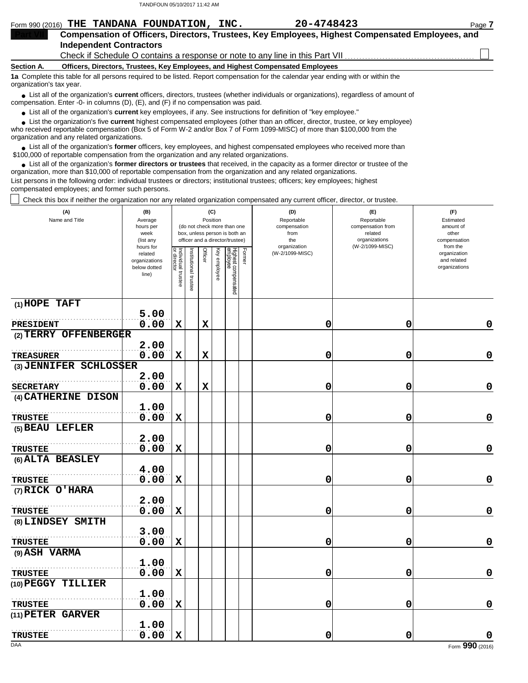|                   |                                                                                                                                                               |  | Form 990 (2016) THE TANDANA FOUNDATION, INC.                                      |  | 20-4748423                                                                                                                                    | Page 7 |  |  |  |  |
|-------------------|---------------------------------------------------------------------------------------------------------------------------------------------------------------|--|-----------------------------------------------------------------------------------|--|-----------------------------------------------------------------------------------------------------------------------------------------------|--------|--|--|--|--|
|                   |                                                                                                                                                               |  |                                                                                   |  | Compensation of Officers, Directors, Trustees, Key Employees, Highest Compensated Employees, and                                              |        |  |  |  |  |
|                   | <b>Independent Contractors</b>                                                                                                                                |  |                                                                                   |  |                                                                                                                                               |        |  |  |  |  |
|                   |                                                                                                                                                               |  |                                                                                   |  |                                                                                                                                               |        |  |  |  |  |
| <b>Section A.</b> |                                                                                                                                                               |  |                                                                                   |  | Officers, Directors, Trustees, Key Employees, and Highest Compensated Employees                                                               |        |  |  |  |  |
|                   | 1a Complete this table for all persons required to be listed. Report compensation for the calendar year ending with or within the<br>organization's tax year. |  |                                                                                   |  |                                                                                                                                               |        |  |  |  |  |
|                   |                                                                                                                                                               |  | compensation. Enter -0- in columns (D), (E), and (F) if no compensation was paid. |  | • List all of the organization's <b>current</b> officers, directors, trustees (whether individuals or organizations), regardless of amount of |        |  |  |  |  |

● List all of the organization's **current** key employees, if any. See instructions for definition of "key employee."

who received reportable compensation (Box 5 of Form W-2 and/or Box 7 of Form 1099-MISC) of more than \$100,000 from the organization and any related organizations. ■ List the organization's five **current** highest compensated employees (other than an officer, director, trustee, or key employee)<br> **•** Presented compression (Box 5 of Ferm W 2 and/or Box 7 of Ferm 1000 MISC) of mare than

List all of the organization's **former** officers, key employees, and highest compensated employees who received more than ● List all of the organization's former officers, key employees, and highest compensate \$100,000 of reportable compensation from the organization and any related organizations.

List all of the organization's **former directors or trustees** that received, in the capacity as a former director or trustee of the ● List all of the organization's former directors or trustees that received, in the capacity as a former director organization, more than \$10,000 of reportable compensation from the organization and any related organizati

List persons in the following order: individual trustees or directors; institutional trustees; officers; key employees; highest compensated employees; and former such persons.

Check this box if neither the organization nor any related organization compensated any current officer, director, or trustee.

| (A)<br>Name and Title                     | (B)<br>Average<br>hours per<br>week<br>(list any               | (C)<br>Position<br>(do not check more than one<br>box, unless person is both an<br>officer and a director/trustee) |                      |             |              |                                           |  | (D)<br>Reportable<br>compensation<br>from<br>the | (E)<br>Reportable<br>compensation from<br>related<br>organizations<br>(W-2/1099-MISC) | (F)<br>Estimated<br>amount of<br>other<br>compensation   |
|-------------------------------------------|----------------------------------------------------------------|--------------------------------------------------------------------------------------------------------------------|----------------------|-------------|--------------|-------------------------------------------|--|--------------------------------------------------|---------------------------------------------------------------------------------------|----------------------------------------------------------|
|                                           | hours for<br>related<br>organizations<br>below dotted<br>line) | Individual trustee<br>or director                                                                                  | nstitutional trustee | Officer     | Key employee | Highest compensated<br>employee<br>Former |  | organization<br>(W-2/1099-MISC)                  |                                                                                       | from the<br>organization<br>and related<br>organizations |
| $(1)$ HOPE TAFT                           |                                                                |                                                                                                                    |                      |             |              |                                           |  |                                                  |                                                                                       |                                                          |
|                                           | 5.00<br>0.00                                                   | $\mathbf x$                                                                                                        |                      | X           |              |                                           |  | 0                                                | 0                                                                                     | 0                                                        |
| <b>PRESIDENT</b><br>(2) TERRY OFFENBERGER |                                                                |                                                                                                                    |                      |             |              |                                           |  |                                                  |                                                                                       |                                                          |
|                                           | 2.00                                                           |                                                                                                                    |                      |             |              |                                           |  |                                                  |                                                                                       |                                                          |
| <b>TREASURER</b>                          | 0.00                                                           | $\mathbf x$                                                                                                        |                      | $\mathbf x$ |              |                                           |  | 0                                                | 0                                                                                     | $\mathbf 0$                                              |
| (3) JENNIFER SCHLOS\$ER                   |                                                                |                                                                                                                    |                      |             |              |                                           |  |                                                  |                                                                                       |                                                          |
|                                           | 2.00                                                           |                                                                                                                    |                      |             |              |                                           |  |                                                  |                                                                                       |                                                          |
| <b>SECRETARY</b>                          | 0.00                                                           | $\mathbf x$                                                                                                        |                      | $\mathbf x$ |              |                                           |  | 0                                                | 0                                                                                     | 0                                                        |
| (4) CATHERINE DISON                       |                                                                |                                                                                                                    |                      |             |              |                                           |  |                                                  |                                                                                       |                                                          |
|                                           | 1.00                                                           |                                                                                                                    |                      |             |              |                                           |  |                                                  |                                                                                       |                                                          |
| <b>TRUSTEE</b>                            | 0.00                                                           | $\mathbf x$                                                                                                        |                      |             |              |                                           |  | 0                                                | 0                                                                                     | $\mathbf 0$                                              |
| (5) BEAU LEFLER                           |                                                                |                                                                                                                    |                      |             |              |                                           |  |                                                  |                                                                                       |                                                          |
|                                           | 2.00                                                           |                                                                                                                    |                      |             |              |                                           |  |                                                  |                                                                                       |                                                          |
| <b>TRUSTEE</b>                            | 0.00                                                           | $\mathbf x$                                                                                                        |                      |             |              |                                           |  | 0                                                | 0                                                                                     | $\pmb{0}$                                                |
| (6) ALTA BEASLEY                          |                                                                |                                                                                                                    |                      |             |              |                                           |  |                                                  |                                                                                       |                                                          |
|                                           | 4.00                                                           |                                                                                                                    |                      |             |              |                                           |  |                                                  |                                                                                       |                                                          |
| <b>TRUSTEE</b><br>(7) RICK O'HARA         | 0.00                                                           | $\mathbf x$                                                                                                        |                      |             |              |                                           |  | 0                                                | 0                                                                                     | 0                                                        |
|                                           | 2.00                                                           |                                                                                                                    |                      |             |              |                                           |  |                                                  |                                                                                       |                                                          |
| <b>TRUSTEE</b>                            | 0.00                                                           | $\mathbf x$                                                                                                        |                      |             |              |                                           |  | 0                                                | 0                                                                                     | $\mathbf 0$                                              |
| (8) LINDSEY SMITH                         |                                                                |                                                                                                                    |                      |             |              |                                           |  |                                                  |                                                                                       |                                                          |
|                                           | 3.00                                                           |                                                                                                                    |                      |             |              |                                           |  |                                                  |                                                                                       |                                                          |
| <b>TRUSTEE</b>                            | 0.00                                                           | $\mathbf x$                                                                                                        |                      |             |              |                                           |  | 0                                                | 0                                                                                     | $\mathbf 0$                                              |
| (9) ASH VARMA                             |                                                                |                                                                                                                    |                      |             |              |                                           |  |                                                  |                                                                                       |                                                          |
|                                           | 1.00                                                           |                                                                                                                    |                      |             |              |                                           |  |                                                  |                                                                                       |                                                          |
| <b>TRUSTEE</b>                            | 0.00                                                           | $\mathbf x$                                                                                                        |                      |             |              |                                           |  | 0                                                | 0                                                                                     | $\pmb{0}$                                                |
| (10) PEGGY TILLIER                        |                                                                |                                                                                                                    |                      |             |              |                                           |  |                                                  |                                                                                       |                                                          |
|                                           | 1.00                                                           |                                                                                                                    |                      |             |              |                                           |  |                                                  |                                                                                       |                                                          |
| <b>TRUSTEE</b>                            | 0.00                                                           | $\mathbf x$                                                                                                        |                      |             |              |                                           |  | 0                                                | 0                                                                                     | 0                                                        |
| (11) PETER GARVER                         |                                                                |                                                                                                                    |                      |             |              |                                           |  |                                                  |                                                                                       |                                                          |
|                                           | 1.00                                                           |                                                                                                                    |                      |             |              |                                           |  |                                                  |                                                                                       |                                                          |
| <b>TRUSTEE</b><br>DAA                     | 0.00                                                           | $\mathbf x$                                                                                                        |                      |             |              |                                           |  | 0                                                | 0                                                                                     | 0<br>Form 990 (2016)                                     |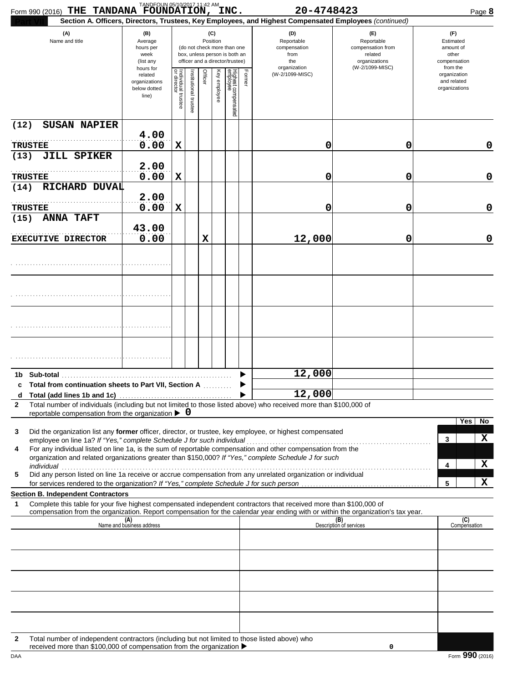| Form 990 (2016) THE TANDANA FOUNDATION, INC.                                                                                                                                                                                                                | TANDFOUN 05/10/2017 11:42 AM                                   |                                   |                      |         |                 |                                                                                                 |        | 20-4748423<br>Section A. Officers, Directors, Trustees, Key Employees, and Highest Compensated Employees (continued) |                                                                    | Page 8                                                   |
|-------------------------------------------------------------------------------------------------------------------------------------------------------------------------------------------------------------------------------------------------------------|----------------------------------------------------------------|-----------------------------------|----------------------|---------|-----------------|-------------------------------------------------------------------------------------------------|--------|----------------------------------------------------------------------------------------------------------------------|--------------------------------------------------------------------|----------------------------------------------------------|
| (A)<br>Name and title                                                                                                                                                                                                                                       | (B)<br>Average<br>hours per<br>week<br>(list any               |                                   |                      |         | (C)<br>Position | (do not check more than one<br>box, unless person is both an<br>officer and a director/trustee) |        | (D)<br>Reportable<br>compensation<br>from<br>the                                                                     | (E)<br>Reportable<br>compensation from<br>related<br>organizations | (F)<br>Estimated<br>amount of<br>other<br>compensation   |
|                                                                                                                                                                                                                                                             | hours for<br>related<br>organizations<br>below dotted<br>line) | Individual trustee<br>or director | nstitutional trustee | Officer | Key employee    | Highest compensated<br>employee                                                                 | Former | organization<br>(W-2/1099-MISC)                                                                                      | (W-2/1099-MISC)                                                    | from the<br>organization<br>and related<br>organizations |
| <b>SUSAN NAPIER</b><br>(12)                                                                                                                                                                                                                                 |                                                                |                                   |                      |         |                 |                                                                                                 |        |                                                                                                                      |                                                                    |                                                          |
| <b>TRUSTEE</b>                                                                                                                                                                                                                                              | 4.00<br>0.00                                                   | X                                 |                      |         |                 |                                                                                                 |        | 0                                                                                                                    | 0                                                                  | 0                                                        |
| <b>JILL SPIKER</b><br>(13)                                                                                                                                                                                                                                  |                                                                |                                   |                      |         |                 |                                                                                                 |        |                                                                                                                      |                                                                    |                                                          |
| <b>TRUSTEE</b>                                                                                                                                                                                                                                              | 2.00<br>0.00                                                   | X                                 |                      |         |                 |                                                                                                 |        | 0                                                                                                                    | 0                                                                  | $\mathbf 0$                                              |
| RICHARD DUVAL<br>(14)                                                                                                                                                                                                                                       |                                                                |                                   |                      |         |                 |                                                                                                 |        |                                                                                                                      |                                                                    |                                                          |
| <b>TRUSTEE</b>                                                                                                                                                                                                                                              | 2.00<br>0.00                                                   | X                                 |                      |         |                 |                                                                                                 |        | 0                                                                                                                    | 0                                                                  | $\mathbf 0$                                              |
| <b>ANNA TAFT</b><br>(15)                                                                                                                                                                                                                                    |                                                                |                                   |                      |         |                 |                                                                                                 |        |                                                                                                                      |                                                                    |                                                          |
| <b>EXECUTIVE DIRECTOR</b>                                                                                                                                                                                                                                   | 43.00<br>0.00                                                  |                                   |                      | X       |                 |                                                                                                 |        | 12,000                                                                                                               | 0                                                                  | $\mathbf 0$                                              |
|                                                                                                                                                                                                                                                             |                                                                |                                   |                      |         |                 |                                                                                                 |        |                                                                                                                      |                                                                    |                                                          |
|                                                                                                                                                                                                                                                             |                                                                |                                   |                      |         |                 |                                                                                                 |        |                                                                                                                      |                                                                    |                                                          |
|                                                                                                                                                                                                                                                             |                                                                |                                   |                      |         |                 |                                                                                                 |        |                                                                                                                      |                                                                    |                                                          |
|                                                                                                                                                                                                                                                             |                                                                |                                   |                      |         |                 |                                                                                                 |        |                                                                                                                      |                                                                    |                                                          |
|                                                                                                                                                                                                                                                             |                                                                |                                   |                      |         |                 |                                                                                                 |        |                                                                                                                      |                                                                    |                                                          |
| 1b Sub-total                                                                                                                                                                                                                                                |                                                                |                                   |                      |         |                 |                                                                                                 |        | 12,000                                                                                                               |                                                                    |                                                          |
| c Total from continuation sheets to Part VII, Section A<br>Total (add lines 1b and 1c)                                                                                                                                                                      |                                                                |                                   |                      |         |                 |                                                                                                 |        | 12,000                                                                                                               |                                                                    |                                                          |
| Total number of individuals (including but not limited to those listed above) who received more than \$100,000 of<br>$\mathbf{2}$<br>reportable compensation from the organization $\triangleright$ 0                                                       |                                                                |                                   |                      |         |                 |                                                                                                 |        |                                                                                                                      |                                                                    |                                                          |
| Did the organization list any former officer, director, or trustee, key employee, or highest compensated<br>3<br>employee on line 1a? If "Yes," complete Schedule J for such individual                                                                     |                                                                |                                   |                      |         |                 |                                                                                                 |        |                                                                                                                      |                                                                    | Yes<br>No<br>X<br>3                                      |
| For any individual listed on line 1a, is the sum of reportable compensation and other compensation from the<br>4<br>organization and related organizations greater than \$150,000? If "Yes," complete Schedule J for such<br>individual                     |                                                                |                                   |                      |         |                 |                                                                                                 |        |                                                                                                                      |                                                                    | X<br>4                                                   |
| Did any person listed on line 1a receive or accrue compensation from any unrelated organization or individual<br>5<br>for services rendered to the organization? If "Yes," complete Schedule J for such person.                                             |                                                                |                                   |                      |         |                 |                                                                                                 |        |                                                                                                                      |                                                                    | X<br>5                                                   |
| <b>Section B. Independent Contractors</b>                                                                                                                                                                                                                   |                                                                |                                   |                      |         |                 |                                                                                                 |        |                                                                                                                      |                                                                    |                                                          |
| Complete this table for your five highest compensated independent contractors that received more than \$100,000 of<br>1<br>compensation from the organization. Report compensation for the calendar year ending with or within the organization's tax year. |                                                                |                                   |                      |         |                 |                                                                                                 |        |                                                                                                                      |                                                                    |                                                          |
|                                                                                                                                                                                                                                                             | (A)<br>Name and business address                               |                                   |                      |         |                 |                                                                                                 |        |                                                                                                                      | (B)<br>Description of services                                     | (C)<br>Compensation                                      |
|                                                                                                                                                                                                                                                             |                                                                |                                   |                      |         |                 |                                                                                                 |        |                                                                                                                      |                                                                    |                                                          |
|                                                                                                                                                                                                                                                             |                                                                |                                   |                      |         |                 |                                                                                                 |        |                                                                                                                      |                                                                    |                                                          |
|                                                                                                                                                                                                                                                             |                                                                |                                   |                      |         |                 |                                                                                                 |        |                                                                                                                      |                                                                    |                                                          |
|                                                                                                                                                                                                                                                             |                                                                |                                   |                      |         |                 |                                                                                                 |        |                                                                                                                      |                                                                    |                                                          |
| Total number of independent contractors (including but not limited to those listed above) who<br>$\mathbf{2}$<br>received more than \$100,000 of compensation from the organization ▶                                                                       |                                                                |                                   |                      |         |                 |                                                                                                 |        |                                                                                                                      | 0                                                                  |                                                          |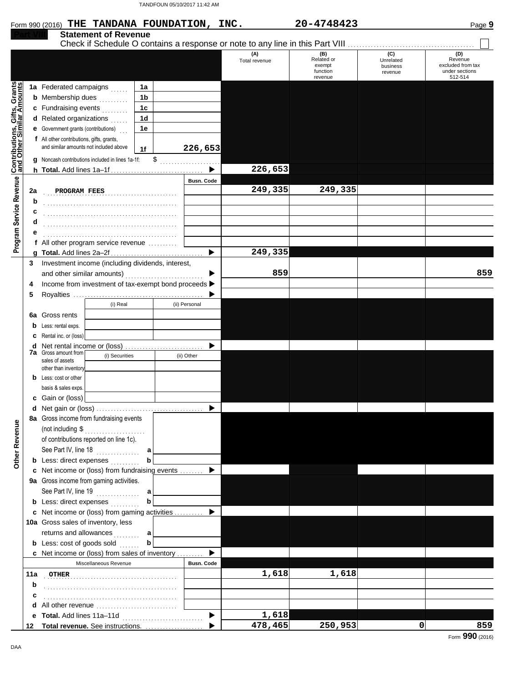|                                                           |     | Form 990 (2016) THE TANDANA FOUNDATION, INC.          |                             |                |            |                   |                      | 20-4748423                                         |                                         | Page 9                                                           |
|-----------------------------------------------------------|-----|-------------------------------------------------------|-----------------------------|----------------|------------|-------------------|----------------------|----------------------------------------------------|-----------------------------------------|------------------------------------------------------------------|
|                                                           |     |                                                       | <b>Statement of Revenue</b> |                |            |                   |                      |                                                    |                                         |                                                                  |
|                                                           |     |                                                       |                             |                |            |                   |                      |                                                    |                                         |                                                                  |
|                                                           |     |                                                       |                             |                |            |                   | (A)<br>Total revenue | (B)<br>Related or<br>exempt<br>function<br>revenue | (C)<br>Unrelated<br>business<br>revenue | (D)<br>Revenue<br>excluded from tax<br>under sections<br>512-514 |
|                                                           |     | 1a Federated campaigns                                |                             | 1a             |            |                   |                      |                                                    |                                         |                                                                  |
|                                                           |     | <b>b</b> Membership dues                              | .<br>.                      | 1 <sub>b</sub> |            |                   |                      |                                                    |                                         |                                                                  |
|                                                           |     | c Fundraising events                                  |                             | 1 <sub>c</sub> |            |                   |                      |                                                    |                                         |                                                                  |
|                                                           |     | d Related organizations                               | .                           | 1 <sub>d</sub> |            |                   |                      |                                                    |                                         |                                                                  |
|                                                           |     | <b>e</b> Government grants (contributions)            |                             | 1e             |            |                   |                      |                                                    |                                         |                                                                  |
|                                                           |     | f All other contributions, gifts, grants,             |                             |                |            |                   |                      |                                                    |                                         |                                                                  |
| Contributions, Gifts, Grants<br>and Other Similar Amounts |     | and similar amounts not included above                |                             | 1f             |            | 226,653           |                      |                                                    |                                         |                                                                  |
|                                                           |     | g Noncash contributions included in lines 1a-1f:      |                             |                | \$         |                   |                      |                                                    |                                         |                                                                  |
|                                                           |     |                                                       |                             |                |            |                   | 226,653              |                                                    |                                         |                                                                  |
|                                                           |     |                                                       |                             |                |            | <b>Busn. Code</b> |                      |                                                    |                                         |                                                                  |
| Program Service Revenue                                   | 2a  | PROGRAM FEES                                          |                             |                |            |                   | 249,335              | 249,335                                            |                                         |                                                                  |
|                                                           | b   |                                                       |                             |                |            |                   |                      |                                                    |                                         |                                                                  |
|                                                           | с   |                                                       |                             |                |            |                   |                      |                                                    |                                         |                                                                  |
|                                                           | d   |                                                       |                             |                |            |                   |                      |                                                    |                                         |                                                                  |
|                                                           |     |                                                       |                             |                |            |                   |                      |                                                    |                                         |                                                                  |
|                                                           |     | f All other program service revenue $\ldots$          |                             |                |            |                   |                      |                                                    |                                         |                                                                  |
|                                                           |     |                                                       |                             |                |            |                   | 249,335              |                                                    |                                         |                                                                  |
|                                                           | 3   | Investment income (including dividends, interest,     |                             |                |            |                   |                      |                                                    |                                         |                                                                  |
|                                                           |     | and other similar amounts)                            |                             |                |            |                   | 859                  |                                                    |                                         | 859                                                              |
|                                                           | 4   | Income from investment of tax-exempt bond proceeds >  |                             |                |            |                   |                      |                                                    |                                         |                                                                  |
|                                                           | 5   |                                                       |                             |                |            |                   |                      |                                                    |                                         |                                                                  |
|                                                           |     |                                                       | (i) Real                    |                |            | (ii) Personal     |                      |                                                    |                                         |                                                                  |
|                                                           | 6а  | Gross rents                                           |                             |                |            |                   |                      |                                                    |                                         |                                                                  |
|                                                           |     | Less: rental exps.                                    |                             |                |            |                   |                      |                                                    |                                         |                                                                  |
|                                                           | c   | Rental inc. or (loss)                                 |                             |                |            |                   |                      |                                                    |                                         |                                                                  |
|                                                           | d   |                                                       |                             |                |            |                   |                      |                                                    |                                         |                                                                  |
|                                                           |     | <b>7a</b> Gross amount from<br>(i) Securities         |                             |                | (ii) Other |                   |                      |                                                    |                                         |                                                                  |
|                                                           |     | sales of assets<br>other than inventory               |                             |                |            |                   |                      |                                                    |                                         |                                                                  |
|                                                           | b   | Less: cost or other                                   |                             |                |            |                   |                      |                                                    |                                         |                                                                  |
|                                                           |     | basis & sales exps.                                   |                             |                |            |                   |                      |                                                    |                                         |                                                                  |
|                                                           |     | c Gain or (loss)                                      |                             |                |            |                   |                      |                                                    |                                         |                                                                  |
|                                                           |     |                                                       |                             |                |            |                   |                      |                                                    |                                         |                                                                  |
|                                                           |     | 8a Gross income from fundraising events               |                             |                |            |                   |                      |                                                    |                                         |                                                                  |
|                                                           |     | (not including \$                                     | .                           |                |            |                   |                      |                                                    |                                         |                                                                  |
|                                                           |     | of contributions reported on line 1c).                |                             |                |            |                   |                      |                                                    |                                         |                                                                  |
| Other Revenue                                             |     | See Part IV, line 18                                  |                             | a              |            |                   |                      |                                                    |                                         |                                                                  |
|                                                           |     | <b>b</b> Less: direct expenses                        |                             |                |            |                   |                      |                                                    |                                         |                                                                  |
|                                                           |     | c Net income or (loss) from fundraising events        |                             |                |            |                   |                      |                                                    |                                         |                                                                  |
|                                                           |     | 9a Gross income from gaming activities.               |                             |                |            |                   |                      |                                                    |                                         |                                                                  |
|                                                           |     | See Part IV, line 19                                  |                             | a              |            |                   |                      |                                                    |                                         |                                                                  |
|                                                           |     | <b>b</b> Less: direct expenses                        |                             | b              |            |                   |                      |                                                    |                                         |                                                                  |
|                                                           |     | c Net income or (loss) from gaming activities         |                             |                |            |                   |                      |                                                    |                                         |                                                                  |
|                                                           |     | 10a Gross sales of inventory, less                    |                             |                |            |                   |                      |                                                    |                                         |                                                                  |
|                                                           |     | returns and allowances                                | .                           | a              |            |                   |                      |                                                    |                                         |                                                                  |
|                                                           |     | <b>b</b> Less: cost of goods sold                     |                             | b              |            |                   |                      |                                                    |                                         |                                                                  |
|                                                           |     | <b>c</b> Net income or (loss) from sales of inventory |                             |                |            |                   |                      |                                                    |                                         |                                                                  |
|                                                           |     |                                                       | Miscellaneous Revenue       |                |            | <b>Busn. Code</b> |                      |                                                    |                                         |                                                                  |
|                                                           | 11a | <b>OTHER</b>                                          |                             |                |            |                   | 1,618                | 1,618                                              |                                         |                                                                  |
|                                                           | b   |                                                       |                             |                |            |                   |                      |                                                    |                                         |                                                                  |
|                                                           | c   |                                                       |                             |                |            |                   |                      |                                                    |                                         |                                                                  |
|                                                           | d   |                                                       |                             |                |            |                   |                      |                                                    |                                         |                                                                  |
|                                                           | е   |                                                       |                             |                |            |                   | 1,618                |                                                    |                                         |                                                                  |
|                                                           | 12  | Total revenue. See instructions.                      |                             |                |            |                   | 478,465              | 250,953                                            | 0                                       | 859                                                              |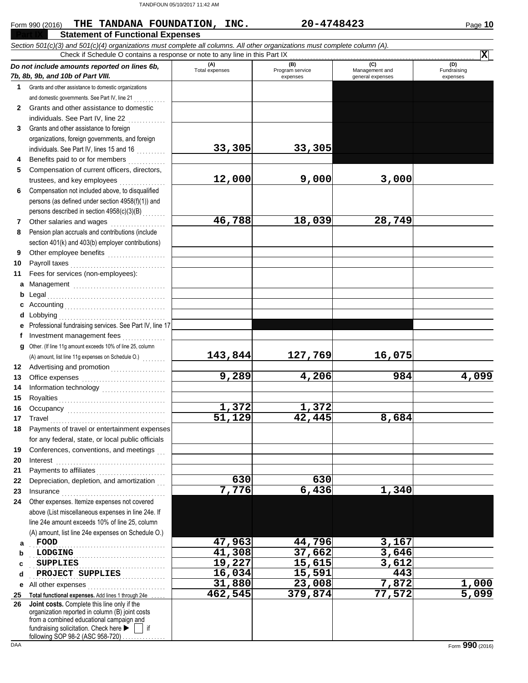### **Part IX** Statement of Functional Expenses **Form 990 (2016) THE TANDANA FOUNDATION, INC. 20-4748423** Page 10

|              | Section 501(c)(3) and 501(c)(4) organizations must complete all columns. All other organizations must complete column (A).<br>$ \mathbf{X} $<br>Check if Schedule O contains a response or note to any line in this Part IX |                       |                                    |                                           |                                |  |  |  |  |
|--------------|-----------------------------------------------------------------------------------------------------------------------------------------------------------------------------------------------------------------------------|-----------------------|------------------------------------|-------------------------------------------|--------------------------------|--|--|--|--|
|              | Do not include amounts reported on lines 6b,<br>7b, 8b, 9b, and 10b of Part VIII.                                                                                                                                           | (A)<br>Total expenses | (B)<br>Program service<br>expenses | (C)<br>Management and<br>general expenses | (D)<br>Fundraising<br>expenses |  |  |  |  |
| $\mathbf 1$  | Grants and other assistance to domestic organizations                                                                                                                                                                       |                       |                                    |                                           |                                |  |  |  |  |
|              | and domestic governments. See Part IV, line 21                                                                                                                                                                              |                       |                                    |                                           |                                |  |  |  |  |
| $\mathbf{2}$ | Grants and other assistance to domestic                                                                                                                                                                                     |                       |                                    |                                           |                                |  |  |  |  |
|              | individuals. See Part IV, line 22                                                                                                                                                                                           |                       |                                    |                                           |                                |  |  |  |  |
| 3            | Grants and other assistance to foreign                                                                                                                                                                                      |                       |                                    |                                           |                                |  |  |  |  |
|              | organizations, foreign governments, and foreign                                                                                                                                                                             |                       |                                    |                                           |                                |  |  |  |  |
|              | individuals. See Part IV, lines 15 and 16                                                                                                                                                                                   | 33,305                | 33,305                             |                                           |                                |  |  |  |  |
| 4            | Benefits paid to or for members                                                                                                                                                                                             |                       |                                    |                                           |                                |  |  |  |  |
| 5            | Compensation of current officers, directors,                                                                                                                                                                                |                       |                                    |                                           |                                |  |  |  |  |
|              |                                                                                                                                                                                                                             | 12,000                | 9,000                              | 3,000                                     |                                |  |  |  |  |
| 6            | Compensation not included above, to disqualified                                                                                                                                                                            |                       |                                    |                                           |                                |  |  |  |  |
|              | persons (as defined under section 4958(f)(1)) and                                                                                                                                                                           |                       |                                    |                                           |                                |  |  |  |  |
|              | persons described in section 4958(c)(3)(B)                                                                                                                                                                                  |                       |                                    |                                           |                                |  |  |  |  |
| 7            |                                                                                                                                                                                                                             | 46,788                | 18,039                             | 28,749                                    |                                |  |  |  |  |
| 8            | Pension plan accruals and contributions (include                                                                                                                                                                            |                       |                                    |                                           |                                |  |  |  |  |
|              | section 401(k) and 403(b) employer contributions)                                                                                                                                                                           |                       |                                    |                                           |                                |  |  |  |  |
| 9            | Other employee benefits                                                                                                                                                                                                     |                       |                                    |                                           |                                |  |  |  |  |
| 10           |                                                                                                                                                                                                                             |                       |                                    |                                           |                                |  |  |  |  |
| 11           | Fees for services (non-employees):                                                                                                                                                                                          |                       |                                    |                                           |                                |  |  |  |  |
|              | a Management                                                                                                                                                                                                                |                       |                                    |                                           |                                |  |  |  |  |
| b            |                                                                                                                                                                                                                             |                       |                                    |                                           |                                |  |  |  |  |
|              | c Accounting $\ldots$                                                                                                                                                                                                       |                       |                                    |                                           |                                |  |  |  |  |
|              |                                                                                                                                                                                                                             |                       |                                    |                                           |                                |  |  |  |  |
|              | e Professional fundraising services. See Part IV, line 17                                                                                                                                                                   |                       |                                    |                                           |                                |  |  |  |  |
| f            | Investment management fees                                                                                                                                                                                                  |                       |                                    |                                           |                                |  |  |  |  |
| g            | Other. (If line 11g amount exceeds 10% of line 25, column                                                                                                                                                                   |                       |                                    |                                           |                                |  |  |  |  |
|              |                                                                                                                                                                                                                             | 143,844               | 127,769                            | 16,075                                    |                                |  |  |  |  |
| 12           | Advertising and promotion                                                                                                                                                                                                   |                       |                                    |                                           |                                |  |  |  |  |
| 13           |                                                                                                                                                                                                                             | 9,289                 | 4,206                              | 984                                       | 4,099                          |  |  |  |  |
| 14           |                                                                                                                                                                                                                             |                       |                                    |                                           |                                |  |  |  |  |
| 15           |                                                                                                                                                                                                                             |                       |                                    |                                           |                                |  |  |  |  |
| 16           |                                                                                                                                                                                                                             | 1,372                 | 1,372                              |                                           |                                |  |  |  |  |
| 17           | Travel                                                                                                                                                                                                                      | $\overline{51,129}$   | 42,445                             | 8,684                                     |                                |  |  |  |  |
| 18           | Payments of travel or entertainment expenses                                                                                                                                                                                |                       |                                    |                                           |                                |  |  |  |  |
|              | for any federal, state, or local public officials                                                                                                                                                                           |                       |                                    |                                           |                                |  |  |  |  |
| 19           | Conferences, conventions, and meetings                                                                                                                                                                                      |                       |                                    |                                           |                                |  |  |  |  |
| 20           | Interest                                                                                                                                                                                                                    |                       |                                    |                                           |                                |  |  |  |  |
| 21           |                                                                                                                                                                                                                             |                       |                                    |                                           |                                |  |  |  |  |
| 22           | Depreciation, depletion, and amortization                                                                                                                                                                                   | 630                   | 630                                |                                           |                                |  |  |  |  |
| 23           | Insurance                                                                                                                                                                                                                   | 7,776                 | 6,436                              | 1,340                                     |                                |  |  |  |  |
| 24           | Other expenses. Itemize expenses not covered                                                                                                                                                                                |                       |                                    |                                           |                                |  |  |  |  |
|              | above (List miscellaneous expenses in line 24e. If                                                                                                                                                                          |                       |                                    |                                           |                                |  |  |  |  |
|              | line 24e amount exceeds 10% of line 25, column                                                                                                                                                                              |                       |                                    |                                           |                                |  |  |  |  |
|              | (A) amount, list line 24e expenses on Schedule O.)                                                                                                                                                                          |                       |                                    |                                           |                                |  |  |  |  |
| a            | FOOD                                                                                                                                                                                                                        | 47,963                | 44,796                             | 3,167                                     |                                |  |  |  |  |
| b            | <b>LODGING</b>                                                                                                                                                                                                              | 41,308                | 37,662                             | 3,646                                     |                                |  |  |  |  |
| с            | <b>SUPPLIES</b>                                                                                                                                                                                                             | 19,227                | 15,615                             | 3,612                                     |                                |  |  |  |  |
| d            | PROJECT SUPPLIES                                                                                                                                                                                                            | 16,034                | 15,591                             | 443                                       |                                |  |  |  |  |
| е            | All other expenses                                                                                                                                                                                                          | 31,880                | 23,008                             | 7,872                                     | 1,000                          |  |  |  |  |
| 25           | Total functional expenses. Add lines 1 through 24e                                                                                                                                                                          | 462,545               | 379,874                            | 77,572                                    | 5,099                          |  |  |  |  |
| 26           | Joint costs. Complete this line only if the                                                                                                                                                                                 |                       |                                    |                                           |                                |  |  |  |  |
|              | organization reported in column (B) joint costs<br>from a combined educational campaign and                                                                                                                                 |                       |                                    |                                           |                                |  |  |  |  |
|              | fundraising solicitation. Check here<br>if                                                                                                                                                                                  |                       |                                    |                                           |                                |  |  |  |  |
|              | following SOP 98-2 (ASC 958-720)                                                                                                                                                                                            |                       |                                    |                                           |                                |  |  |  |  |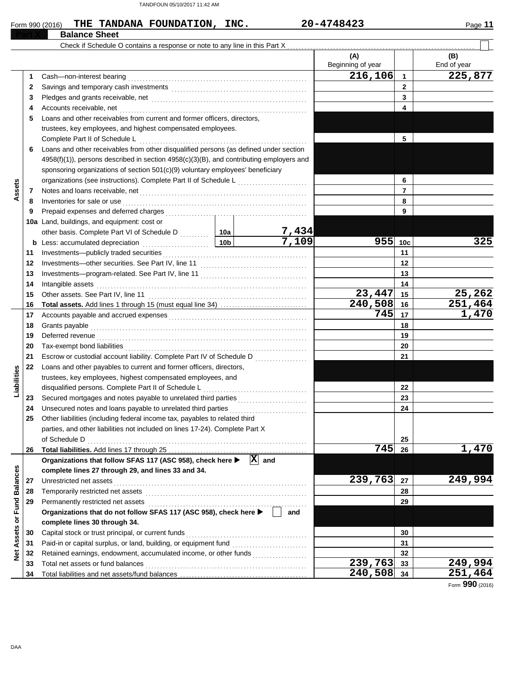## **Form 990 (2016) THE TANDANA FOUNDATION, INC. 20-4748423** Page 11

|                   |    | <b>Balance Sheet</b>                                                                                                                                                                                                           |        |                       |                   |                 |             |
|-------------------|----|--------------------------------------------------------------------------------------------------------------------------------------------------------------------------------------------------------------------------------|--------|-----------------------|-------------------|-----------------|-------------|
|                   |    | Check if Schedule O contains a response or note to any line in this Part X                                                                                                                                                     |        |                       |                   |                 |             |
|                   |    |                                                                                                                                                                                                                                |        |                       | (A)               |                 | (B)         |
|                   |    |                                                                                                                                                                                                                                |        |                       | Beginning of year |                 | End of year |
|                   | 1  |                                                                                                                                                                                                                                |        |                       | 216,106           | 1               | 225,877     |
|                   | 2  |                                                                                                                                                                                                                                |        |                       |                   | $\mathbf{2}$    |             |
|                   | 3  |                                                                                                                                                                                                                                |        |                       |                   | 3               |             |
|                   | 4  | Accounts receivable, net                                                                                                                                                                                                       |        |                       |                   | 4               |             |
|                   | 5  | Loans and other receivables from current and former officers, directors,                                                                                                                                                       |        |                       |                   |                 |             |
|                   |    | trustees, key employees, and highest compensated employees.                                                                                                                                                                    |        |                       |                   |                 |             |
|                   |    | Complete Part II of Schedule L                                                                                                                                                                                                 |        |                       |                   | 5               |             |
|                   | 6  | Loans and other receivables from other disqualified persons (as defined under section                                                                                                                                          |        |                       |                   |                 |             |
|                   |    | $4958(f)(1)$ ), persons described in section $4958(c)(3)(B)$ , and contributing employers and                                                                                                                                  |        |                       |                   |                 |             |
|                   |    | sponsoring organizations of section 501(c)(9) voluntary employees' beneficiary                                                                                                                                                 |        |                       |                   |                 |             |
|                   |    |                                                                                                                                                                                                                                |        |                       | 6                 |                 |             |
| Assets            | 7  |                                                                                                                                                                                                                                |        |                       |                   | $\overline{7}$  |             |
|                   | 8  | Inventories for sale or use contained and a series of the state or sale or use contained and a series of the state or series of the state or series of the state or series of the state of the state or series of the state or |        |                       |                   | 8               |             |
|                   | 9  |                                                                                                                                                                                                                                |        |                       |                   | 9               |             |
|                   |    | 10a Land, buildings, and equipment: cost or                                                                                                                                                                                    |        |                       |                   |                 |             |
|                   |    |                                                                                                                                                                                                                                |        | $\frac{7,434}{7,109}$ |                   |                 |             |
|                   |    |                                                                                                                                                                                                                                |        |                       | 955               | 10 <sub>c</sub> | 325         |
|                   | 11 |                                                                                                                                                                                                                                |        |                       | 11                |                 |             |
|                   | 12 |                                                                                                                                                                                                                                |        |                       | 12                |                 |             |
|                   | 13 |                                                                                                                                                                                                                                |        |                       | 13                |                 |             |
|                   | 14 | Intangible assets with a construction of the construction of the construction of the construction of the construction of the construction of the construction of the construction of the construction of the construction of t |        |                       |                   | 14              |             |
|                   | 15 |                                                                                                                                                                                                                                | 23,447 | 15                    | 25,262            |                 |             |
|                   | 16 |                                                                                                                                                                                                                                |        |                       | 240,508           | 16              | 251,464     |
|                   | 17 |                                                                                                                                                                                                                                |        |                       | 745               | 17              | 1,470       |
|                   | 18 |                                                                                                                                                                                                                                |        |                       | 18                |                 |             |
|                   | 19 |                                                                                                                                                                                                                                |        |                       |                   | 19              |             |
|                   | 20 |                                                                                                                                                                                                                                |        |                       |                   | 20              |             |
|                   | 21 | Escrow or custodial account liability. Complete Part IV of Schedule D                                                                                                                                                          |        |                       |                   | 21              |             |
|                   | 22 | Loans and other payables to current and former officers, directors,                                                                                                                                                            |        |                       |                   |                 |             |
| Liabilities       |    | trustees, key employees, highest compensated employees, and                                                                                                                                                                    |        |                       |                   |                 |             |
|                   |    | disqualified persons. Complete Part II of Schedule L                                                                                                                                                                           |        |                       |                   | 22              |             |
|                   | 23 |                                                                                                                                                                                                                                |        |                       |                   | 23              |             |
|                   | 24 |                                                                                                                                                                                                                                |        |                       |                   | 24              |             |
|                   | 25 | Other liabilities (including federal income tax, payables to related third                                                                                                                                                     |        |                       |                   |                 |             |
|                   |    | parties, and other liabilities not included on lines 17-24). Complete Part X                                                                                                                                                   |        |                       |                   |                 |             |
|                   |    | of Schedule D                                                                                                                                                                                                                  |        |                       |                   | 25              |             |
|                   | 26 |                                                                                                                                                                                                                                |        |                       | 745               | 26              | 1,470       |
|                   |    | Organizations that follow SFAS 117 (ASC 958), check here ▶                                                                                                                                                                     |        | $ \mathbf{X} $ and    |                   |                 |             |
|                   |    | complete lines 27 through 29, and lines 33 and 34.                                                                                                                                                                             |        |                       |                   |                 |             |
|                   | 27 | Unrestricted net assets                                                                                                                                                                                                        |        | 239,763               | 27                | 249,994         |             |
|                   | 28 | Temporarily restricted net assets [[11][11][12] Temporarily restricted net assets                                                                                                                                              |        | 28                    |                   |                 |             |
| or Fund Balances  | 29 | Permanently restricted net assets                                                                                                                                                                                              |        |                       |                   | 29              |             |
|                   |    | Organizations that do not follow SFAS 117 (ASC 958), check here ▶                                                                                                                                                              |        | and                   |                   |                 |             |
|                   |    | complete lines 30 through 34.                                                                                                                                                                                                  |        |                       |                   |                 |             |
| <b>Net Assets</b> | 30 | Capital stock or trust principal, or current funds                                                                                                                                                                             |        |                       |                   | 30              |             |
|                   | 31 |                                                                                                                                                                                                                                |        |                       |                   | 31              |             |
|                   | 32 |                                                                                                                                                                                                                                |        |                       |                   | 32              |             |
|                   | 33 | Total net assets or fund balances                                                                                                                                                                                              |        |                       | 239,763           | 33              | 249,994     |
|                   | 34 |                                                                                                                                                                                                                                |        |                       | 240,508           | 34              | 251,464     |

Form **990** (2016)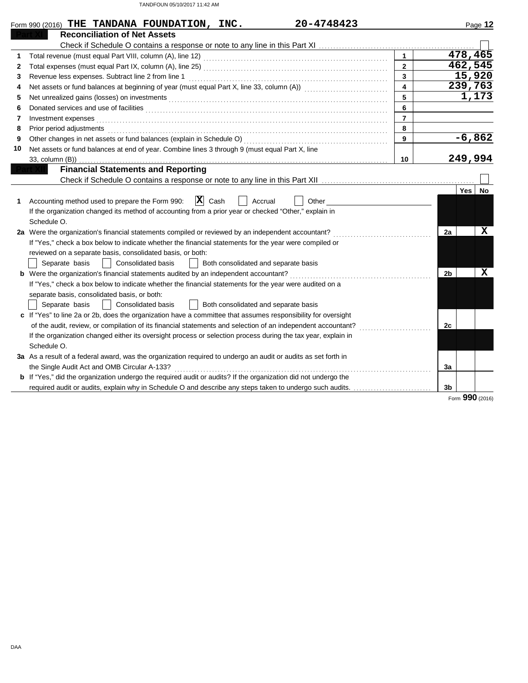|    | 20-4748423<br>Form 990 (2016) THE TANDANA FOUNDATION, INC.                                                            |                         |                | Page 12     |
|----|-----------------------------------------------------------------------------------------------------------------------|-------------------------|----------------|-------------|
|    | <b>Reconciliation of Net Assets</b>                                                                                   |                         |                |             |
|    |                                                                                                                       |                         |                |             |
| 1  |                                                                                                                       | $\mathbf{1}$            |                | 478,465     |
| 2  |                                                                                                                       | $\mathbf{2}$            |                | 462,545     |
| 3  | Revenue less expenses. Subtract line 2 from line 1                                                                    | $\overline{3}$          |                | 15,920      |
| 4  |                                                                                                                       | $\overline{\mathbf{4}}$ |                | 239,763     |
| 5  | Net unrealized gains (losses) on investments [[11] Martin Martin Martin Martin Martin Martin Martin Martin Mar        | 5                       |                | 1,173       |
| 6  |                                                                                                                       | 6                       |                |             |
| 7  | Investment expenses                                                                                                   | $\overline{7}$          |                |             |
| 8  | Prior period adjustments                                                                                              | 8                       |                |             |
| 9  | Other changes in net assets or fund balances (explain in Schedule O)                                                  | $\mathbf{9}$            |                | $-6,862$    |
| 10 | Net assets or fund balances at end of year. Combine lines 3 through 9 (must equal Part X, line                        |                         |                |             |
|    | 33, column (B))                                                                                                       | 10                      |                | 249,994     |
|    | <b>Financial Statements and Reporting</b>                                                                             |                         |                |             |
|    |                                                                                                                       |                         |                |             |
|    |                                                                                                                       |                         |                | Yes No      |
| 1  | $ \mathbf{x} $<br>Cash<br>Accounting method used to prepare the Form 990:<br>Accrual<br>Other                         |                         |                |             |
|    | If the organization changed its method of accounting from a prior year or checked "Other," explain in                 |                         |                |             |
|    | Schedule O.                                                                                                           |                         |                |             |
|    | 2a Were the organization's financial statements compiled or reviewed by an independent accountant?                    |                         | 2a             | $\mathbf x$ |
|    | If "Yes," check a box below to indicate whether the financial statements for the year were compiled or                |                         |                |             |
|    | reviewed on a separate basis, consolidated basis, or both:                                                            |                         |                |             |
|    | Separate basis<br>Consolidated basis<br>Both consolidated and separate basis                                          |                         |                |             |
|    | <b>b</b> Were the organization's financial statements audited by an independent accountant?                           |                         | 2 <sub>b</sub> | X           |
|    | If "Yes," check a box below to indicate whether the financial statements for the year were audited on a               |                         |                |             |
|    | separate basis, consolidated basis, or both:                                                                          |                         |                |             |
|    | Consolidated basis<br>Both consolidated and separate basis<br>Separate basis                                          |                         |                |             |
|    | c If "Yes" to line 2a or 2b, does the organization have a committee that assumes responsibility for oversight         |                         |                |             |
|    | of the audit, review, or compilation of its financial statements and selection of an independent accountant?          |                         | 2c             |             |
|    | If the organization changed either its oversight process or selection process during the tax year, explain in         |                         |                |             |
|    | Schedule O.                                                                                                           |                         |                |             |
|    | 3a As a result of a federal award, was the organization required to undergo an audit or audits as set forth in        |                         |                |             |
|    | the Single Audit Act and OMB Circular A-133?                                                                          |                         | 3a             |             |
|    | <b>b</b> If "Yes," did the organization undergo the required audit or audits? If the organization did not undergo the |                         |                |             |
|    | required audit or audits, explain why in Schedule O and describe any steps taken to undergo such audits.              |                         | 3 <sub>b</sub> |             |
|    |                                                                                                                       |                         |                | nnn         |

Form **990** (2016)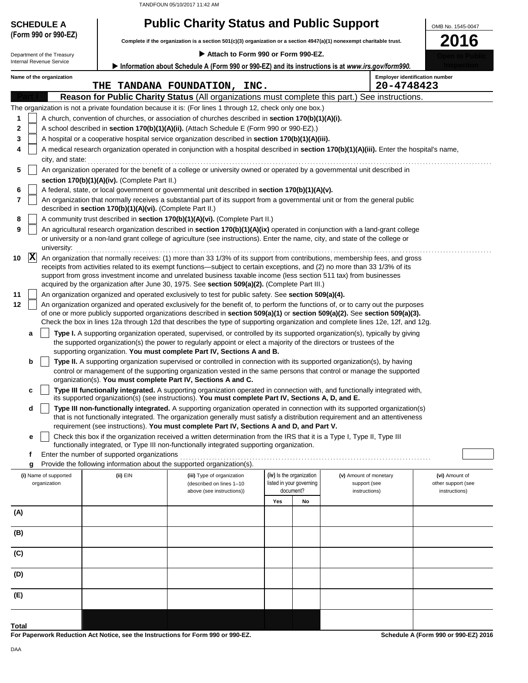| <b>SCHEDULE A</b>                     |                                                                                                                                            | <b>Public Charity Status and Public Support</b>                                                                                                                                                                                                                 |                          |                          |                                        |                                       | OMB No. 1545-0047                    |  |  |  |
|---------------------------------------|--------------------------------------------------------------------------------------------------------------------------------------------|-----------------------------------------------------------------------------------------------------------------------------------------------------------------------------------------------------------------------------------------------------------------|--------------------------|--------------------------|----------------------------------------|---------------------------------------|--------------------------------------|--|--|--|
| (Form 990 or 990-EZ)                  |                                                                                                                                            | Complete if the organization is a section 501(c)(3) organization or a section 4947(a)(1) nonexempt charitable trust.                                                                                                                                            |                          |                          |                                        |                                       | <b>2016</b>                          |  |  |  |
| Department of the Treasury            |                                                                                                                                            | Attach to Form 990 or Form 990-EZ.                                                                                                                                                                                                                              |                          |                          |                                        |                                       |                                      |  |  |  |
| Internal Revenue Service              |                                                                                                                                            | Information about Schedule A (Form 990 or 990-EZ) and its instructions is at www.irs.gov/form990.                                                                                                                                                               |                          |                          |                                        |                                       |                                      |  |  |  |
| Name of the organization              |                                                                                                                                            |                                                                                                                                                                                                                                                                 |                          |                          |                                        | <b>Employer identification number</b> |                                      |  |  |  |
|                                       |                                                                                                                                            | THE TANDANA FOUNDATION, INC.                                                                                                                                                                                                                                    |                          |                          |                                        | 20-4748423                            |                                      |  |  |  |
|                                       |                                                                                                                                            | Reason for Public Charity Status (All organizations must complete this part.) See instructions.                                                                                                                                                                 |                          |                          |                                        |                                       |                                      |  |  |  |
|                                       |                                                                                                                                            | The organization is not a private foundation because it is: (For lines 1 through 12, check only one box.)                                                                                                                                                       |                          |                          |                                        |                                       |                                      |  |  |  |
| 1<br>2                                |                                                                                                                                            | A church, convention of churches, or association of churches described in section 170(b)(1)(A)(i).<br>A school described in section 170(b)(1)(A)(ii). (Attach Schedule E (Form 990 or 990-EZ).)                                                                 |                          |                          |                                        |                                       |                                      |  |  |  |
| 3                                     |                                                                                                                                            | A hospital or a cooperative hospital service organization described in section 170(b)(1)(A)(iii).                                                                                                                                                               |                          |                          |                                        |                                       |                                      |  |  |  |
| 4                                     |                                                                                                                                            |                                                                                                                                                                                                                                                                 |                          |                          |                                        |                                       |                                      |  |  |  |
| city, and state:                      | A medical research organization operated in conjunction with a hospital described in section 170(b)(1)(A)(iii). Enter the hospital's name, |                                                                                                                                                                                                                                                                 |                          |                          |                                        |                                       |                                      |  |  |  |
| 5                                     |                                                                                                                                            | An organization operated for the benefit of a college or university owned or operated by a governmental unit described in                                                                                                                                       |                          |                          |                                        |                                       |                                      |  |  |  |
|                                       | section 170(b)(1)(A)(iv). (Complete Part II.)                                                                                              |                                                                                                                                                                                                                                                                 |                          |                          |                                        |                                       |                                      |  |  |  |
| 6                                     |                                                                                                                                            | A federal, state, or local government or governmental unit described in section 170(b)(1)(A)(v).                                                                                                                                                                |                          |                          |                                        |                                       |                                      |  |  |  |
| 7                                     | described in section 170(b)(1)(A)(vi). (Complete Part II.)                                                                                 | An organization that normally receives a substantial part of its support from a governmental unit or from the general public                                                                                                                                    |                          |                          |                                        |                                       |                                      |  |  |  |
| 8                                     |                                                                                                                                            | A community trust described in section 170(b)(1)(A)(vi). (Complete Part II.)                                                                                                                                                                                    |                          |                          |                                        |                                       |                                      |  |  |  |
| 9<br>university:                      |                                                                                                                                            | An agricultural research organization described in section 170(b)(1)(A)(ix) operated in conjunction with a land-grant college<br>or university or a non-land grant college of agriculture (see instructions). Enter the name, city, and state of the college or |                          |                          |                                        |                                       |                                      |  |  |  |
| $ \mathbf{x} $<br>10                  |                                                                                                                                            | An organization that normally receives: (1) more than 33 1/3% of its support from contributions, membership fees, and gross                                                                                                                                     |                          |                          |                                        |                                       |                                      |  |  |  |
|                                       |                                                                                                                                            | receipts from activities related to its exempt functions—subject to certain exceptions, and (2) no more than 33 1/3% of its                                                                                                                                     |                          |                          |                                        |                                       |                                      |  |  |  |
|                                       |                                                                                                                                            | support from gross investment income and unrelated business taxable income (less section 511 tax) from businesses<br>acquired by the organization after June 30, 1975. See section 509(a)(2). (Complete Part III.)                                              |                          |                          |                                        |                                       |                                      |  |  |  |
| 11                                    |                                                                                                                                            | An organization organized and operated exclusively to test for public safety. See section 509(a)(4).                                                                                                                                                            |                          |                          |                                        |                                       |                                      |  |  |  |
| 12                                    |                                                                                                                                            | An organization organized and operated exclusively for the benefit of, to perform the functions of, or to carry out the purposes                                                                                                                                |                          |                          |                                        |                                       |                                      |  |  |  |
|                                       |                                                                                                                                            | of one or more publicly supported organizations described in section 509(a)(1) or section 509(a)(2). See section 509(a)(3).                                                                                                                                     |                          |                          |                                        |                                       |                                      |  |  |  |
|                                       |                                                                                                                                            | Check the box in lines 12a through 12d that describes the type of supporting organization and complete lines 12e, 12f, and 12g.                                                                                                                                 |                          |                          |                                        |                                       |                                      |  |  |  |
| а                                     |                                                                                                                                            | Type I. A supporting organization operated, supervised, or controlled by its supported organization(s), typically by giving<br>the supported organization(s) the power to regularly appoint or elect a majority of the directors or trustees of the             |                          |                          |                                        |                                       |                                      |  |  |  |
|                                       |                                                                                                                                            | supporting organization. You must complete Part IV, Sections A and B.                                                                                                                                                                                           |                          |                          |                                        |                                       |                                      |  |  |  |
| b                                     |                                                                                                                                            | Type II. A supporting organization supervised or controlled in connection with its supported organization(s), by having                                                                                                                                         |                          |                          |                                        |                                       |                                      |  |  |  |
|                                       |                                                                                                                                            | control or management of the supporting organization vested in the same persons that control or manage the supported                                                                                                                                            |                          |                          |                                        |                                       |                                      |  |  |  |
|                                       |                                                                                                                                            | organization(s). You must complete Part IV, Sections A and C.<br>Type III functionally integrated. A supporting organization operated in connection with, and functionally integrated with,                                                                     |                          |                          |                                        |                                       |                                      |  |  |  |
| c                                     |                                                                                                                                            | its supported organization(s) (see instructions). You must complete Part IV, Sections A, D, and E.                                                                                                                                                              |                          |                          |                                        |                                       |                                      |  |  |  |
| d                                     |                                                                                                                                            | Type III non-functionally integrated. A supporting organization operated in connection with its supported organization(s)                                                                                                                                       |                          |                          |                                        |                                       |                                      |  |  |  |
|                                       |                                                                                                                                            | that is not functionally integrated. The organization generally must satisfy a distribution requirement and an attentiveness<br>requirement (see instructions). You must complete Part IV, Sections A and D, and Part V.                                        |                          |                          |                                        |                                       |                                      |  |  |  |
| е                                     |                                                                                                                                            | Check this box if the organization received a written determination from the IRS that it is a Type I, Type II, Type III                                                                                                                                         |                          |                          |                                        |                                       |                                      |  |  |  |
|                                       |                                                                                                                                            | functionally integrated, or Type III non-functionally integrated supporting organization.                                                                                                                                                                       |                          |                          |                                        |                                       |                                      |  |  |  |
| f                                     | Enter the number of supported organizations                                                                                                |                                                                                                                                                                                                                                                                 |                          |                          |                                        |                                       |                                      |  |  |  |
| g                                     |                                                                                                                                            | Provide the following information about the supported organization(s).                                                                                                                                                                                          |                          |                          |                                        |                                       |                                      |  |  |  |
| (i) Name of supported<br>organization | (ii) EIN                                                                                                                                   | (iii) Type of organization<br>(described on lines 1-10                                                                                                                                                                                                          | (iv) Is the organization | listed in your governing | (v) Amount of monetary<br>support (see |                                       | (vi) Amount of<br>other support (see |  |  |  |
|                                       |                                                                                                                                            | above (see instructions))                                                                                                                                                                                                                                       |                          | document?                | instructions)                          |                                       | instructions)                        |  |  |  |
|                                       |                                                                                                                                            |                                                                                                                                                                                                                                                                 | Yes                      | No                       |                                        |                                       |                                      |  |  |  |
| (A)                                   |                                                                                                                                            |                                                                                                                                                                                                                                                                 |                          |                          |                                        |                                       |                                      |  |  |  |
| (B)                                   |                                                                                                                                            |                                                                                                                                                                                                                                                                 |                          |                          |                                        |                                       |                                      |  |  |  |
| (C)                                   |                                                                                                                                            |                                                                                                                                                                                                                                                                 |                          |                          |                                        |                                       |                                      |  |  |  |
| (D)                                   |                                                                                                                                            |                                                                                                                                                                                                                                                                 |                          |                          |                                        |                                       |                                      |  |  |  |
| (E)                                   |                                                                                                                                            |                                                                                                                                                                                                                                                                 |                          |                          |                                        |                                       |                                      |  |  |  |
|                                       |                                                                                                                                            |                                                                                                                                                                                                                                                                 |                          |                          |                                        |                                       |                                      |  |  |  |
|                                       |                                                                                                                                            |                                                                                                                                                                                                                                                                 |                          |                          |                                        |                                       |                                      |  |  |  |

**For Paperwork Reduction Act Notice, see the Instructions for Form 990 or 990-EZ. Total**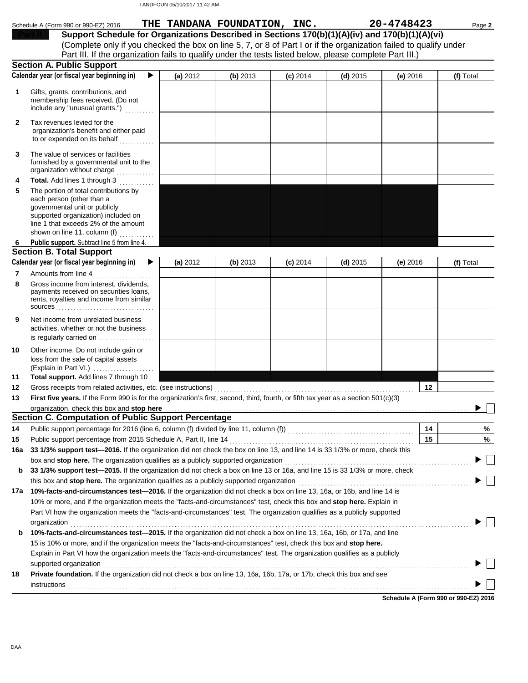|              | Schedule A (Form 990 or 990-EZ) 2016                                                                                                                                                                                                             |          |            | THE TANDANA FOUNDATION, INC. 20-4748423 |            |            | Page 2    |
|--------------|--------------------------------------------------------------------------------------------------------------------------------------------------------------------------------------------------------------------------------------------------|----------|------------|-----------------------------------------|------------|------------|-----------|
|              | Support Schedule for Organizations Described in Sections 170(b)(1)(A)(iv) and 170(b)(1)(A)(vi)                                                                                                                                                   |          |            |                                         |            |            |           |
|              | (Complete only if you checked the box on line 5, 7, or 8 of Part I or if the organization failed to qualify under                                                                                                                                |          |            |                                         |            |            |           |
|              | Part III. If the organization fails to qualify under the tests listed below, please complete Part III.)                                                                                                                                          |          |            |                                         |            |            |           |
|              | <b>Section A. Public Support</b>                                                                                                                                                                                                                 |          |            |                                         |            |            |           |
|              | Calendar year (or fiscal year beginning in)<br>▶                                                                                                                                                                                                 | (a) 2012 | (b) 2013   | $(c)$ 2014                              | $(d)$ 2015 | (e) 2016   | (f) Total |
| 1            | Gifts, grants, contributions, and<br>membership fees received. (Do not<br>include any "unusual grants.")                                                                                                                                         |          |            |                                         |            |            |           |
| $\mathbf{2}$ | Tax revenues levied for the<br>organization's benefit and either paid<br>to or expended on its behalf                                                                                                                                            |          |            |                                         |            |            |           |
| 3            | The value of services or facilities<br>furnished by a governmental unit to the<br>organization without charge                                                                                                                                    |          |            |                                         |            |            |           |
| 4            | Total. Add lines 1 through 3                                                                                                                                                                                                                     |          |            |                                         |            |            |           |
| 5            | The portion of total contributions by<br>each person (other than a<br>governmental unit or publicly<br>supported organization) included on<br>line 1 that exceeds 2% of the amount<br>shown on line 11, column (f) $\ldots$                      |          |            |                                         |            |            |           |
| 6            | Public support. Subtract line 5 from line 4.                                                                                                                                                                                                     |          |            |                                         |            |            |           |
|              | <b>Section B. Total Support</b>                                                                                                                                                                                                                  |          |            |                                         |            |            |           |
|              | Calendar year (or fiscal year beginning in)<br>$\blacktriangleright$                                                                                                                                                                             | (a) 2012 | $(b)$ 2013 | $(c)$ 2014                              | $(d)$ 2015 | $(e)$ 2016 | (f) Total |
| 7            | Amounts from line 4                                                                                                                                                                                                                              |          |            |                                         |            |            |           |
| 8            | Gross income from interest, dividends,<br>payments received on securities loans,<br>rents, royalties and income from similar<br>$sources \dots \dots \dots \dots \dots \dots \dots \dots \dots \dots \dots \dots$                                |          |            |                                         |            |            |           |
| 9            | Net income from unrelated business<br>activities, whether or not the business<br>is regularly carried on                                                                                                                                         |          |            |                                         |            |            |           |
| 10<br>11     | Other income. Do not include gain or<br>loss from the sale of capital assets<br>(Explain in Part VI.)<br>Total support. Add lines 7 through 10                                                                                                   |          |            |                                         |            |            |           |
| 12           |                                                                                                                                                                                                                                                  |          |            |                                         |            | 12         |           |
| 13           | First five years. If the Form 990 is for the organization's first, second, third, fourth, or fifth tax year as a section 501(c)(3)                                                                                                               |          |            |                                         |            |            |           |
|              | organization, check this box and stop here                                                                                                                                                                                                       |          |            |                                         |            |            |           |
|              | <b>Section C. Computation of Public Support Percentage</b>                                                                                                                                                                                       |          |            |                                         |            |            |           |
| 14           | Public support percentage for 2016 (line 6, column (f) divided by line 11, column (f)) [[[[[[[[[[[[[[[[[[[[[[                                                                                                                                    |          |            |                                         |            | 14         | %         |
| 15           |                                                                                                                                                                                                                                                  |          |            |                                         |            | 15         | %         |
| 16a          | 33 1/3% support test-2016. If the organization did not check the box on line 13, and line 14 is 33 1/3% or more, check this                                                                                                                      |          |            |                                         |            |            |           |
|              | box and stop here. The organization qualifies as a publicly supported organization [11] content content content content content of the content of the content of the content of the content of the content of the content of t                   |          |            |                                         |            |            |           |
| b            | 33 1/3% support test-2015. If the organization did not check a box on line 13 or 16a, and line 15 is 33 1/3% or more, check                                                                                                                      |          |            |                                         |            |            |           |
|              |                                                                                                                                                                                                                                                  |          |            |                                         |            |            |           |
| 17a          | 10%-facts-and-circumstances test-2016. If the organization did not check a box on line 13, 16a, or 16b, and line 14 is                                                                                                                           |          |            |                                         |            |            |           |
|              | 10% or more, and if the organization meets the "facts-and-circumstances" test, check this box and stop here. Explain in                                                                                                                          |          |            |                                         |            |            |           |
|              | Part VI how the organization meets the "facts-and-circumstances" test. The organization qualifies as a publicly supported                                                                                                                        |          |            |                                         |            |            |           |
|              | organization                                                                                                                                                                                                                                     |          |            |                                         |            |            |           |
| b            | 10%-facts-and-circumstances test-2015. If the organization did not check a box on line 13, 16a, 16b, or 17a, and line                                                                                                                            |          |            |                                         |            |            |           |
|              | 15 is 10% or more, and if the organization meets the "facts-and-circumstances" test, check this box and stop here.<br>Explain in Part VI how the organization meets the "facts-and-circumstances" test. The organization qualifies as a publicly |          |            |                                         |            |            |           |
|              | supported organization                                                                                                                                                                                                                           |          |            |                                         |            |            |           |
| 18           | Private foundation. If the organization did not check a box on line 13, 16a, 16b, 17a, or 17b, check this box and see                                                                                                                            |          |            |                                         |            |            |           |
|              |                                                                                                                                                                                                                                                  |          |            |                                         |            |            |           |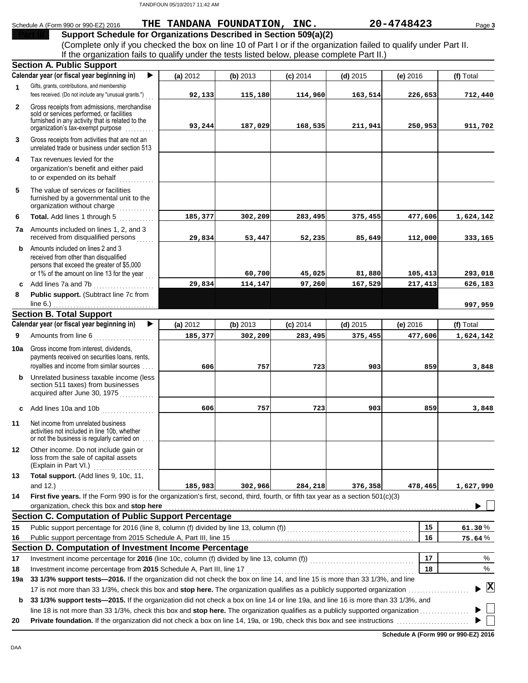|              | Schedule A (Form 990 or 990-EZ) 2016                                                                                                                    |          | THE TANDANA FOUNDATION, INC. |            |            | 20-4748423      | Page 3       |
|--------------|---------------------------------------------------------------------------------------------------------------------------------------------------------|----------|------------------------------|------------|------------|-----------------|--------------|
|              | Support Schedule for Organizations Described in Section 509(a)(2)                                                                                       |          |                              |            |            |                 |              |
|              | (Complete only if you checked the box on line 10 of Part I or if the organization failed to qualify under Part II.                                      |          |                              |            |            |                 |              |
|              | If the organization fails to qualify under the tests listed below, please complete Part II.)                                                            |          |                              |            |            |                 |              |
|              | <b>Section A. Public Support</b>                                                                                                                        |          |                              |            |            |                 |              |
|              | Calendar year (or fiscal year beginning in)<br>▶                                                                                                        | (a) 2012 | (b) 2013                     | $(c)$ 2014 | $(d)$ 2015 | $(e)$ 2016      | (f) Total    |
| 1            | Gifts, grants, contributions, and membership                                                                                                            |          |                              |            |            |                 |              |
|              | fees received. (Do not include any "unusual grants.")                                                                                                   | 92,133   | 115,180                      | 114,960    | 163,514    | 226,653         | 712,440      |
| $\mathbf{2}$ | Gross receipts from admissions, merchandise                                                                                                             |          |                              |            |            |                 |              |
|              | sold or services performed, or facilities<br>furnished in any activity that is related to the                                                           |          |                              |            |            |                 |              |
|              | organization's tax-exempt purpose                                                                                                                       | 93,244   | 187,029                      | 168,535    | 211,941    | 250,953         | 911,702      |
| 3            | Gross receipts from activities that are not an                                                                                                          |          |                              |            |            |                 |              |
|              | unrelated trade or business under section 513                                                                                                           |          |                              |            |            |                 |              |
| 4            | Tax revenues levied for the                                                                                                                             |          |                              |            |            |                 |              |
|              | organization's benefit and either paid                                                                                                                  |          |                              |            |            |                 |              |
|              | to or expended on its behalf                                                                                                                            |          |                              |            |            |                 |              |
| 5            | The value of services or facilities                                                                                                                     |          |                              |            |            |                 |              |
|              | furnished by a governmental unit to the<br>organization without charge                                                                                  |          |                              |            |            |                 |              |
| 6            | Total. Add lines 1 through 5                                                                                                                            | 185,377  | 302,209                      | 283,495    | 375,455    | 477,606         | 1,624,142    |
|              | Amounts included on lines 1, 2, and 3                                                                                                                   |          |                              |            |            |                 |              |
| 7a           | received from disqualified persons                                                                                                                      | 29,834   | 53,447                       | 52,235     | 85,649     | 112,000         | 333,165      |
| b            | Amounts included on lines 2 and 3                                                                                                                       |          |                              |            |            |                 |              |
|              | received from other than disqualified                                                                                                                   |          |                              |            |            |                 |              |
|              | persons that exceed the greater of \$5,000                                                                                                              |          |                              |            |            |                 |              |
|              | or 1% of the amount on line 13 for the year                                                                                                             |          | 60,700                       | 45,025     | 81,880     | 105,413         | 293,018      |
| с            | Add lines 7a and 7b                                                                                                                                     | 29,834   | 114,147                      | 97,260     | 167,529    | 217,413         | 626,183      |
| 8            | Public support. (Subtract line 7c from<br>line $6.$ )                                                                                                   |          |                              |            |            |                 |              |
|              | <b>Section B. Total Support</b>                                                                                                                         |          |                              |            |            |                 | 997,959      |
|              | Calendar year (or fiscal year beginning in)                                                                                                             | (a) 2012 | (b) 2013                     | $(c)$ 2014 | $(d)$ 2015 | <b>(e)</b> 2016 | (f) Total    |
| 9            | Amounts from line 6                                                                                                                                     | 185,377  | 302,209                      | 283,495    | 375,455    | 477,606         | 1,624,142    |
|              |                                                                                                                                                         |          |                              |            |            |                 |              |
|              | 10a Gross income from interest, dividends,<br>payments received on securities loans, rents,                                                             |          |                              |            |            |                 |              |
|              | royalties and income from similar sources                                                                                                               | 606      | 757                          | 723        | 903        | 859             | 3,848        |
| b            | Unrelated business taxable income (less                                                                                                                 |          |                              |            |            |                 |              |
|              | section 511 taxes) from businesses                                                                                                                      |          |                              |            |            |                 |              |
|              | acquired after June 30, 1975                                                                                                                            |          |                              |            |            |                 |              |
| c            | Add lines 10a and 10b<br>.                                                                                                                              | 606      | 757                          | 723        | 903        | 859             | 3,848        |
|              |                                                                                                                                                         |          |                              |            |            |                 |              |
| 11           | Net income from unrelated business<br>activities not included in line 10b, whether                                                                      |          |                              |            |            |                 |              |
|              | or not the business is regularly carried on                                                                                                             |          |                              |            |            |                 |              |
| 12           | Other income. Do not include gain or                                                                                                                    |          |                              |            |            |                 |              |
|              | loss from the sale of capital assets                                                                                                                    |          |                              |            |            |                 |              |
|              | (Explain in Part VI.)                                                                                                                                   |          |                              |            |            |                 |              |
| 13           | Total support. (Add lines 9, 10c, 11,                                                                                                                   |          |                              |            |            |                 |              |
|              | and 12.) $\ldots$<br>First five years. If the Form 990 is for the organization's first, second, third, fourth, or fifth tax year as a section 501(c)(3) | 185,983  | 302,966                      | 284,218    | 376,358    | 478,465         | 1,627,990    |
| 14           | organization, check this box and stop here                                                                                                              |          |                              |            |            |                 |              |
|              | <b>Section C. Computation of Public Support Percentage</b>                                                                                              |          |                              |            |            |                 |              |
| 15           | Public support percentage for 2016 (line 8, column (f) divided by line 13, column (f)) [[[[[[[[[[[[[[[[[[[[[[                                           |          |                              |            |            | 15              | $61.30\,\%$  |
| 16           |                                                                                                                                                         |          |                              |            |            | 16              | 75.64%       |
|              | Section D. Computation of Investment Income Percentage                                                                                                  |          |                              |            |            |                 |              |
| 17           |                                                                                                                                                         |          |                              |            |            | 17              | %            |
| 18           |                                                                                                                                                         |          |                              |            |            | 18              | %            |
| 19a          | 33 1/3% support tests-2016. If the organization did not check the box on line 14, and line 15 is more than 33 1/3%, and line                            |          |                              |            |            |                 |              |
|              |                                                                                                                                                         |          |                              |            |            |                 | $\mathbf{x}$ |
| b            | 33 1/3% support tests—2015. If the organization did not check a box on line 14 or line 19a, and line 16 is more than 33 1/3%, and                       |          |                              |            |            |                 |              |
|              |                                                                                                                                                         |          |                              |            |            |                 |              |
|              |                                                                                                                                                         |          |                              |            |            |                 |              |

**20 Private foundation.** If the organization did not check a box on line 14, 19a, or 19b, check this box and see instructions . . . . . . . . . . . . . . . . . . . . . . . . .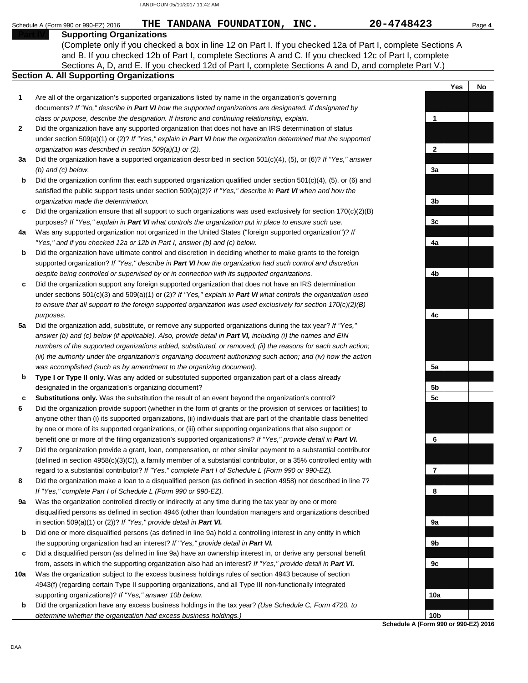## Schedule A (Form 990 or 990-EZ) 2016 **THE TANDANA FOUNDATION, INC.** 20-4748423 Page 4

Sections A, D, and E. If you checked 12d of Part I, complete Sections A and D, and complete Part V.) **Section A. All Supporting Organizations** (Complete only if you checked a box in line 12 on Part I. If you checked 12a of Part I, complete Sections A and B. If you checked 12b of Part I, complete Sections A and C. If you checked 12c of Part I, complete

- Are all of the organization's supported organizations listed by name in the organization's governing documents? *If "No," describe in Part VI how the supported organizations are designated. If designated by class or purpose, describe the designation. If historic and continuing relationship, explain.* **1**
- Did the organization have any supported organization that does not have an IRS determination of status under section 509(a)(1) or (2)? *If "Yes," explain in Part VI how the organization determined that the supported organization was described in section 509(a)(1) or (2).* **2**
- **3a** Did the organization have a supported organization described in section 501(c)(4), (5), or (6)? *If "Yes," answer (b) and (c) below.*
- **b** Did the organization confirm that each supported organization qualified under section 501(c)(4), (5), or (6) and satisfied the public support tests under section 509(a)(2)? *If "Yes," describe in Part VI when and how the organization made the determination.*
- **c** Did the organization ensure that all support to such organizations was used exclusively for section 170(c)(2)(B) purposes? *If "Yes," explain in Part VI what controls the organization put in place to ensure such use.*
- **4a** Was any supported organization not organized in the United States ("foreign supported organization")? *If "Yes," and if you checked 12a or 12b in Part I, answer (b) and (c) below.*
- **b** Did the organization have ultimate control and discretion in deciding whether to make grants to the foreign supported organization? *If "Yes," describe in Part VI how the organization had such control and discretion despite being controlled or supervised by or in connection with its supported organizations.*
- **c** Did the organization support any foreign supported organization that does not have an IRS determination under sections 501(c)(3) and 509(a)(1) or (2)? *If "Yes," explain in Part VI what controls the organization used to ensure that all support to the foreign supported organization was used exclusively for section 170(c)(2)(B) purposes.*
- **5a** Did the organization add, substitute, or remove any supported organizations during the tax year? *If "Yes," answer (b) and (c) below (if applicable). Also, provide detail in Part VI, including (i) the names and EIN numbers of the supported organizations added, substituted, or removed; (ii) the reasons for each such action; (iii) the authority under the organization's organizing document authorizing such action; and (iv) how the action was accomplished (such as by amendment to the organizing document).*
- **b Type I or Type II only.** Was any added or substituted supported organization part of a class already designated in the organization's organizing document?
- **c Substitutions only.** Was the substitution the result of an event beyond the organization's control?
- **6** Did the organization provide support (whether in the form of grants or the provision of services or facilities) to anyone other than (i) its supported organizations, (ii) individuals that are part of the charitable class benefited by one or more of its supported organizations, or (iii) other supporting organizations that also support or benefit one or more of the filing organization's supported organizations? *If "Yes," provide detail in Part VI.*
- **7** Did the organization provide a grant, loan, compensation, or other similar payment to a substantial contributor (defined in section 4958(c)(3)(C)), a family member of a substantial contributor, or a 35% controlled entity with regard to a substantial contributor? *If "Yes," complete Part I of Schedule L (Form 990 or 990-EZ).*
- **8** Did the organization make a loan to a disqualified person (as defined in section 4958) not described in line 7? *If "Yes," complete Part I of Schedule L (Form 990 or 990-EZ).*
- **9a** Was the organization controlled directly or indirectly at any time during the tax year by one or more disqualified persons as defined in section 4946 (other than foundation managers and organizations described in section 509(a)(1) or (2))? *If "Yes," provide detail in Part VI.*
- **b** Did one or more disqualified persons (as defined in line 9a) hold a controlling interest in any entity in which the supporting organization had an interest? *If "Yes," provide detail in Part VI.*
- **c** Did a disqualified person (as defined in line 9a) have an ownership interest in, or derive any personal benefit from, assets in which the supporting organization also had an interest? *If "Yes," provide detail in Part VI.*
- **10a** Was the organization subject to the excess business holdings rules of section 4943 because of section 4943(f) (regarding certain Type II supporting organizations, and all Type III non-functionally integrated supporting organizations)? *If "Yes," answer 10b below.*
	- **b** Did the organization have any excess business holdings in the tax year? *(Use Schedule C, Form 4720, to determine whether the organization had excess business holdings.)*

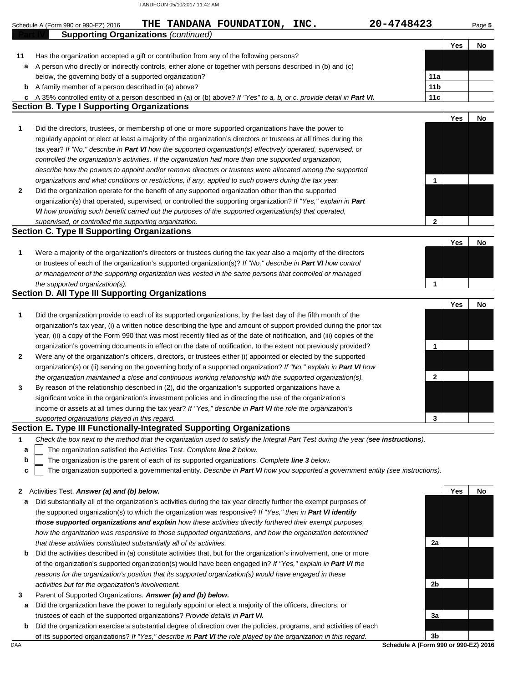|    | THE TANDANA FOUNDATION,<br>20-4748423<br>INC.<br>Schedule A (Form 990 or 990-EZ) 2016<br><b>Supporting Organizations (continued)</b> |                 |            | Page 5 |
|----|--------------------------------------------------------------------------------------------------------------------------------------|-----------------|------------|--------|
|    |                                                                                                                                      |                 |            |        |
|    |                                                                                                                                      |                 | Yes        | No     |
| 11 | Has the organization accepted a gift or contribution from any of the following persons?                                              |                 |            |        |
| а  | A person who directly or indirectly controls, either alone or together with persons described in (b) and (c)                         |                 |            |        |
|    | below, the governing body of a supported organization?                                                                               | 11a             |            |        |
| b  | A family member of a person described in (a) above?                                                                                  | 11 <sub>b</sub> |            |        |
| c  | A 35% controlled entity of a person described in (a) or (b) above? If "Yes" to a, b, or c, provide detail in Part VI.                | 11c             |            |        |
|    | <b>Section B. Type I Supporting Organizations</b>                                                                                    |                 |            |        |
|    |                                                                                                                                      |                 | Yes        | No     |
| 1  | Did the directors, trustees, or membership of one or more supported organizations have the power to                                  |                 |            |        |
|    | regularly appoint or elect at least a majority of the organization's directors or trustees at all times during the                   |                 |            |        |
|    | tax year? If "No," describe in Part VI how the supported organization(s) effectively operated, supervised, or                        |                 |            |        |
|    | controlled the organization's activities. If the organization had more than one supported organization,                              |                 |            |        |
|    | describe how the powers to appoint and/or remove directors or trustees were allocated among the supported                            |                 |            |        |
|    | organizations and what conditions or restrictions, if any, applied to such powers during the tax year.                               | $\mathbf{1}$    |            |        |
| 2  | Did the organization operate for the benefit of any supported organization other than the supported                                  |                 |            |        |
|    | organization(s) that operated, supervised, or controlled the supporting organization? If "Yes," explain in Part                      |                 |            |        |
|    | VI how providing such benefit carried out the purposes of the supported organization(s) that operated,                               |                 |            |        |
|    | supervised, or controlled the supporting organization.                                                                               | $\mathbf{2}$    |            |        |
|    | <b>Section C. Type II Supporting Organizations</b>                                                                                   |                 |            |        |
|    |                                                                                                                                      |                 | Yes        | No     |
| 1  | Were a majority of the organization's directors or trustees during the tax year also a majority of the directors                     |                 |            |        |
|    | or trustees of each of the organization's supported organization(s)? If "No," describe in Part VI how control                        |                 |            |        |
|    | or management of the supporting organization was vested in the same persons that controlled or managed                               |                 |            |        |
|    | the supported organization(s).                                                                                                       | $\mathbf{1}$    |            |        |
|    | <b>Section D. All Type III Supporting Organizations</b>                                                                              |                 |            |        |
|    |                                                                                                                                      |                 | <b>Yes</b> | No     |
| 1  | Did the organization provide to each of its supported organizations, by the last day of the fifth month of the                       |                 |            |        |
|    | organization's tax year, (i) a written notice describing the type and amount of support provided during the prior tax                |                 |            |        |
|    | year, (ii) a copy of the Form 990 that was most recently filed as of the date of notification, and (iii) copies of the               |                 |            |        |
|    | organization's governing documents in effect on the date of notification, to the extent not previously provided?                     | $\mathbf{1}$    |            |        |
| 2  | Were any of the organization's officers, directors, or trustees either (i) appointed or elected by the supported                     |                 |            |        |
|    | organization(s) or (ii) serving on the governing body of a supported organization? If "No," explain in Part VI how                   |                 |            |        |
|    | the organization maintained a close and continuous working relationship with the supported organization(s).                          | 2               |            |        |
| 3  | By reason of the relationship described in (2), did the organization's supported organizations have a                                |                 |            |        |
|    | significant voice in the organization's investment policies and in directing the use of the organization's                           |                 |            |        |
|    | income or assets at all times during the tax year? If "Yes," describe in Part VI the role the organization's                         |                 |            |        |
|    | supported organizations played in this regard.                                                                                       | 3               |            |        |
|    | Section E. Type III Functionally-Integrated Supporting Organizations                                                                 |                 |            |        |
| 1  | Check the box next to the method that the organization used to satisfy the Integral Part Test during the year (see instructions).    |                 |            |        |
| a  | The organization satisfied the Activities Test. Complete line 2 below.                                                               |                 |            |        |
| b  | The organization is the parent of each of its supported organizations. Complete line 3 below.                                        |                 |            |        |
| с  | The organization supported a governmental entity. Describe in Part VI how you supported a government entity (see instructions).      |                 |            |        |

### **2** Activities Test. *Answer (a) and (b) below.*

- **a** Did substantially all of the organization's activities during the tax year directly further the exempt purposes of the supported organization(s) to which the organization was responsive? *If "Yes," then in Part VI identify those supported organizations and explain how these activities directly furthered their exempt purposes, how the organization was responsive to those supported organizations, and how the organization determined that these activities constituted substantially all of its activities.*
- **b** Did the activities described in (a) constitute activities that, but for the organization's involvement, one or more of the organization's supported organization(s) would have been engaged in? *If "Yes," explain in Part VI the reasons for the organization's position that its supported organization(s) would have engaged in these activities but for the organization's involvement.*
- **3** Parent of Supported Organizations. *Answer (a) and (b) below.*
- **a** Did the organization have the power to regularly appoint or elect a majority of the officers, directors, or trustees of each of the supported organizations? *Provide details in Part VI.*
- **b** Did the organization exercise a substantial degree of direction over the policies, programs, and activities of each of its supported organizations? *If "Yes," describe in Part VI the role played by the organization in this regard.*

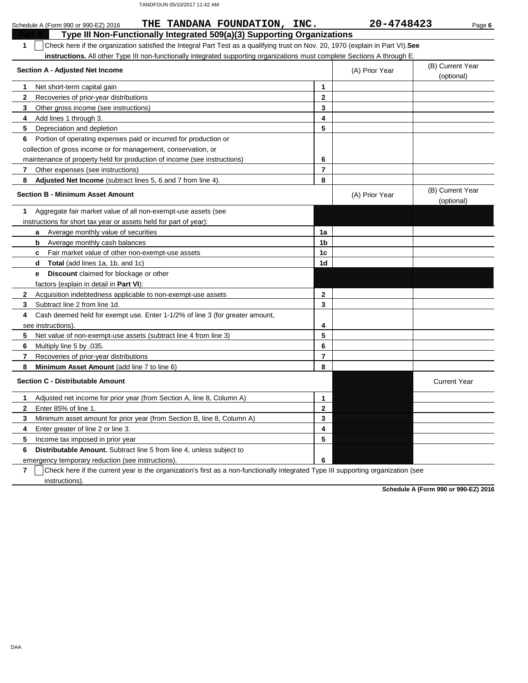|                | THE TANDANA FOUNDATION, INC.<br>Schedule A (Form 990 or 990-EZ) 2016                                                              |              | 20-4748423     | Page 6                         |
|----------------|-----------------------------------------------------------------------------------------------------------------------------------|--------------|----------------|--------------------------------|
|                | Type III Non-Functionally Integrated 509(a)(3) Supporting Organizations                                                           |              |                |                                |
| 1              | Check here if the organization satisfied the Integral Part Test as a qualifying trust on Nov. 20, 1970 (explain in Part VI). See  |              |                |                                |
|                | instructions. All other Type III non-functionally integrated supporting organizations must complete Sections A through E.         |              |                |                                |
|                | Section A - Adjusted Net Income                                                                                                   |              | (A) Prior Year | (B) Current Year<br>(optional) |
| 1              | Net short-term capital gain                                                                                                       | 1            |                |                                |
| $\mathbf{2}$   | Recoveries of prior-year distributions                                                                                            | 2            |                |                                |
| 3              | Other gross income (see instructions)                                                                                             | 3            |                |                                |
| 4              | Add lines 1 through 3.                                                                                                            | 4            |                |                                |
| 5              | Depreciation and depletion                                                                                                        | 5            |                |                                |
| 6              | Portion of operating expenses paid or incurred for production or                                                                  |              |                |                                |
|                | collection of gross income or for management, conservation, or                                                                    |              |                |                                |
|                | maintenance of property held for production of income (see instructions)                                                          | 6            |                |                                |
| 7              | Other expenses (see instructions)                                                                                                 | 7            |                |                                |
| 8              | Adjusted Net Income (subtract lines 5, 6 and 7 from line 4).                                                                      | 8            |                |                                |
|                | <b>Section B - Minimum Asset Amount</b>                                                                                           |              | (A) Prior Year | (B) Current Year<br>(optional) |
| 1              | Aggregate fair market value of all non-exempt-use assets (see                                                                     |              |                |                                |
|                | instructions for short tax year or assets held for part of year):                                                                 |              |                |                                |
|                | Average monthly value of securities<br>a                                                                                          | 1a           |                |                                |
|                | Average monthly cash balances<br>b                                                                                                | 1b           |                |                                |
|                | Fair market value of other non-exempt-use assets<br>C                                                                             | 1c           |                |                                |
|                | <b>Total</b> (add lines 1a, 1b, and 1c)<br>d                                                                                      | 1d           |                |                                |
|                | Discount claimed for blockage or other<br>е                                                                                       |              |                |                                |
|                | factors (explain in detail in <b>Part VI</b> ):                                                                                   |              |                |                                |
| $\mathbf{2}$   | Acquisition indebtedness applicable to non-exempt-use assets                                                                      | $\mathbf{2}$ |                |                                |
| 3              | Subtract line 2 from line 1d.                                                                                                     | 3            |                |                                |
| 4              | Cash deemed held for exempt use. Enter 1-1/2% of line 3 (for greater amount,                                                      |              |                |                                |
|                | see instructions)                                                                                                                 | 4            |                |                                |
| 5              | Net value of non-exempt-use assets (subtract line 4 from line 3)                                                                  | 5            |                |                                |
| 6              | Multiply line 5 by .035.                                                                                                          | 6            |                |                                |
| 7              | Recoveries of prior-year distributions                                                                                            | 7            |                |                                |
| 8              | Minimum Asset Amount (add line 7 to line 6)                                                                                       | 8            |                |                                |
|                | <b>Section C - Distributable Amount</b>                                                                                           |              |                | <b>Current Year</b>            |
| 1              | Adjusted net income for prior year (from Section A, line 8, Column A)                                                             | $\mathbf 1$  |                |                                |
| $\mathbf{2}$   | Enter 85% of line 1.                                                                                                              | $\mathbf{2}$ |                |                                |
| 3              | Minimum asset amount for prior year (from Section B, line 8, Column A)                                                            | 3            |                |                                |
| 4              | Enter greater of line 2 or line 3.                                                                                                | 4            |                |                                |
| 5              | Income tax imposed in prior year                                                                                                  | 5            |                |                                |
| 6              | Distributable Amount. Subtract line 5 from line 4, unless subject to                                                              |              |                |                                |
|                | emergency temporary reduction (see instructions)                                                                                  | 6            |                |                                |
| $\overline{7}$ | Check here if the current year is the organization's first as a non-functionally integrated Type III supporting organization (see |              |                |                                |

instructions).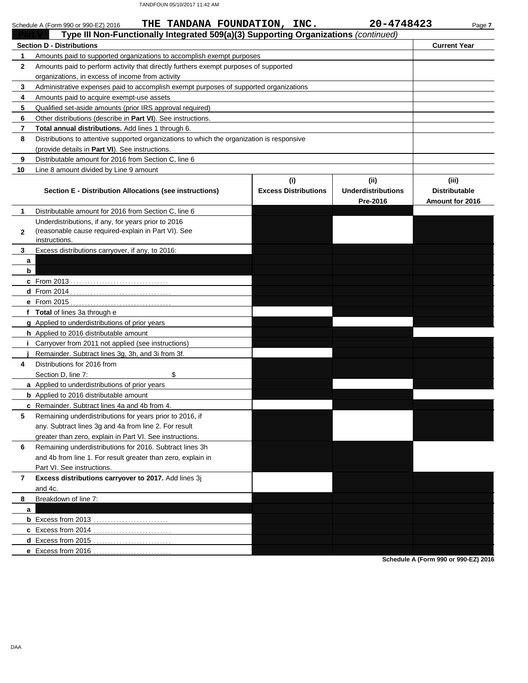|              | THE TANDANA FOUNDATION, INC.<br>Schedule A (Form 990 or 990-EZ) 2016                       |                             | 20-4748423                | Page 7               |
|--------------|--------------------------------------------------------------------------------------------|-----------------------------|---------------------------|----------------------|
|              | Type III Non-Functionally Integrated 509(a)(3) Supporting Organizations (continued)        |                             |                           |                      |
|              | <b>Section D - Distributions</b>                                                           |                             |                           | <b>Current Year</b>  |
| 1            | Amounts paid to supported organizations to accomplish exempt purposes                      |                             |                           |                      |
| $\mathbf{2}$ | Amounts paid to perform activity that directly furthers exempt purposes of supported       |                             |                           |                      |
|              | organizations, in excess of income from activity                                           |                             |                           |                      |
| 3            | Administrative expenses paid to accomplish exempt purposes of supported organizations      |                             |                           |                      |
| 4            | Amounts paid to acquire exempt-use assets                                                  |                             |                           |                      |
| 5            | Qualified set-aside amounts (prior IRS approval required)                                  |                             |                           |                      |
| 6            | Other distributions (describe in Part VI). See instructions.                               |                             |                           |                      |
| 7            | Total annual distributions. Add lines 1 through 6.                                         |                             |                           |                      |
| 8            | Distributions to attentive supported organizations to which the organization is responsive |                             |                           |                      |
|              | (provide details in Part VI). See instructions.                                            |                             |                           |                      |
| 9            | Distributable amount for 2016 from Section C, line 6                                       |                             |                           |                      |
| 10           | Line 8 amount divided by Line 9 amount                                                     |                             |                           |                      |
|              |                                                                                            | (i)                         | (ii)                      | (iii)                |
|              | Section E - Distribution Allocations (see instructions)                                    | <b>Excess Distributions</b> | <b>Underdistributions</b> | <b>Distributable</b> |
|              |                                                                                            |                             | Pre-2016                  | Amount for 2016      |
| 1            | Distributable amount for 2016 from Section C, line 6                                       |                             |                           |                      |
|              | Underdistributions, if any, for years prior to 2016                                        |                             |                           |                      |
| 2            | (reasonable cause required-explain in Part VI). See                                        |                             |                           |                      |
| 3            | instructions.<br>Excess distributions carryover, if any, to 2016:                          |                             |                           |                      |
|              |                                                                                            |                             |                           |                      |
| a<br>b       |                                                                                            |                             |                           |                      |
|              |                                                                                            |                             |                           |                      |
|              |                                                                                            |                             |                           |                      |
|              |                                                                                            |                             |                           |                      |
|              | f Total of lines 3a through e                                                              |                             |                           |                      |
|              | g Applied to underdistributions of prior years                                             |                             |                           |                      |
|              | h Applied to 2016 distributable amount                                                     |                             |                           |                      |
|              | Carryover from 2011 not applied (see instructions)                                         |                             |                           |                      |
|              | Remainder. Subtract lines 3q, 3h, and 3i from 3f.                                          |                             |                           |                      |
| 4            | Distributions for 2016 from                                                                |                             |                           |                      |
|              | \$<br>Section D, line 7:                                                                   |                             |                           |                      |
|              | a Applied to underdistributions of prior years                                             |                             |                           |                      |
|              | <b>b</b> Applied to 2016 distributable amount                                              |                             |                           |                      |
|              | c Remainder. Subtract lines 4a and 4b from 4.                                              |                             |                           |                      |
| 5            | Remaining underdistributions for years prior to 2016, if                                   |                             |                           |                      |
|              | any. Subtract lines 3g and 4a from line 2. For result                                      |                             |                           |                      |
|              | greater than zero, explain in Part VI. See instructions.                                   |                             |                           |                      |
| 6            | Remaining underdistributions for 2016. Subtract lines 3h                                   |                             |                           |                      |
|              | and 4b from line 1. For result greater than zero, explain in                               |                             |                           |                      |
|              | Part VI. See instructions.                                                                 |                             |                           |                      |
| 7            | Excess distributions carryover to 2017. Add lines 3j                                       |                             |                           |                      |
|              | and 4c.                                                                                    |                             |                           |                      |
| 8            | Breakdown of line 7:                                                                       |                             |                           |                      |
| a            |                                                                                            |                             |                           |                      |
|              |                                                                                            |                             |                           |                      |
|              | <b>c</b> Excess from 2014                                                                  |                             |                           |                      |
|              |                                                                                            |                             |                           |                      |
|              | <b>e</b> Excess from 2016                                                                  |                             |                           |                      |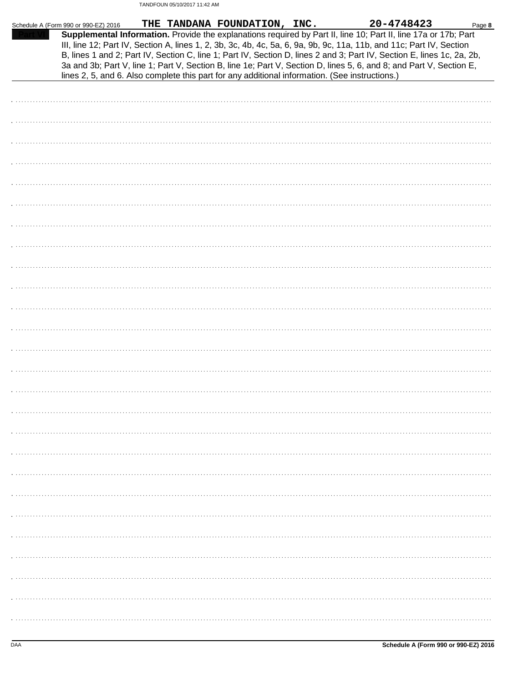| Schedule A (Form 990 or 990-EZ) 2016 |                                                                                                | THE TANDANA FOUNDATION, INC. | 20-4748423                                                                                                                                                                                                                                                                                                                                                                                                                                                                               | Page 8 |
|--------------------------------------|------------------------------------------------------------------------------------------------|------------------------------|------------------------------------------------------------------------------------------------------------------------------------------------------------------------------------------------------------------------------------------------------------------------------------------------------------------------------------------------------------------------------------------------------------------------------------------------------------------------------------------|--------|
|                                      | lines 2, 5, and 6. Also complete this part for any additional information. (See instructions.) |                              | Supplemental Information. Provide the explanations required by Part II, line 10; Part II, line 17a or 17b; Part<br>III, line 12; Part IV, Section A, lines 1, 2, 3b, 3c, 4b, 4c, 5a, 6, 9a, 9b, 9c, 11a, 11b, and 11c; Part IV, Section<br>B, lines 1 and 2; Part IV, Section C, line 1; Part IV, Section D, lines 2 and 3; Part IV, Section E, lines 1c, 2a, 2b,<br>3a and 3b; Part V, line 1; Part V, Section B, line 1e; Part V, Section D, lines 5, 6, and 8; and Part V, Section E, |        |
|                                      |                                                                                                |                              |                                                                                                                                                                                                                                                                                                                                                                                                                                                                                          |        |
|                                      |                                                                                                |                              |                                                                                                                                                                                                                                                                                                                                                                                                                                                                                          |        |
|                                      |                                                                                                |                              |                                                                                                                                                                                                                                                                                                                                                                                                                                                                                          |        |
|                                      |                                                                                                |                              |                                                                                                                                                                                                                                                                                                                                                                                                                                                                                          |        |
|                                      |                                                                                                |                              |                                                                                                                                                                                                                                                                                                                                                                                                                                                                                          |        |
|                                      |                                                                                                |                              |                                                                                                                                                                                                                                                                                                                                                                                                                                                                                          |        |
|                                      |                                                                                                |                              |                                                                                                                                                                                                                                                                                                                                                                                                                                                                                          |        |
|                                      |                                                                                                |                              |                                                                                                                                                                                                                                                                                                                                                                                                                                                                                          |        |
|                                      |                                                                                                |                              |                                                                                                                                                                                                                                                                                                                                                                                                                                                                                          |        |
|                                      |                                                                                                |                              |                                                                                                                                                                                                                                                                                                                                                                                                                                                                                          |        |
|                                      |                                                                                                |                              |                                                                                                                                                                                                                                                                                                                                                                                                                                                                                          |        |
|                                      |                                                                                                |                              |                                                                                                                                                                                                                                                                                                                                                                                                                                                                                          |        |
|                                      |                                                                                                |                              |                                                                                                                                                                                                                                                                                                                                                                                                                                                                                          |        |
|                                      |                                                                                                |                              |                                                                                                                                                                                                                                                                                                                                                                                                                                                                                          |        |
|                                      |                                                                                                |                              |                                                                                                                                                                                                                                                                                                                                                                                                                                                                                          |        |
|                                      |                                                                                                |                              |                                                                                                                                                                                                                                                                                                                                                                                                                                                                                          |        |
|                                      |                                                                                                |                              |                                                                                                                                                                                                                                                                                                                                                                                                                                                                                          |        |
|                                      |                                                                                                |                              |                                                                                                                                                                                                                                                                                                                                                                                                                                                                                          |        |
|                                      |                                                                                                |                              |                                                                                                                                                                                                                                                                                                                                                                                                                                                                                          |        |
|                                      |                                                                                                |                              |                                                                                                                                                                                                                                                                                                                                                                                                                                                                                          |        |
|                                      |                                                                                                |                              |                                                                                                                                                                                                                                                                                                                                                                                                                                                                                          |        |
|                                      |                                                                                                |                              |                                                                                                                                                                                                                                                                                                                                                                                                                                                                                          |        |
|                                      |                                                                                                |                              |                                                                                                                                                                                                                                                                                                                                                                                                                                                                                          |        |
|                                      |                                                                                                |                              |                                                                                                                                                                                                                                                                                                                                                                                                                                                                                          |        |
|                                      |                                                                                                |                              |                                                                                                                                                                                                                                                                                                                                                                                                                                                                                          |        |
|                                      |                                                                                                |                              |                                                                                                                                                                                                                                                                                                                                                                                                                                                                                          |        |
|                                      |                                                                                                |                              |                                                                                                                                                                                                                                                                                                                                                                                                                                                                                          |        |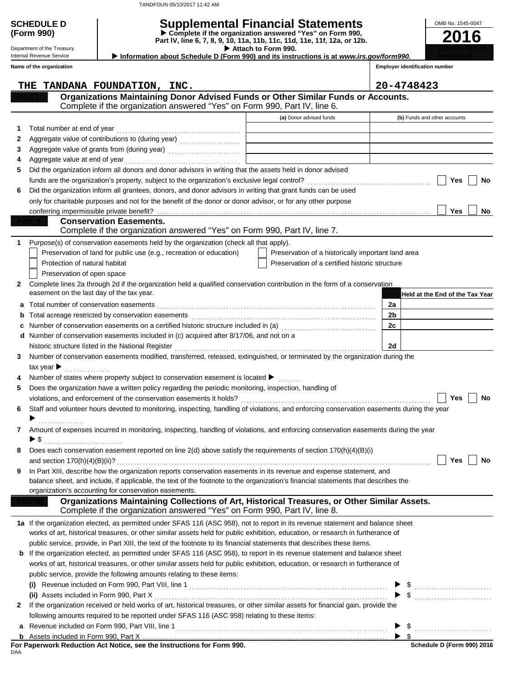|            | <b>SCHEDULE D</b> |
|------------|-------------------|
| (Form 990) |                   |

# **SCHEDULE D Supplemental Financial Statements**

**Part IV, line 6, 7, 8, 9, 10, 11a, 11b, 11c, 11d, 11e, 11f, 12a, or 12b. Complete if the organization answered "Yes" on Form 990,**

**Attach to Form 990.**

**Information about Schedule D (Form 990) and its instructions is at** *www.irs.gov/form990.*

Internal Revenue Service **Name of the organization**

Department of the Treasury

## **Employer identification number**

**2016**

OMB No. 1545-0047

|              | THE TANDANA FOUNDATION, INC.                                                                                                                                                                                                                                        |                                                                        | 20-4748423                      |
|--------------|---------------------------------------------------------------------------------------------------------------------------------------------------------------------------------------------------------------------------------------------------------------------|------------------------------------------------------------------------|---------------------------------|
|              | Organizations Maintaining Donor Advised Funds or Other Similar Funds or Accounts.<br>Complete if the organization answered "Yes" on Form 990, Part IV, line 6.                                                                                                      |                                                                        |                                 |
|              |                                                                                                                                                                                                                                                                     | (a) Donor advised funds                                                | (b) Funds and other accounts    |
| 1            |                                                                                                                                                                                                                                                                     |                                                                        |                                 |
| 2            |                                                                                                                                                                                                                                                                     |                                                                        |                                 |
| 3            |                                                                                                                                                                                                                                                                     |                                                                        |                                 |
|              |                                                                                                                                                                                                                                                                     |                                                                        |                                 |
| 5            | Did the organization inform all donors and donor advisors in writing that the assets held in donor advised                                                                                                                                                          |                                                                        |                                 |
|              |                                                                                                                                                                                                                                                                     |                                                                        | Yes<br>No                       |
| 6            | Did the organization inform all grantees, donors, and donor advisors in writing that grant funds can be used                                                                                                                                                        |                                                                        |                                 |
|              | only for charitable purposes and not for the benefit of the donor or donor advisor, or for any other purpose                                                                                                                                                        |                                                                        |                                 |
|              | conferring impermissible private benefit?                                                                                                                                                                                                                           |                                                                        | Yes<br>No                       |
|              | <b>Conservation Easements.</b>                                                                                                                                                                                                                                      |                                                                        |                                 |
|              | Complete if the organization answered "Yes" on Form 990, Part IV, line 7.                                                                                                                                                                                           |                                                                        |                                 |
| 1            | Purpose(s) of conservation easements held by the organization (check all that apply).                                                                                                                                                                               |                                                                        |                                 |
|              | Preservation of land for public use (e.g., recreation or education)                                                                                                                                                                                                 | Preservation of a historically important land area                     |                                 |
|              | Protection of natural habitat                                                                                                                                                                                                                                       | Preservation of a certified historic structure                         |                                 |
|              | Preservation of open space                                                                                                                                                                                                                                          |                                                                        |                                 |
| 2            | Complete lines 2a through 2d if the organization held a qualified conservation contribution in the form of a conservation                                                                                                                                           |                                                                        |                                 |
|              | easement on the last day of the tax year.                                                                                                                                                                                                                           |                                                                        | Held at the End of the Tax Year |
| а            |                                                                                                                                                                                                                                                                     |                                                                        | 2a                              |
|              |                                                                                                                                                                                                                                                                     |                                                                        | 2 <sub>b</sub>                  |
| c            | Number of conservation easements on a certified historic structure included in (a) [[[[[[[[[[[[[[[[[[[[[[[[[]]]]]]]                                                                                                                                                 |                                                                        | 2c                              |
| d            | Number of conservation easements included in (c) acquired after 8/17/06, and not on a                                                                                                                                                                               |                                                                        |                                 |
|              |                                                                                                                                                                                                                                                                     |                                                                        | 2d                              |
| 3            | Number of conservation easements modified, transferred, released, extinguished, or terminated by the organization during the                                                                                                                                        |                                                                        |                                 |
|              | tax year $\blacktriangleright$<br>.                                                                                                                                                                                                                                 |                                                                        |                                 |
|              | Number of states where property subject to conservation easement is located ▶                                                                                                                                                                                       |                                                                        |                                 |
| 5            | Does the organization have a written policy regarding the periodic monitoring, inspection, handling of                                                                                                                                                              |                                                                        |                                 |
|              |                                                                                                                                                                                                                                                                     |                                                                        | Yes<br>No                       |
| 6            | Staff and volunteer hours devoted to monitoring, inspecting, handling of violations, and enforcing conservation easements during the year                                                                                                                           |                                                                        |                                 |
|              | .                                                                                                                                                                                                                                                                   |                                                                        |                                 |
| 7            | Amount of expenses incurred in monitoring, inspecting, handling of violations, and enforcing conservation easements during the year                                                                                                                                 |                                                                        |                                 |
|              | ▶ \$                                                                                                                                                                                                                                                                |                                                                        |                                 |
|              | Does each conservation easement reported on line 2(d) above satisfy the requirements of section 170(h)(4)(B)(i)                                                                                                                                                     |                                                                        |                                 |
|              |                                                                                                                                                                                                                                                                     |                                                                        | $\Box$ Yes<br>∣ No              |
| 9            | In Part XIII, describe how the organization reports conservation easements in its revenue and expense statement, and                                                                                                                                                |                                                                        |                                 |
|              | balance sheet, and include, if applicable, the text of the footnote to the organization's financial statements that describes the                                                                                                                                   |                                                                        |                                 |
|              | organization's accounting for conservation easements.                                                                                                                                                                                                               |                                                                        |                                 |
|              | Organizations Maintaining Collections of Art, Historical Treasures, or Other Similar Assets.<br>Complete if the organization answered "Yes" on Form 990, Part IV, line 8.                                                                                           |                                                                        |                                 |
|              |                                                                                                                                                                                                                                                                     |                                                                        |                                 |
|              | 1a If the organization elected, as permitted under SFAS 116 (ASC 958), not to report in its revenue statement and balance sheet<br>works of art, historical treasures, or other similar assets held for public exhibition, education, or research in furtherance of |                                                                        |                                 |
|              | public service, provide, in Part XIII, the text of the footnote to its financial statements that describes these items.                                                                                                                                             |                                                                        |                                 |
|              |                                                                                                                                                                                                                                                                     |                                                                        |                                 |
|              | <b>b</b> If the organization elected, as permitted under SFAS 116 (ASC 958), to report in its revenue statement and balance sheet                                                                                                                                   |                                                                        |                                 |
|              | works of art, historical treasures, or other similar assets held for public exhibition, education, or research in furtherance of                                                                                                                                    |                                                                        |                                 |
|              | public service, provide the following amounts relating to these items:                                                                                                                                                                                              |                                                                        |                                 |
|              |                                                                                                                                                                                                                                                                     |                                                                        |                                 |
|              |                                                                                                                                                                                                                                                                     |                                                                        | $\frac{1}{2}$                   |
| $\mathbf{2}$ | If the organization received or held works of art, historical treasures, or other similar assets for financial gain, provide the                                                                                                                                    |                                                                        |                                 |
|              | following amounts required to be reported under SFAS 116 (ASC 958) relating to these items:                                                                                                                                                                         |                                                                        |                                 |
| а            |                                                                                                                                                                                                                                                                     |                                                                        |                                 |
| b            |                                                                                                                                                                                                                                                                     | For Paperwork Reduction Act Notice, see the Instructions for Form 990. |                                 |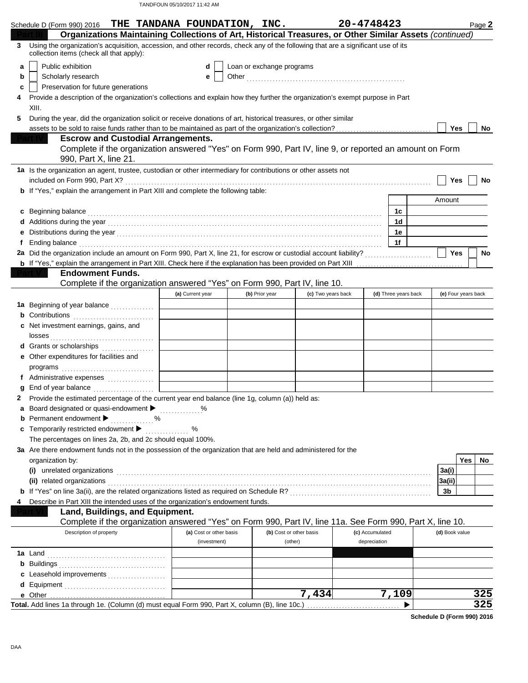|   | Schedule D (Form 990) 2016 THE TANDANA FOUNDATION, INC.                                                                                                                                                                             |                         |                           |                         | 20-4748423      |                      | Page 2              |
|---|-------------------------------------------------------------------------------------------------------------------------------------------------------------------------------------------------------------------------------------|-------------------------|---------------------------|-------------------------|-----------------|----------------------|---------------------|
|   | Organizations Maintaining Collections of Art, Historical Treasures, or Other Similar Assets (continued)                                                                                                                             |                         |                           |                         |                 |                      |                     |
|   | 3 Using the organization's acquisition, accession, and other records, check any of the following that are a significant use of its<br>collection items (check all that apply):                                                      |                         |                           |                         |                 |                      |                     |
| a | Public exhibition                                                                                                                                                                                                                   | d                       | Loan or exchange programs |                         |                 |                      |                     |
| b | Scholarly research                                                                                                                                                                                                                  | е                       |                           |                         |                 |                      |                     |
| с | Preservation for future generations                                                                                                                                                                                                 |                         |                           |                         |                 |                      |                     |
| 4 | Provide a description of the organization's collections and explain how they further the organization's exempt purpose in Part<br>XIII.                                                                                             |                         |                           |                         |                 |                      |                     |
| 5 | During the year, did the organization solicit or receive donations of art, historical treasures, or other similar                                                                                                                   |                         |                           |                         |                 |                      |                     |
|   |                                                                                                                                                                                                                                     |                         |                           |                         |                 |                      | Yes<br>No.          |
|   | <b>Escrow and Custodial Arrangements.</b>                                                                                                                                                                                           |                         |                           |                         |                 |                      |                     |
|   | Complete if the organization answered "Yes" on Form 990, Part IV, line 9, or reported an amount on Form<br>990, Part X, line 21.                                                                                                    |                         |                           |                         |                 |                      |                     |
|   | 1a Is the organization an agent, trustee, custodian or other intermediary for contributions or other assets not                                                                                                                     |                         |                           |                         |                 |                      |                     |
|   | included on Form 990, Part X?                                                                                                                                                                                                       |                         |                           |                         |                 |                      | Yes<br>No           |
|   | <b>b</b> If "Yes," explain the arrangement in Part XIII and complete the following table:                                                                                                                                           |                         |                           |                         |                 |                      |                     |
|   |                                                                                                                                                                                                                                     |                         |                           |                         |                 |                      | Amount              |
|   | c Beginning balance                                                                                                                                                                                                                 |                         |                           |                         |                 | 1c                   |                     |
|   |                                                                                                                                                                                                                                     |                         |                           |                         |                 | 1d                   |                     |
|   |                                                                                                                                                                                                                                     |                         |                           |                         |                 | 1e                   |                     |
| f | Ending balance <b>construction and the construction of the construction</b> of the construction of the construction of the construction of the construction of the construction of the construction of the construction of the cons |                         |                           |                         |                 | 1f                   |                     |
|   |                                                                                                                                                                                                                                     |                         |                           |                         |                 |                      | Yes<br>No           |
|   |                                                                                                                                                                                                                                     |                         |                           |                         |                 |                      |                     |
|   | <b>Endowment Funds.</b>                                                                                                                                                                                                             |                         |                           |                         |                 |                      |                     |
|   | Complete if the organization answered "Yes" on Form 990, Part IV, line 10.                                                                                                                                                          |                         |                           |                         |                 |                      |                     |
|   |                                                                                                                                                                                                                                     | (a) Current year        | (b) Prior year            | (c) Two years back      |                 | (d) Three years back | (e) Four years back |
|   | 1a Beginning of year balance                                                                                                                                                                                                        |                         |                           |                         |                 |                      |                     |
|   | <b>b</b> Contributions <b>contributions</b>                                                                                                                                                                                         |                         |                           |                         |                 |                      |                     |
|   | c Net investment earnings, gains, and<br>losses                                                                                                                                                                                     |                         |                           |                         |                 |                      |                     |
|   | d Grants or scholarships                                                                                                                                                                                                            |                         |                           |                         |                 |                      |                     |
|   | e Other expenditures for facilities and                                                                                                                                                                                             |                         |                           |                         |                 |                      |                     |
|   |                                                                                                                                                                                                                                     |                         |                           |                         |                 |                      |                     |
|   |                                                                                                                                                                                                                                     |                         |                           |                         |                 |                      |                     |
|   |                                                                                                                                                                                                                                     |                         |                           |                         |                 |                      |                     |
|   | 2 Provide the estimated percentage of the current year end balance (line 1g, column (a)) held as:                                                                                                                                   |                         |                           |                         |                 |                      |                     |
|   | a Board designated or quasi-endowment >                                                                                                                                                                                             | %                       |                           |                         |                 |                      |                     |
|   | <b>b</b> Permanent endowment<br>. %                                                                                                                                                                                                 |                         |                           |                         |                 |                      |                     |
|   | c Temporarily restricted endowment $\blacktriangleright$                                                                                                                                                                            | %                       |                           |                         |                 |                      |                     |
|   | The percentages on lines 2a, 2b, and 2c should equal 100%.                                                                                                                                                                          |                         |                           |                         |                 |                      |                     |
|   | 3a Are there endowment funds not in the possession of the organization that are held and administered for the                                                                                                                       |                         |                           |                         |                 |                      |                     |
|   | organization by:                                                                                                                                                                                                                    |                         |                           |                         |                 |                      | Yes<br>No           |
|   |                                                                                                                                                                                                                                     |                         |                           |                         |                 |                      | 3a(i)               |
|   |                                                                                                                                                                                                                                     |                         |                           |                         |                 |                      | 3a(ii)              |
|   |                                                                                                                                                                                                                                     |                         |                           |                         |                 |                      | 3 <sub>b</sub>      |
|   | Describe in Part XIII the intended uses of the organization's endowment funds.                                                                                                                                                      |                         |                           |                         |                 |                      |                     |
|   | Land, Buildings, and Equipment.                                                                                                                                                                                                     |                         |                           |                         |                 |                      |                     |
|   | Complete if the organization answered "Yes" on Form 990, Part IV, line 11a. See Form 990, Part X, line 10.                                                                                                                          |                         |                           |                         |                 |                      |                     |
|   | Description of property                                                                                                                                                                                                             | (a) Cost or other basis |                           | (b) Cost or other basis | (c) Accumulated |                      | (d) Book value      |
|   |                                                                                                                                                                                                                                     | (investment)            |                           | (other)                 | depreciation    |                      |                     |
|   | <b>1a</b> Land                                                                                                                                                                                                                      |                         |                           |                         |                 |                      |                     |
|   |                                                                                                                                                                                                                                     |                         |                           |                         |                 |                      |                     |
|   | c Leasehold improvements                                                                                                                                                                                                            |                         |                           |                         |                 |                      |                     |
|   |                                                                                                                                                                                                                                     |                         |                           |                         |                 |                      |                     |
|   |                                                                                                                                                                                                                                     |                         |                           | 7,434                   |                 | 7,109                | 325                 |
|   |                                                                                                                                                                                                                                     |                         |                           |                         |                 |                      | 325                 |

| Schedule D (Form 990) 2016 |  |
|----------------------------|--|
|                            |  |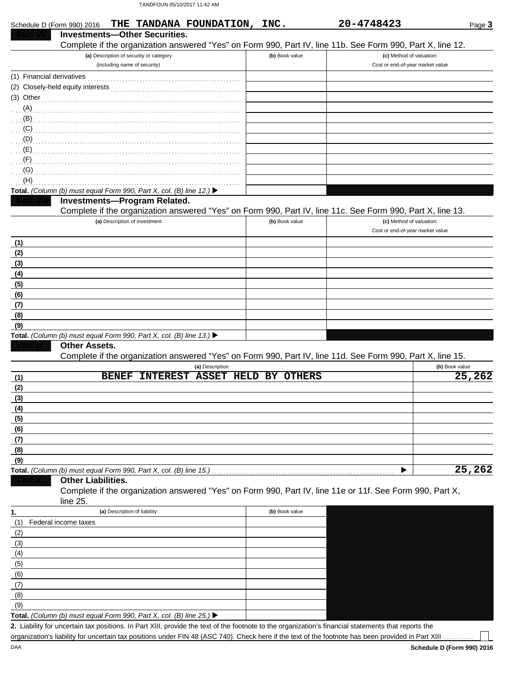| THE TANDANA FOUNDATION, INC.<br>Schedule D (Form 990) 2016                                                 |                | 20-4748423                       | Page 3         |
|------------------------------------------------------------------------------------------------------------|----------------|----------------------------------|----------------|
| <b>Investments-Other Securities.</b>                                                                       |                |                                  |                |
| Complete if the organization answered "Yes" on Form 990, Part IV, line 11b. See Form 990, Part X, line 12. |                |                                  |                |
| (a) Description of security or category                                                                    | (b) Book value | (c) Method of valuation:         |                |
| (including name of security)                                                                               |                | Cost or end-of-year market value |                |
|                                                                                                            |                |                                  |                |
|                                                                                                            |                |                                  |                |
| $(3)$ Other                                                                                                |                |                                  |                |
| (A)                                                                                                        |                |                                  |                |
| (B)                                                                                                        |                |                                  |                |
| (C)                                                                                                        |                |                                  |                |
| (D)<br>(E)                                                                                                 |                |                                  |                |
| (F)                                                                                                        |                |                                  |                |
| (G)                                                                                                        |                |                                  |                |
| (H)                                                                                                        |                |                                  |                |
| Total. (Column (b) must equal Form 990, Part X, col. (B) line 12.) ▶                                       |                |                                  |                |
| <b>Investments-Program Related.</b>                                                                        |                |                                  |                |
| Complete if the organization answered "Yes" on Form 990, Part IV, line 11c. See Form 990, Part X, line 13. |                |                                  |                |
| (a) Description of investment                                                                              | (b) Book value | (c) Method of valuation:         |                |
|                                                                                                            |                | Cost or end-of-year market value |                |
| (1)                                                                                                        |                |                                  |                |
| (2)                                                                                                        |                |                                  |                |
| (3)                                                                                                        |                |                                  |                |
| (4)                                                                                                        |                |                                  |                |
| (5)                                                                                                        |                |                                  |                |
| (6)                                                                                                        |                |                                  |                |
| (7)                                                                                                        |                |                                  |                |
| (8)                                                                                                        |                |                                  |                |
| (9)                                                                                                        |                |                                  |                |
| Total. (Column (b) must equal Form 990, Part X, col. (B) line 13.) ▶                                       |                |                                  |                |
| <b>Other Assets.</b>                                                                                       |                |                                  |                |
| Complete if the organization answered "Yes" on Form 990, Part IV, line 11d. See Form 990, Part X, line 15. |                |                                  |                |
| (a) Description                                                                                            |                |                                  | (b) Book value |
| INTEREST ASSET HELD BY OTHERS<br><b>BENEF</b><br>(1)                                                       |                |                                  | 25,262         |
| (2)                                                                                                        |                |                                  |                |
| (3)                                                                                                        |                |                                  |                |
| (4)                                                                                                        |                |                                  |                |
| (5)                                                                                                        |                |                                  |                |
| (6)                                                                                                        |                |                                  |                |
| (7)                                                                                                        |                |                                  |                |
| (8)                                                                                                        |                |                                  |                |
| (9)                                                                                                        |                |                                  | 25,262         |
| Total. (Column (b) must equal Form 990, Part X, col. (B) line 15.)<br><b>Other Liabilities.</b>            |                |                                  |                |
| Complete if the organization answered "Yes" on Form 990, Part IV, line 11e or 11f. See Form 990, Part X,   |                |                                  |                |
| line 25.                                                                                                   |                |                                  |                |
| 1.<br>(a) Description of liability                                                                         | (b) Book value |                                  |                |
| (1)<br>Federal income taxes                                                                                |                |                                  |                |
| (2)                                                                                                        |                |                                  |                |
| (3)                                                                                                        |                |                                  |                |
| (4)                                                                                                        |                |                                  |                |
| (5)                                                                                                        |                |                                  |                |
| (6)                                                                                                        |                |                                  |                |
| (7)                                                                                                        |                |                                  |                |

**Total.** *(Column (b) must equal Form 990, Part X, col. (B) line 25.)*

Liability for uncertain tax positions. In Part XIII, provide the text of the footnote to the organization's financial statements that reports the **2.** organization's liability for uncertain tax positions under FIN 48 (ASC 740). Check here if the text of the footnote has been provided in Part XIII

(9) (8)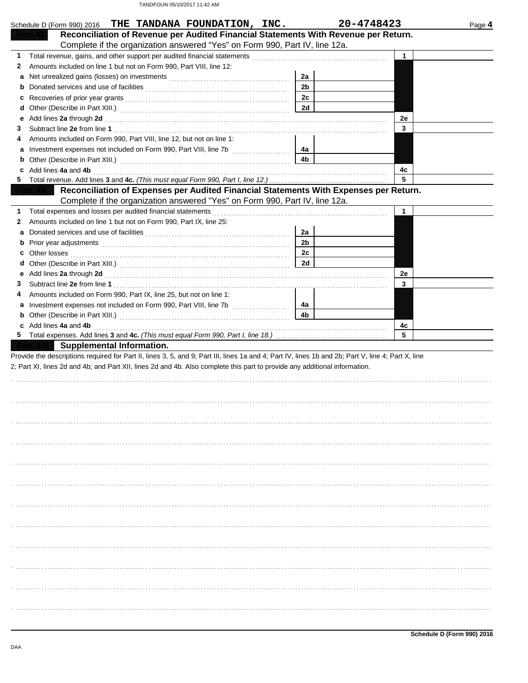| Reconciliation of Revenue per Audited Financial Statements With Revenue per Return.                                                                                                                                                     |                      |              | Page 4 |
|-----------------------------------------------------------------------------------------------------------------------------------------------------------------------------------------------------------------------------------------|----------------------|--------------|--------|
|                                                                                                                                                                                                                                         |                      |              |        |
| Complete if the organization answered "Yes" on Form 990, Part IV, line 12a.                                                                                                                                                             |                      |              |        |
| 1                                                                                                                                                                                                                                       |                      | $\mathbf{1}$ |        |
| Amounts included on line 1 but not on Form 990, Part VIII, line 12:<br>$\mathbf{2}$                                                                                                                                                     |                      |              |        |
| a                                                                                                                                                                                                                                       | 2a<br>2 <sub>b</sub> |              |        |
| b                                                                                                                                                                                                                                       | 2c                   |              |        |
| c                                                                                                                                                                                                                                       | 2d                   |              |        |
| d                                                                                                                                                                                                                                       |                      |              |        |
| Add lines 2a through 2d [11] Additional Property and The Care and The Care and The Care and The Care and The Care and The Care and The Care and The Care and The Care and The Care and The Care and The Care and The Care and<br>е<br>3 |                      | 2e<br>3      |        |
| Amounts included on Form 990, Part VIII, line 12, but not on line 1:<br>4                                                                                                                                                               |                      |              |        |
| a                                                                                                                                                                                                                                       | 4a                   |              |        |
| b                                                                                                                                                                                                                                       | 4 <sub>b</sub>       |              |        |
| Add lines 4a and 4b                                                                                                                                                                                                                     |                      | 4c           |        |
| 5                                                                                                                                                                                                                                       |                      | 5            |        |
| Reconciliation of Expenses per Audited Financial Statements With Expenses per Return.                                                                                                                                                   |                      |              |        |
| Complete if the organization answered "Yes" on Form 990, Part IV, line 12a.                                                                                                                                                             |                      |              |        |
| Total expenses and losses per audited financial statements<br>1                                                                                                                                                                         |                      | $\mathbf{1}$ |        |
| Amounts included on line 1 but not on Form 990, Part IX, line 25:<br>$\mathbf{2}$                                                                                                                                                       |                      |              |        |
|                                                                                                                                                                                                                                         | 2a                   |              |        |
| b                                                                                                                                                                                                                                       | 2 <sub>b</sub>       |              |        |
| Other losses                                                                                                                                                                                                                            | 2c                   |              |        |
| d                                                                                                                                                                                                                                       | 2d                   |              |        |
| Add lines 2a through 2d [11, 12] March 2014 (12, 13) March 2014 (13) March 2014 (13) March 2014 (13) March 201<br>е                                                                                                                     |                      | <b>2e</b>    |        |
| 3                                                                                                                                                                                                                                       |                      | 3            |        |
| Amounts included on Form 990, Part IX, line 25, but not on line 1:<br>4                                                                                                                                                                 |                      |              |        |
| Investment expenses not included on Form 990, Part VIII, line 7b [<br>а                                                                                                                                                                 | 4a                   |              |        |
| b                                                                                                                                                                                                                                       | 4 <sub>b</sub>       |              |        |
| Add lines 4a and 4b                                                                                                                                                                                                                     |                      | 4c           |        |
| 5                                                                                                                                                                                                                                       |                      | 5            |        |
| <b>Supplemental Information.</b>                                                                                                                                                                                                        |                      |              |        |
|                                                                                                                                                                                                                                         |                      |              |        |
| Provide the descriptions required for Part II, lines 3, 5, and 9; Part III, lines 1a and 4; Part IV, lines 1b and 2b; Part V, line 4; Part X, line                                                                                      |                      |              |        |
|                                                                                                                                                                                                                                         |                      |              |        |
|                                                                                                                                                                                                                                         |                      |              |        |
|                                                                                                                                                                                                                                         |                      |              |        |
|                                                                                                                                                                                                                                         |                      |              |        |
|                                                                                                                                                                                                                                         |                      |              |        |
|                                                                                                                                                                                                                                         |                      |              |        |
|                                                                                                                                                                                                                                         |                      |              |        |
|                                                                                                                                                                                                                                         |                      |              |        |
|                                                                                                                                                                                                                                         |                      |              |        |
|                                                                                                                                                                                                                                         |                      |              |        |
|                                                                                                                                                                                                                                         |                      |              |        |
|                                                                                                                                                                                                                                         |                      |              |        |
|                                                                                                                                                                                                                                         |                      |              |        |
|                                                                                                                                                                                                                                         |                      |              |        |
|                                                                                                                                                                                                                                         |                      |              |        |
|                                                                                                                                                                                                                                         |                      |              |        |
|                                                                                                                                                                                                                                         |                      |              |        |
|                                                                                                                                                                                                                                         |                      |              |        |
|                                                                                                                                                                                                                                         |                      |              |        |
| 2; Part XI, lines 2d and 4b; and Part XII, lines 2d and 4b. Also complete this part to provide any additional information.                                                                                                              |                      |              |        |
|                                                                                                                                                                                                                                         |                      |              |        |
|                                                                                                                                                                                                                                         |                      |              |        |
|                                                                                                                                                                                                                                         |                      |              |        |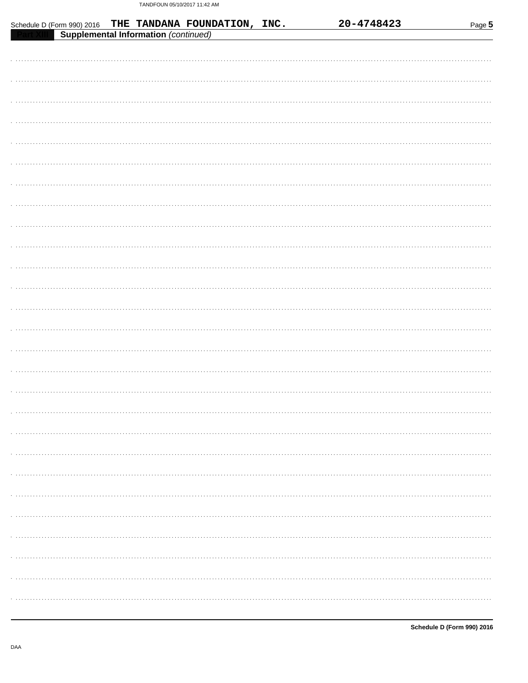| Schedule D (Form 990) 2016 THE TANDANA FOUNDATION, INC. |                                             |  | 20-4748423 | Page 5 |
|---------------------------------------------------------|---------------------------------------------|--|------------|--------|
|                                                         | <b>Supplemental Information (continued)</b> |  |            |        |
|                                                         |                                             |  |            |        |
|                                                         |                                             |  |            |        |
|                                                         |                                             |  |            |        |
|                                                         |                                             |  |            |        |
|                                                         |                                             |  |            |        |
|                                                         |                                             |  |            |        |
|                                                         |                                             |  |            |        |
|                                                         |                                             |  |            |        |
|                                                         |                                             |  |            |        |
|                                                         |                                             |  |            |        |
|                                                         |                                             |  |            |        |
|                                                         |                                             |  |            |        |
|                                                         |                                             |  |            |        |
|                                                         |                                             |  |            |        |
|                                                         |                                             |  |            |        |
|                                                         |                                             |  |            |        |
|                                                         |                                             |  |            |        |
|                                                         |                                             |  |            |        |
|                                                         |                                             |  |            |        |
|                                                         |                                             |  |            |        |
|                                                         |                                             |  |            |        |
|                                                         |                                             |  |            |        |
|                                                         |                                             |  |            |        |
|                                                         |                                             |  |            |        |
|                                                         |                                             |  |            |        |
|                                                         |                                             |  |            |        |
|                                                         |                                             |  |            |        |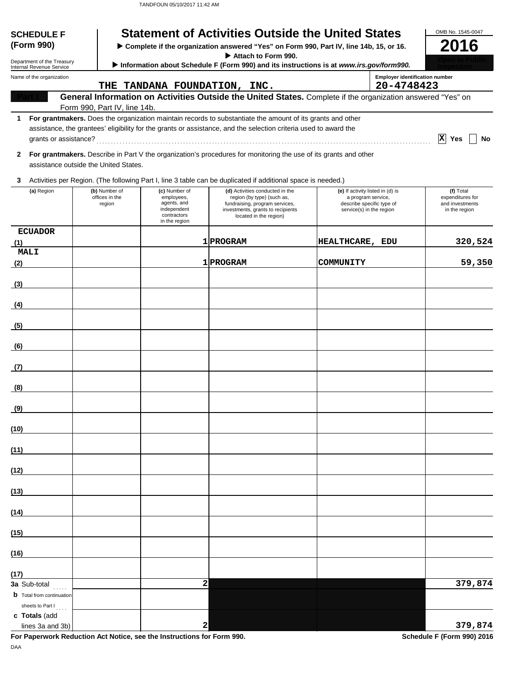| <b>SCHEDULE F</b>                                                                                      |  |                                           |                                                                                           | <b>Statement of Activities Outside the United States</b>                                                                                                                                                                       |                                                                                                                 |                                       | OMB No. 1545-0047                                                 |
|--------------------------------------------------------------------------------------------------------|--|-------------------------------------------|-------------------------------------------------------------------------------------------|--------------------------------------------------------------------------------------------------------------------------------------------------------------------------------------------------------------------------------|-----------------------------------------------------------------------------------------------------------------|---------------------------------------|-------------------------------------------------------------------|
| (Form 990)<br>> Complete if the organization answered "Yes" on Form 990, Part IV, line 14b, 15, or 16. |  |                                           |                                                                                           |                                                                                                                                                                                                                                |                                                                                                                 |                                       | 2016                                                              |
| Department of the Treasury<br>Internal Revenue Service                                                 |  |                                           |                                                                                           | Attach to Form 990.<br>Information about Schedule F (Form 990) and its instructions is at www.irs.gov/form990.                                                                                                                 |                                                                                                                 |                                       |                                                                   |
| Name of the organization                                                                               |  |                                           |                                                                                           |                                                                                                                                                                                                                                |                                                                                                                 | <b>Employer identification number</b> |                                                                   |
|                                                                                                        |  |                                           | THE TANDANA FOUNDATION, INC.                                                              | General Information on Activities Outside the United States. Complete if the organization answered "Yes" on                                                                                                                    |                                                                                                                 | 20-4748423                            |                                                                   |
|                                                                                                        |  | Form 990, Part IV, line 14b.              |                                                                                           |                                                                                                                                                                                                                                |                                                                                                                 |                                       |                                                                   |
| 1<br>grants or assistance?                                                                             |  |                                           |                                                                                           | For grantmakers. Does the organization maintain records to substantiate the amount of its grants and other<br>assistance, the grantees' eligibility for the grants or assistance, and the selection criteria used to award the |                                                                                                                 |                                       | $ \mathbf{x} $<br>Yes<br>No                                       |
|                                                                                                        |  | assistance outside the United States.     |                                                                                           | 2 For grantmakers. Describe in Part V the organization's procedures for monitoring the use of its grants and other                                                                                                             |                                                                                                                 |                                       |                                                                   |
| 3                                                                                                      |  |                                           |                                                                                           | Activities per Region. (The following Part I, line 3 table can be duplicated if additional space is needed.)                                                                                                                   |                                                                                                                 |                                       |                                                                   |
| (a) Region                                                                                             |  | (b) Number of<br>offices in the<br>region | (c) Number of<br>employees,<br>agents, and<br>independent<br>contractors<br>in the region | (d) Activities conducted in the<br>region (by type) (such as,<br>fundraising, program services,<br>investments, grants to recipients<br>located in the region)                                                                 | (e) If activity listed in (d) is<br>a program service,<br>describe specific type of<br>service(s) in the region |                                       | (f) Total<br>expenditures for<br>and investments<br>in the region |
| <b>ECUADOR</b><br>(1)                                                                                  |  |                                           |                                                                                           | <b>1 PROGRAM</b>                                                                                                                                                                                                               | <b>HEALTHCARE, EDU</b>                                                                                          |                                       | 320,524                                                           |
| <b>MALI</b>                                                                                            |  |                                           |                                                                                           | <b>1 IPROGRAM</b>                                                                                                                                                                                                              | COMMUNITY                                                                                                       |                                       | 59,350                                                            |
| (2)                                                                                                    |  |                                           |                                                                                           |                                                                                                                                                                                                                                |                                                                                                                 |                                       |                                                                   |
| (3)                                                                                                    |  |                                           |                                                                                           |                                                                                                                                                                                                                                |                                                                                                                 |                                       |                                                                   |
| (4)                                                                                                    |  |                                           |                                                                                           |                                                                                                                                                                                                                                |                                                                                                                 |                                       |                                                                   |
| (5)                                                                                                    |  |                                           |                                                                                           |                                                                                                                                                                                                                                |                                                                                                                 |                                       |                                                                   |
| (6)                                                                                                    |  |                                           |                                                                                           |                                                                                                                                                                                                                                |                                                                                                                 |                                       |                                                                   |
| (7)                                                                                                    |  |                                           |                                                                                           |                                                                                                                                                                                                                                |                                                                                                                 |                                       |                                                                   |
| (8)                                                                                                    |  |                                           |                                                                                           |                                                                                                                                                                                                                                |                                                                                                                 |                                       |                                                                   |
| <u>(9)</u>                                                                                             |  |                                           |                                                                                           |                                                                                                                                                                                                                                |                                                                                                                 |                                       |                                                                   |
| (10)                                                                                                   |  |                                           |                                                                                           |                                                                                                                                                                                                                                |                                                                                                                 |                                       |                                                                   |
| (11)                                                                                                   |  |                                           |                                                                                           |                                                                                                                                                                                                                                |                                                                                                                 |                                       |                                                                   |
| (12)                                                                                                   |  |                                           |                                                                                           |                                                                                                                                                                                                                                |                                                                                                                 |                                       |                                                                   |
| (13)                                                                                                   |  |                                           |                                                                                           |                                                                                                                                                                                                                                |                                                                                                                 |                                       |                                                                   |
| (14)                                                                                                   |  |                                           |                                                                                           |                                                                                                                                                                                                                                |                                                                                                                 |                                       |                                                                   |
| (15)                                                                                                   |  |                                           |                                                                                           |                                                                                                                                                                                                                                |                                                                                                                 |                                       |                                                                   |
| (16)                                                                                                   |  |                                           |                                                                                           |                                                                                                                                                                                                                                |                                                                                                                 |                                       |                                                                   |
| (17)                                                                                                   |  |                                           |                                                                                           |                                                                                                                                                                                                                                |                                                                                                                 |                                       |                                                                   |
| 3a Sub-total<br><b>b</b> Total from continuation                                                       |  |                                           | 2                                                                                         |                                                                                                                                                                                                                                |                                                                                                                 |                                       | 379,874                                                           |
| sheets to Part I<br>c Totals (add<br>lines 3a and 3b)                                                  |  |                                           | $\mathbf{2}$                                                                              |                                                                                                                                                                                                                                |                                                                                                                 |                                       | 379,874                                                           |

**For Paperwork Reduction Act Notice, see the Instructions for Form 990. Schedule F (Form 990) 2016** DAA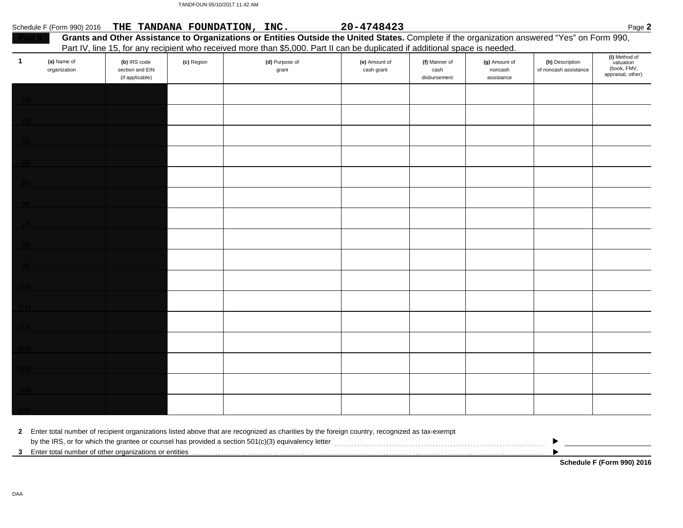| Schedule F (Form 990) 2016                                                        | THE TANDANA FOUNDATION, INC. |                                                                                                                                              | 20-4748423                  |                                       |                                        |                                          | Page 2                                                         |
|-----------------------------------------------------------------------------------|------------------------------|----------------------------------------------------------------------------------------------------------------------------------------------|-----------------------------|---------------------------------------|----------------------------------------|------------------------------------------|----------------------------------------------------------------|
|                                                                                   |                              | Grants and Other Assistance to Organizations or Entities Outside the United States. Complete if the organization answered "Yes" on Form 990, |                             |                                       |                                        |                                          |                                                                |
|                                                                                   |                              | Part IV, line 15, for any recipient who received more than \$5,000. Part II can be duplicated if additional space is needed.                 |                             |                                       |                                        |                                          |                                                                |
| (a) Name of<br>(b) IRS code<br>organization<br>section and EIN<br>(if applicable) | (c) Region                   | (d) Purpose of<br>grant                                                                                                                      | (e) Amount of<br>cash grant | (f) Manner of<br>cash<br>disbursement | (g) Amount of<br>noncash<br>assistance | (h) Description<br>of noncash assistance | (i) Method of<br>valuation<br>(book, FMV,<br>appraisal, other) |
|                                                                                   |                              |                                                                                                                                              |                             |                                       |                                        |                                          |                                                                |
|                                                                                   |                              |                                                                                                                                              |                             |                                       |                                        |                                          |                                                                |
|                                                                                   |                              |                                                                                                                                              |                             |                                       |                                        |                                          |                                                                |
|                                                                                   |                              |                                                                                                                                              |                             |                                       |                                        |                                          |                                                                |
|                                                                                   |                              |                                                                                                                                              |                             |                                       |                                        |                                          |                                                                |
|                                                                                   |                              |                                                                                                                                              |                             |                                       |                                        |                                          |                                                                |
|                                                                                   |                              |                                                                                                                                              |                             |                                       |                                        |                                          |                                                                |
|                                                                                   |                              |                                                                                                                                              |                             |                                       |                                        |                                          |                                                                |
|                                                                                   |                              |                                                                                                                                              |                             |                                       |                                        |                                          |                                                                |
|                                                                                   |                              |                                                                                                                                              |                             |                                       |                                        |                                          |                                                                |
|                                                                                   |                              |                                                                                                                                              |                             |                                       |                                        |                                          |                                                                |
|                                                                                   |                              |                                                                                                                                              |                             |                                       |                                        |                                          |                                                                |
|                                                                                   |                              |                                                                                                                                              |                             |                                       |                                        |                                          |                                                                |
|                                                                                   |                              |                                                                                                                                              |                             |                                       |                                        |                                          |                                                                |
|                                                                                   |                              |                                                                                                                                              |                             |                                       |                                        |                                          |                                                                |
|                                                                                   |                              |                                                                                                                                              |                             |                                       |                                        |                                          |                                                                |
|                                                                                   |                              |                                                                                                                                              |                             |                                       |                                        |                                          |                                                                |
|                                                                                   |                              |                                                                                                                                              |                             |                                       |                                        |                                          |                                                                |

| Enter total number of recipient organizations listed above that are recognized as charities by the foreign country, recognized as tax-exempt |  |
|----------------------------------------------------------------------------------------------------------------------------------------------|--|
| by the IRS, or for which the grantee or counsel has provided a section 501(c)(3) equivalency letter                                          |  |
| Enter total number of other organizations or entities                                                                                        |  |

**Schedule F (Form 990) 2016**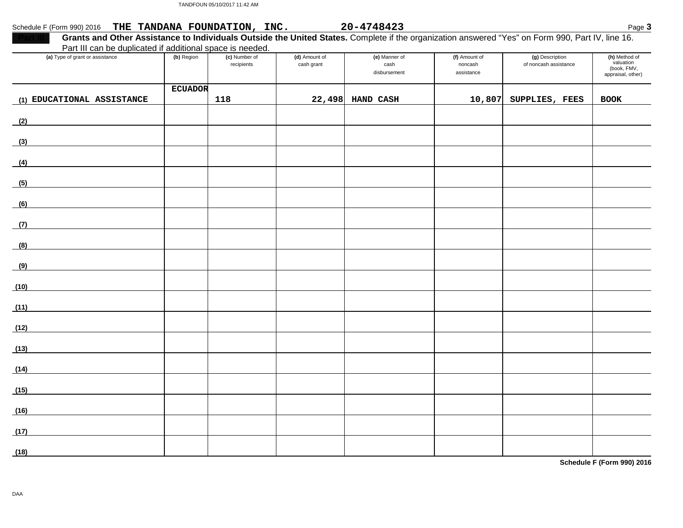|  | $20 - 4745$ |
|--|-------------|

| Schedule F (Form 990) 2016 THE TANDANA FOUNDATION, INC.                                                                                          |                |                             |                             | 20-4748423                            |                                        |                                          | Page 3                                                         |
|--------------------------------------------------------------------------------------------------------------------------------------------------|----------------|-----------------------------|-----------------------------|---------------------------------------|----------------------------------------|------------------------------------------|----------------------------------------------------------------|
| Grants and Other Assistance to Individuals Outside the United States. Complete if the organization answered "Yes" on Form 990, Part IV, line 16. |                |                             |                             |                                       |                                        |                                          |                                                                |
| Part III can be duplicated if additional space is needed.                                                                                        |                |                             |                             |                                       |                                        |                                          |                                                                |
| (a) Type of grant or assistance                                                                                                                  | (b) Region     | (c) Number of<br>recipients | (d) Amount of<br>cash grant | (e) Manner of<br>cash<br>disbursement | (f) Amount of<br>noncash<br>assistance | (g) Description<br>of noncash assistance | (h) Method of<br>valuation<br>(book, FMV,<br>appraisal, other) |
|                                                                                                                                                  | <b>ECUADOR</b> |                             |                             |                                       |                                        |                                          |                                                                |
| (1) EDUCATIONAL ASSISTANCE                                                                                                                       |                | 118                         |                             | 22,498 HAND CASH                      | 10,807                                 | SUPPLIES, FEES                           | <b>BOOK</b>                                                    |
| (2)                                                                                                                                              |                |                             |                             |                                       |                                        |                                          |                                                                |
| (3)                                                                                                                                              |                |                             |                             |                                       |                                        |                                          |                                                                |
| (4)<br><u> 1989 - Jan Stein Stein Stein Stein Stein Stein Stein Stein Stein Stein Stein Stein Stein Stein Stein Stein S</u>                      |                |                             |                             |                                       |                                        |                                          |                                                                |
| (5)                                                                                                                                              |                |                             |                             |                                       |                                        |                                          |                                                                |
| (6)                                                                                                                                              |                |                             |                             |                                       |                                        |                                          |                                                                |
| (7)                                                                                                                                              |                |                             |                             |                                       |                                        |                                          |                                                                |
| (8)                                                                                                                                              |                |                             |                             |                                       |                                        |                                          |                                                                |
| (9)                                                                                                                                              |                |                             |                             |                                       |                                        |                                          |                                                                |
|                                                                                                                                                  |                |                             |                             |                                       |                                        |                                          |                                                                |
| (10)                                                                                                                                             |                |                             |                             |                                       |                                        |                                          |                                                                |
| (11)                                                                                                                                             |                |                             |                             |                                       |                                        |                                          |                                                                |
| (12)                                                                                                                                             |                |                             |                             |                                       |                                        |                                          |                                                                |
| (13)                                                                                                                                             |                |                             |                             |                                       |                                        |                                          |                                                                |
| (14)                                                                                                                                             |                |                             |                             |                                       |                                        |                                          |                                                                |
| (15)                                                                                                                                             |                |                             |                             |                                       |                                        |                                          |                                                                |
| (16)                                                                                                                                             |                |                             |                             |                                       |                                        |                                          |                                                                |
|                                                                                                                                                  |                |                             |                             |                                       |                                        |                                          |                                                                |
| (17)                                                                                                                                             |                |                             |                             |                                       |                                        |                                          |                                                                |
| (18)                                                                                                                                             |                |                             |                             |                                       |                                        |                                          |                                                                |

**Schedule F (Form 990) 2016**

DAA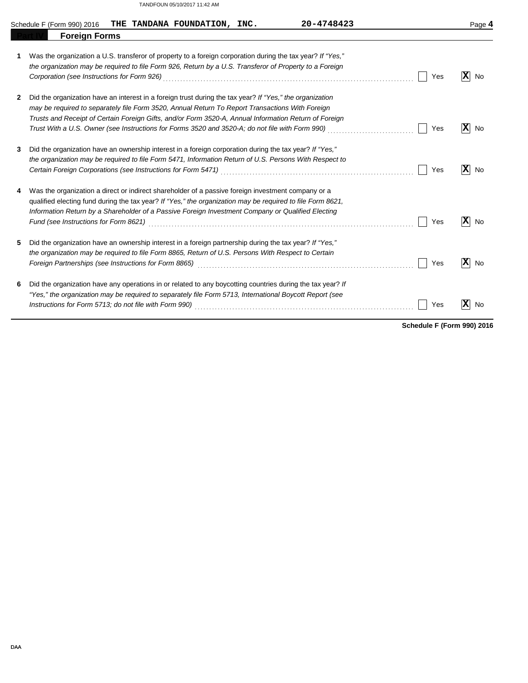|    | Schedule F (Form 990) 2016                                                                                                                                                                                                                                                                                                                                                                                              | THE TANDANA FOUNDATION, INC. | 20-4748423 |     | Page 4                      |
|----|-------------------------------------------------------------------------------------------------------------------------------------------------------------------------------------------------------------------------------------------------------------------------------------------------------------------------------------------------------------------------------------------------------------------------|------------------------------|------------|-----|-----------------------------|
|    | <b>Foreign Forms</b>                                                                                                                                                                                                                                                                                                                                                                                                    |                              |            |     |                             |
| 1. | Was the organization a U.S. transferor of property to a foreign corporation during the tax year? If "Yes,"<br>the organization may be required to file Form 926, Return by a U.S. Transferor of Property to a Foreign                                                                                                                                                                                                   |                              |            | Yes | $ \mathbf{X} $<br><b>No</b> |
| 2  | Did the organization have an interest in a foreign trust during the tax year? If "Yes," the organization<br>may be required to separately file Form 3520, Annual Return To Report Transactions With Foreign<br>Trusts and Receipt of Certain Foreign Gifts, and/or Form 3520-A, Annual Information Return of Foreign<br>Trust With a U.S. Owner (see Instructions for Forms 3520 and 3520-A; do not file with Form 990) |                              |            | Yes | $ \mathbf{X} $<br>No        |
| 3  | Did the organization have an ownership interest in a foreign corporation during the tax year? If "Yes,"<br>the organization may be required to file Form 5471, Information Return of U.S. Persons With Respect to                                                                                                                                                                                                       |                              |            | Yes | $ \mathbf{x} $<br>No        |
| 4  | Was the organization a direct or indirect shareholder of a passive foreign investment company or a<br>qualified electing fund during the tax year? If "Yes," the organization may be required to file Form 8621,<br>Information Return by a Shareholder of a Passive Foreign Investment Company or Qualified Electing<br>Fund (see Instructions for Form 8621)                                                          |                              |            | Yes | $ \mathbf{X} $<br>No        |
| 5  | Did the organization have an ownership interest in a foreign partnership during the tax year? If "Yes,"<br>the organization may be required to file Form 8865, Return of U.S. Persons With Respect to Certain<br>Foreign Partnerships (see Instructions for Form 8865) [11] Conserved Conserved Conserved Conserved Conserved Co                                                                                        |                              |            | Yes | $ \mathbf{x} $<br>No        |
| 6  | Did the organization have any operations in or related to any boycotting countries during the tax year? If<br>"Yes," the organization may be required to separately file Form 5713, International Boycott Report (see<br>Instructions for Form 5713; do not file with Form 990)                                                                                                                                         |                              |            | Yes | x<br>No                     |

**Schedule F (Form 990) 2016**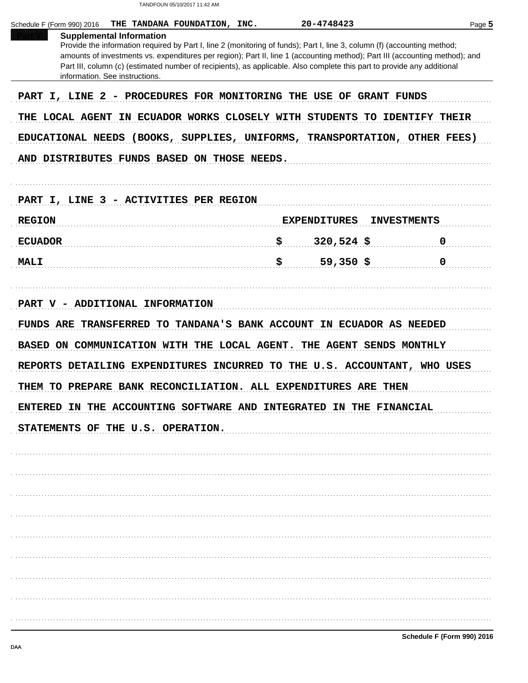| TANDFOUN 05/10/2017 11:42 AM |
|------------------------------|
|------------------------------|

|                | Schedule F (Form 990) 2016<br><b>Supplemental Information</b>                                                                                                                                                                                                                                                                                                                                                        | THE TANDANA FOUNDATION, INC. | 20-4748423          |                    | Page 5      |
|----------------|----------------------------------------------------------------------------------------------------------------------------------------------------------------------------------------------------------------------------------------------------------------------------------------------------------------------------------------------------------------------------------------------------------------------|------------------------------|---------------------|--------------------|-------------|
|                | Provide the information required by Part I, line 2 (monitoring of funds); Part I, line 3, column (f) (accounting method;<br>amounts of investments vs. expenditures per region); Part II, line 1 (accounting method); Part III (accounting method); and<br>Part III, column (c) (estimated number of recipients), as applicable. Also complete this part to provide any additional<br>information. See instructions. |                              |                     |                    |             |
|                | PART I, LINE 2 - PROCEDURES FOR MONITORING THE USE OF GRANT FUNDS                                                                                                                                                                                                                                                                                                                                                    |                              |                     |                    |             |
|                | THE LOCAL AGENT IN ECUADOR WORKS CLOSELY WITH STUDENTS TO IDENTIFY THEIR                                                                                                                                                                                                                                                                                                                                             |                              |                     |                    |             |
|                | EDUCATIONAL NEEDS (BOOKS, SUPPLIES, UNIFORMS, TRANSPORTATION, OTHER FEES)                                                                                                                                                                                                                                                                                                                                            |                              |                     |                    |             |
|                | AND DISTRIBUTES FUNDS BASED ON THOSE NEEDS.                                                                                                                                                                                                                                                                                                                                                                          |                              |                     |                    |             |
|                | PART I, LINE 3 - ACTIVITIES PER REGION                                                                                                                                                                                                                                                                                                                                                                               |                              |                     |                    |             |
| <b>REGION</b>  |                                                                                                                                                                                                                                                                                                                                                                                                                      |                              | <b>EXPENDITURES</b> | <b>INVESTMENTS</b> |             |
| <b>ECUADOR</b> |                                                                                                                                                                                                                                                                                                                                                                                                                      |                              | \$<br>$320,524$ \$  |                    | 0           |
| <b>MALI</b>    |                                                                                                                                                                                                                                                                                                                                                                                                                      |                              | \$<br>$59,350$ \$   |                    | $\mathbf 0$ |
|                | PART V - ADDITIONAL INFORMATION                                                                                                                                                                                                                                                                                                                                                                                      |                              |                     |                    |             |
|                | FUNDS ARE TRANSFERRED TO TANDANA'S BANK ACCOUNT IN ECUADOR AS NEEDED                                                                                                                                                                                                                                                                                                                                                 |                              |                     |                    |             |
|                | BASED ON COMMUNICATION WITH THE LOCAL AGENT. THE AGENT SENDS MONTHLY                                                                                                                                                                                                                                                                                                                                                 |                              |                     |                    |             |
|                | REPORTS DETAILING EXPENDITURES INCURRED TO THE U.S. ACCOUNTANT, WHO USES                                                                                                                                                                                                                                                                                                                                             |                              |                     |                    |             |
|                | THEM TO PREPARE BANK RECONCILIATION. ALL EXPENDITURES ARE THEN                                                                                                                                                                                                                                                                                                                                                       |                              |                     |                    |             |
|                | ENTERED IN THE ACCOUNTING SOFTWARE AND INTEGRATED IN THE FINANCIAL                                                                                                                                                                                                                                                                                                                                                   |                              |                     |                    |             |
|                | STATEMENTS OF THE U.S. OPERATION.                                                                                                                                                                                                                                                                                                                                                                                    |                              |                     |                    |             |
|                |                                                                                                                                                                                                                                                                                                                                                                                                                      |                              |                     |                    |             |
|                |                                                                                                                                                                                                                                                                                                                                                                                                                      |                              |                     |                    |             |
|                |                                                                                                                                                                                                                                                                                                                                                                                                                      |                              |                     |                    |             |
|                |                                                                                                                                                                                                                                                                                                                                                                                                                      |                              |                     |                    |             |
|                |                                                                                                                                                                                                                                                                                                                                                                                                                      |                              |                     |                    |             |
|                |                                                                                                                                                                                                                                                                                                                                                                                                                      |                              |                     |                    |             |
|                |                                                                                                                                                                                                                                                                                                                                                                                                                      |                              |                     |                    |             |
|                |                                                                                                                                                                                                                                                                                                                                                                                                                      |                              |                     |                    |             |
|                |                                                                                                                                                                                                                                                                                                                                                                                                                      |                              |                     |                    |             |
|                |                                                                                                                                                                                                                                                                                                                                                                                                                      |                              |                     |                    |             |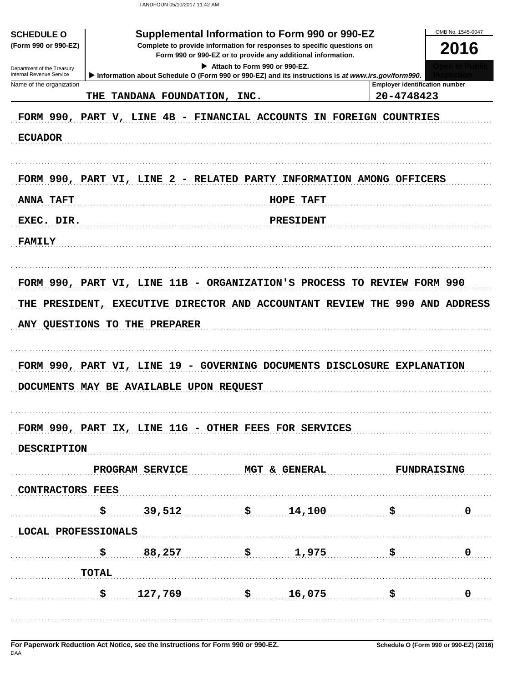| Supplemental Information to Form 990 or 990-EZ<br><b>SCHEDULE O</b><br>(Form 990 or 990-EZ)<br>Complete to provide information for responses to specific questions on<br>Form 990 or 990-EZ or to provide any additional information.<br>Attach to Form 990 or 990-EZ.<br>Department of the Treasury<br>Internal Revenue Service<br>Information about Schedule O (Form 990 or 990-EZ) and its instructions is at www.irs.gov/form990. |              |                                                                             |                                            |                          |                                       |                    |  |  |  |
|---------------------------------------------------------------------------------------------------------------------------------------------------------------------------------------------------------------------------------------------------------------------------------------------------------------------------------------------------------------------------------------------------------------------------------------|--------------|-----------------------------------------------------------------------------|--------------------------------------------|--------------------------|---------------------------------------|--------------------|--|--|--|
| Name of the organization                                                                                                                                                                                                                                                                                                                                                                                                              |              |                                                                             |                                            |                          | <b>Employer identification number</b> |                    |  |  |  |
|                                                                                                                                                                                                                                                                                                                                                                                                                                       |              | THE TANDANA FOUNDATION, INC.                                                |                                            |                          | 20-4748423                            |                    |  |  |  |
|                                                                                                                                                                                                                                                                                                                                                                                                                                       |              | FORM 990, PART V, LINE 4B - FINANCIAL ACCOUNTS IN FOREIGN COUNTRIES         |                                            |                          |                                       |                    |  |  |  |
| <b>ECUADOR</b>                                                                                                                                                                                                                                                                                                                                                                                                                        |              |                                                                             |                                            |                          |                                       |                    |  |  |  |
|                                                                                                                                                                                                                                                                                                                                                                                                                                       |              | FORM 990, PART VI, LINE 2 - RELATED PARTY INFORMATION AMONG OFFICERS        |                                            |                          |                                       |                    |  |  |  |
| <b>ANNA TAFT</b>                                                                                                                                                                                                                                                                                                                                                                                                                      |              |                                                                             |                                            | HOPE TAFT                |                                       |                    |  |  |  |
| EXEC. DIR.                                                                                                                                                                                                                                                                                                                                                                                                                            |              |                                                                             |                                            | <b>PRESIDENT</b>         |                                       |                    |  |  |  |
| <b>FAMILY</b>                                                                                                                                                                                                                                                                                                                                                                                                                         |              |                                                                             |                                            |                          |                                       |                    |  |  |  |
|                                                                                                                                                                                                                                                                                                                                                                                                                                       |              |                                                                             |                                            |                          |                                       |                    |  |  |  |
|                                                                                                                                                                                                                                                                                                                                                                                                                                       |              | FORM 990, PART VI, LINE 11B - ORGANIZATION'S PROCESS TO REVIEW FORM 990     |                                            |                          |                                       |                    |  |  |  |
|                                                                                                                                                                                                                                                                                                                                                                                                                                       |              | THE PRESIDENT, EXECUTIVE DIRECTOR AND ACCOUNTANT REVIEW THE 990 AND ADDRESS |                                            |                          |                                       |                    |  |  |  |
|                                                                                                                                                                                                                                                                                                                                                                                                                                       |              | ANY QUESTIONS TO THE PREPARER                                               |                                            |                          |                                       |                    |  |  |  |
|                                                                                                                                                                                                                                                                                                                                                                                                                                       |              | FORM 990, PART VI, LINE 19 - GOVERNING DOCUMENTS DISCLOSURE EXPLANATION     |                                            |                          |                                       |                    |  |  |  |
|                                                                                                                                                                                                                                                                                                                                                                                                                                       |              | DOCUMENTS MAY BE AVAILABLE UPON REQUEST                                     |                                            |                          |                                       |                    |  |  |  |
|                                                                                                                                                                                                                                                                                                                                                                                                                                       |              | FORM 990, PART IX, LINE 11G - OTHER FEES FOR SERVICES                       |                                            |                          |                                       |                    |  |  |  |
| <b>DESCRIPTION</b>                                                                                                                                                                                                                                                                                                                                                                                                                    |              |                                                                             |                                            |                          |                                       |                    |  |  |  |
|                                                                                                                                                                                                                                                                                                                                                                                                                                       |              | PROGRAM SERVICE                                                             |                                            | <b>MGT &amp; GENERAL</b> |                                       | <b>FUNDRAISING</b> |  |  |  |
|                                                                                                                                                                                                                                                                                                                                                                                                                                       |              |                                                                             |                                            |                          |                                       |                    |  |  |  |
| <b>CONTRACTORS FEES</b>                                                                                                                                                                                                                                                                                                                                                                                                               |              |                                                                             |                                            |                          |                                       |                    |  |  |  |
|                                                                                                                                                                                                                                                                                                                                                                                                                                       | \$.          | 39,512                                                                      | $\ddot{\mathbf{s}}$                        | 14,100                   | \$                                    | $\mathbf 0$        |  |  |  |
| LOCAL PROFESSIONALS                                                                                                                                                                                                                                                                                                                                                                                                                   |              |                                                                             |                                            |                          |                                       |                    |  |  |  |
|                                                                                                                                                                                                                                                                                                                                                                                                                                       |              | 88,257                                                                      | $\mathsf{S}$ , and the set of $\mathsf{S}$ | 1,975                    | \$                                    | 0                  |  |  |  |
|                                                                                                                                                                                                                                                                                                                                                                                                                                       | <b>TOTAL</b> |                                                                             |                                            |                          |                                       |                    |  |  |  |
|                                                                                                                                                                                                                                                                                                                                                                                                                                       | \$           | 127,769                                                                     |                                            | \$16,075                 | \$                                    | 0                  |  |  |  |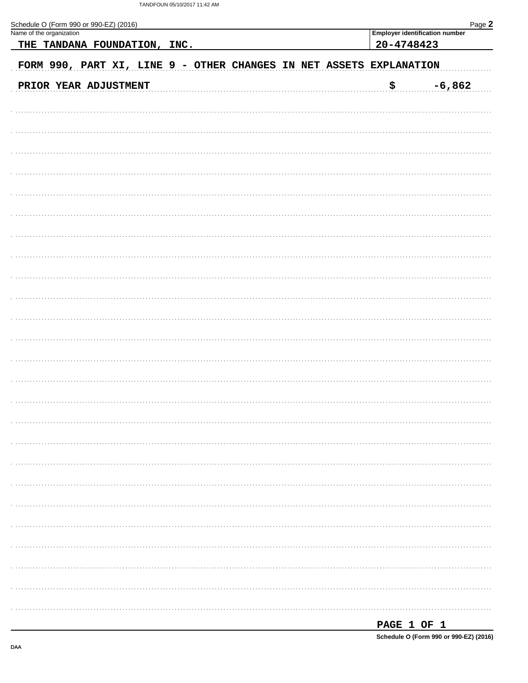| Schedule O (Form 990 or 990-EZ) (2016)                       |      |  |
|--------------------------------------------------------------|------|--|
| Name of the organization                                     |      |  |
| <b>DOIBIRA BICAL</b><br><b><i>manmann</i></b><br><b>mith</b> | T37A |  |

| Name of the organization                                            | <b>Employer identification number</b> |          |  |  |
|---------------------------------------------------------------------|---------------------------------------|----------|--|--|
| THE TANDANA FOUNDATION, INC.                                        | 20-4748423                            |          |  |  |
| FORM 990, PART XI, LINE 9 - OTHER CHANGES IN NET ASSETS EXPLANATION |                                       |          |  |  |
| PRIOR YEAR ADJUSTMENT                                               | \$                                    | $-6,862$ |  |  |
|                                                                     |                                       |          |  |  |
|                                                                     |                                       |          |  |  |
|                                                                     |                                       |          |  |  |
|                                                                     |                                       |          |  |  |
|                                                                     |                                       |          |  |  |
|                                                                     |                                       |          |  |  |
|                                                                     |                                       |          |  |  |
|                                                                     |                                       |          |  |  |
|                                                                     |                                       |          |  |  |
|                                                                     |                                       |          |  |  |
|                                                                     |                                       |          |  |  |
|                                                                     |                                       |          |  |  |
|                                                                     |                                       |          |  |  |
|                                                                     |                                       |          |  |  |
|                                                                     |                                       |          |  |  |
|                                                                     |                                       |          |  |  |
|                                                                     |                                       |          |  |  |
|                                                                     |                                       |          |  |  |
|                                                                     |                                       |          |  |  |
|                                                                     |                                       |          |  |  |
|                                                                     |                                       |          |  |  |
|                                                                     |                                       |          |  |  |
|                                                                     |                                       |          |  |  |
|                                                                     |                                       |          |  |  |
|                                                                     |                                       |          |  |  |
|                                                                     |                                       |          |  |  |
|                                                                     |                                       |          |  |  |
|                                                                     |                                       |          |  |  |
|                                                                     |                                       |          |  |  |
|                                                                     |                                       |          |  |  |
|                                                                     |                                       |          |  |  |
|                                                                     |                                       |          |  |  |
|                                                                     |                                       |          |  |  |
|                                                                     |                                       |          |  |  |
|                                                                     |                                       |          |  |  |
|                                                                     |                                       |          |  |  |

| .<br>. |  |  |
|--------|--|--|
|        |  |  |

Schedule O (Form 990 or 990-EZ) (2016)

Page 2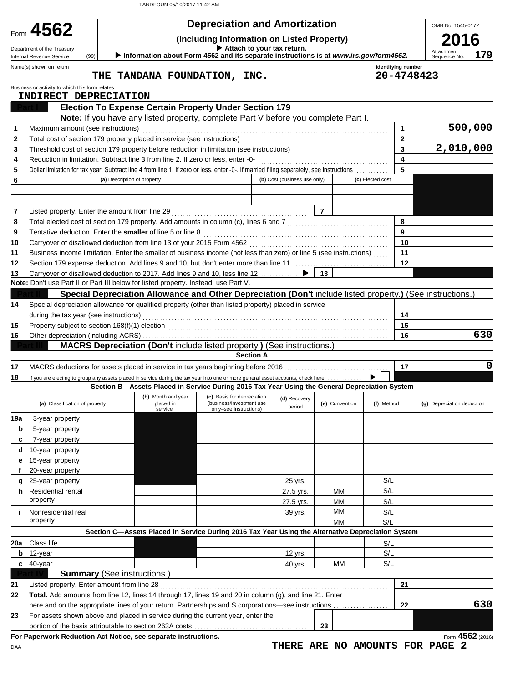| TANDFOUN 05/10/2017 11:42 AM |  |
|------------------------------|--|
|------------------------------|--|

|          |                                                                                     |                             |                      | <b>Depreciation and Amortization</b>                                                                                                                                                                                  |                              |                |                                  |                         | OMB No. 1545-0172          |
|----------|-------------------------------------------------------------------------------------|-----------------------------|----------------------|-----------------------------------------------------------------------------------------------------------------------------------------------------------------------------------------------------------------------|------------------------------|----------------|----------------------------------|-------------------------|----------------------------|
|          | Form 4562                                                                           |                             |                      | (Including Information on Listed Property)                                                                                                                                                                            |                              |                |                                  |                         | 16                         |
|          | Department of the Treasury                                                          |                             |                      | Attach to your tax return.                                                                                                                                                                                            |                              |                |                                  |                         | Attachment                 |
|          | (99)<br>Internal Revenue Service<br>Name(s) shown on return                         | THE                         |                      | Information about Form 4562 and its separate instructions is at www.irs.gov/form4562.<br>TANDANA FOUNDATION, INC.                                                                                                     |                              |                | Identifying number<br>20-4748423 |                         | 179<br>Sequence No.        |
|          | Business or activity to which this form relates                                     |                             |                      |                                                                                                                                                                                                                       |                              |                |                                  |                         |                            |
|          | INDIRECT DEPRECIATION                                                               |                             |                      |                                                                                                                                                                                                                       |                              |                |                                  |                         |                            |
|          |                                                                                     |                             |                      | <b>Election To Expense Certain Property Under Section 179</b>                                                                                                                                                         |                              |                |                                  |                         |                            |
|          |                                                                                     |                             |                      | Note: If you have any listed property, complete Part V before you complete Part I.                                                                                                                                    |                              |                |                                  |                         |                            |
| 1        | Maximum amount (see instructions)                                                   |                             |                      |                                                                                                                                                                                                                       |                              |                |                                  | 1                       | 500,000                    |
| 2<br>3   |                                                                                     |                             |                      |                                                                                                                                                                                                                       |                              |                |                                  | $\mathbf{2}$<br>3       | 2,010,000                  |
| 4        | Reduction in limitation. Subtract line 3 from line 2. If zero or less, enter -0-    |                             |                      |                                                                                                                                                                                                                       |                              |                |                                  | $\overline{\mathbf{4}}$ |                            |
| 5        |                                                                                     |                             |                      | Dollar limitation for tax year. Subtract line 4 from line 1. If zero or less, enter -0-. If married filing separately, see instructions                                                                               |                              |                |                                  | 5                       |                            |
| 6        |                                                                                     | (a) Description of property |                      |                                                                                                                                                                                                                       | (b) Cost (business use only) |                | (c) Elected cost                 |                         |                            |
|          |                                                                                     |                             |                      |                                                                                                                                                                                                                       |                              |                |                                  |                         |                            |
|          |                                                                                     |                             |                      |                                                                                                                                                                                                                       |                              |                |                                  |                         |                            |
| 7        |                                                                                     |                             |                      |                                                                                                                                                                                                                       |                              | $\overline{7}$ |                                  |                         |                            |
| 8        |                                                                                     |                             |                      |                                                                                                                                                                                                                       |                              |                |                                  | 8                       |                            |
| 9        |                                                                                     |                             |                      |                                                                                                                                                                                                                       |                              |                |                                  | 9                       |                            |
| 10<br>11 |                                                                                     |                             |                      | Business income limitation. Enter the smaller of business income (not less than zero) or line 5 (see instructions)                                                                                                    |                              |                |                                  | 10<br>11                |                            |
| 12       |                                                                                     |                             |                      | Section 179 expense deduction. Add lines 9 and 10, but don't enter more than line 11                                                                                                                                  |                              |                |                                  | 12                      |                            |
| 13       |                                                                                     |                             |                      | Carryover of disallowed deduction to 2017. Add lines 9 and 10, less line 12 ▶                                                                                                                                         |                              | 13             |                                  |                         |                            |
|          | Note: Don't use Part II or Part III below for listed property. Instead, use Part V. |                             |                      |                                                                                                                                                                                                                       |                              |                |                                  |                         |                            |
|          |                                                                                     |                             |                      | Special Depreciation Allowance and Other Depreciation (Don't include listed property.) (See instructions.)                                                                                                            |                              |                |                                  |                         |                            |
| 14       |                                                                                     |                             |                      | Special depreciation allowance for qualified property (other than listed property) placed in service                                                                                                                  |                              |                |                                  |                         |                            |
|          |                                                                                     |                             |                      |                                                                                                                                                                                                                       |                              |                |                                  | 14                      |                            |
| 15       |                                                                                     |                             |                      |                                                                                                                                                                                                                       |                              |                |                                  | 15                      |                            |
| 16       |                                                                                     |                             |                      |                                                                                                                                                                                                                       |                              |                |                                  | 16                      | 630                        |
|          |                                                                                     |                             |                      | <b>MACRS Depreciation (Don't include listed property.) (See instructions.)</b><br><b>Section A</b>                                                                                                                    |                              |                |                                  |                         |                            |
|          |                                                                                     |                             |                      |                                                                                                                                                                                                                       |                              |                |                                  | 17                      | 0                          |
| 17<br>18 |                                                                                     |                             |                      | MACRS deductions for assets placed in service in tax years beginning before 2016<br>If you are electing to group any assets placed in service during the tax year into one or more general asset accounts, check here |                              |                |                                  |                         |                            |
|          |                                                                                     |                             |                      | Section B-Assets Placed in Service During 2016 Tax Year Using the General Depreciation System                                                                                                                         |                              |                |                                  |                         |                            |
|          | (a) Classification of property                                                      |                             | placed in<br>service | (b) Month and year (c) Basis for depreciation (d) Recovery<br>(business/investment use<br>only-see instructions)                                                                                                      | period                       | (e) Convention | (f) Method                       |                         | (g) Depreciation deduction |
| 19a      | 3-year property                                                                     |                             |                      |                                                                                                                                                                                                                       |                              |                |                                  |                         |                            |
| b        | 5-year property                                                                     |                             |                      |                                                                                                                                                                                                                       |                              |                |                                  |                         |                            |
| c        | 7-year property                                                                     |                             |                      |                                                                                                                                                                                                                       |                              |                |                                  |                         |                            |
| d        | 10-year property                                                                    |                             |                      |                                                                                                                                                                                                                       |                              |                |                                  |                         |                            |
| е        | 15-year property                                                                    |                             |                      |                                                                                                                                                                                                                       |                              |                |                                  |                         |                            |
| f        | 20-year property                                                                    |                             |                      |                                                                                                                                                                                                                       |                              |                | S/L                              |                         |                            |
| a        | 25-year property<br><b>h</b> Residential rental                                     |                             |                      |                                                                                                                                                                                                                       | 25 yrs.<br>27.5 yrs.         | МM             | S/L                              |                         |                            |
|          | property                                                                            |                             |                      |                                                                                                                                                                                                                       | 27.5 yrs.                    | MМ             | S/L                              |                         |                            |
| i.       | Nonresidential real                                                                 |                             |                      |                                                                                                                                                                                                                       | 39 yrs.                      | МM             | S/L                              |                         |                            |
|          | property                                                                            |                             |                      |                                                                                                                                                                                                                       |                              | MМ             | S/L                              |                         |                            |
|          |                                                                                     |                             |                      | Section C-Assets Placed in Service During 2016 Tax Year Using the Alternative Depreciation System                                                                                                                     |                              |                |                                  |                         |                            |
|          | 20a Class life                                                                      |                             |                      |                                                                                                                                                                                                                       |                              |                | S/L                              |                         |                            |
| b        | 12-year                                                                             |                             |                      |                                                                                                                                                                                                                       | 12 yrs.                      |                | S/L                              |                         |                            |
|          | c 40-year                                                                           |                             |                      |                                                                                                                                                                                                                       | 40 yrs.                      | МM             | S/L                              |                         |                            |
|          | <b>Summary (See instructions.)</b>                                                  |                             |                      |                                                                                                                                                                                                                       |                              |                |                                  |                         |                            |
| 21       | Listed property. Enter amount from line 28                                          |                             |                      |                                                                                                                                                                                                                       |                              |                |                                  | 21                      |                            |
| 22       |                                                                                     |                             |                      | Total. Add amounts from line 12, lines 14 through 17, lines 19 and 20 in column (g), and line 21. Enter                                                                                                               |                              |                |                                  |                         | 630                        |
| 23       |                                                                                     |                             |                      | here and on the appropriate lines of your return. Partnerships and S corporations—see instructions<br>For assets shown above and placed in service during the current year, enter the                                 |                              |                |                                  | 22                      |                            |
|          | portion of the basis attributable to section 263A costs                             |                             |                      |                                                                                                                                                                                                                       |                              | 23             |                                  |                         |                            |
|          | For Paperwork Reduction Act Notice, see separate instructions.                      |                             |                      |                                                                                                                                                                                                                       |                              |                |                                  |                         | Form 4562 (2016)           |

**THERE ARE NO AMOUNTS FOR PAGE 2**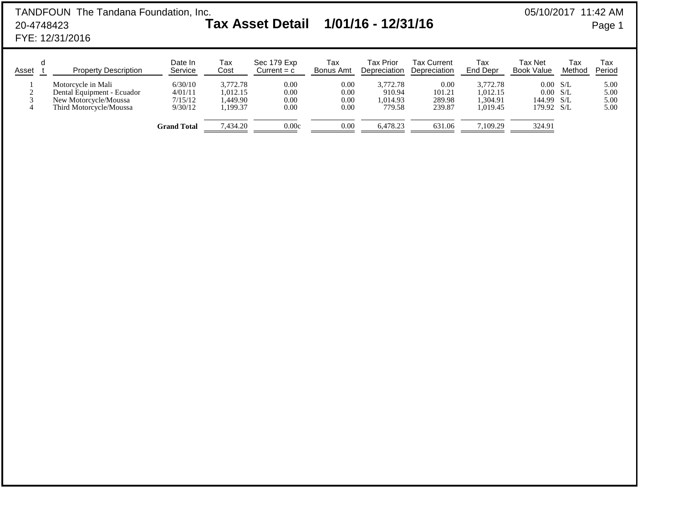| TANDFOUN The Tandana Foundation, Inc.<br>Tax Asset Detail 1/01/16 - 12/31/16<br>20-4748423<br>FYE: 12/31/2016 |                             |                    |             |                              |                         |                                  |                                    |                 |                              | 05/10/2017 11:42 AM<br>Page 1 |               |
|---------------------------------------------------------------------------------------------------------------|-----------------------------|--------------------|-------------|------------------------------|-------------------------|----------------------------------|------------------------------------|-----------------|------------------------------|-------------------------------|---------------|
| d<br>Asset                                                                                                    | <b>Property Description</b> | Date In<br>Service | Tax<br>Cost | Sec 179 Exp<br>$Current = c$ | Tax<br><b>Bonus Amt</b> | <b>Tax Prior</b><br>Depreciation | <b>Tax Current</b><br>Depreciation | Tax<br>End Depr | Tax Net<br><b>Book Value</b> | Tax<br>Method                 | Tax<br>Period |
|                                                                                                               | Motorcycle in Mali          | 6/30/10            | 3.772.78    | 0.00                         | 0.00                    | 3.772.78                         | 0.00                               | 3,772.78        | 0.00 S/L                     |                               | 5.00          |
|                                                                                                               | Dental Equipment - Ecuador  | 4/01/11            | 1.012.15    | 0.00                         | 0.00                    | 910.94                           | 101.21                             | 1,012.15        | $0.00\,$                     | - S/L                         | 5.00          |
|                                                                                                               | New Motorcycle/Moussa       | 7/15/12            | 1.449.90    | 0.00                         | 0.00                    | 1.014.93                         | 289.98                             | 1.304.91        | 144.99 S/L                   |                               | 5.00          |
|                                                                                                               | Third Motorcycle/Moussa     | 9/30/12            | 1.199.37    | 0.00                         | 0.00                    | 779.58                           | 239.87                             | 1.019.45        | 179.92 S/L                   |                               | 5.00          |
|                                                                                                               |                             | <b>Grand Total</b> | 7.434.20    | 0.00c                        | 0.00                    | 6.478.23                         | 631.06                             | 7.109.29        | 324.91                       |                               |               |